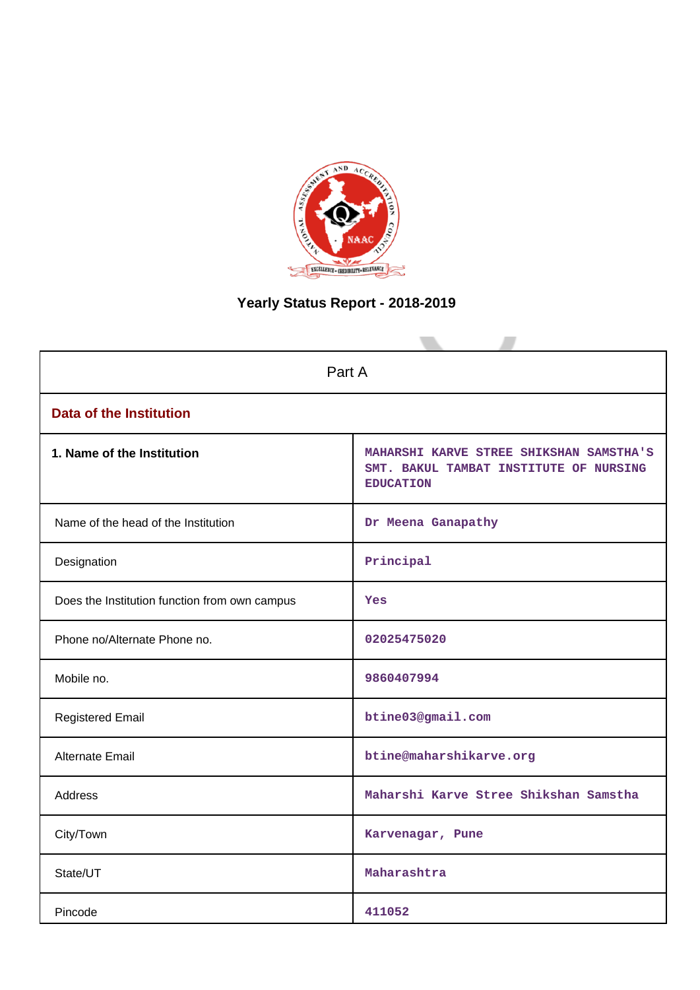

# **Yearly Status Report - 2018-2019**

| Part A                                        |                                                                                                       |  |  |
|-----------------------------------------------|-------------------------------------------------------------------------------------------------------|--|--|
| <b>Data of the Institution</b>                |                                                                                                       |  |  |
| 1. Name of the Institution                    | MAHARSHI KARVE STREE SHIKSHAN SAMSTHA'S<br>SMT. BAKUL TAMBAT INSTITUTE OF NURSING<br><b>EDUCATION</b> |  |  |
| Name of the head of the Institution           | Dr Meena Ganapathy                                                                                    |  |  |
| Designation                                   | Principal                                                                                             |  |  |
| Does the Institution function from own campus | Yes                                                                                                   |  |  |
| Phone no/Alternate Phone no.                  | 02025475020                                                                                           |  |  |
| Mobile no.                                    | 9860407994                                                                                            |  |  |
| <b>Registered Email</b>                       | btine03@gmail.com                                                                                     |  |  |
| Alternate Email                               | btine@maharshikarve.org                                                                               |  |  |
| <b>Address</b>                                | Maharshi Karve Stree Shikshan Samstha                                                                 |  |  |
| City/Town                                     | Karvenagar, Pune                                                                                      |  |  |
| State/UT                                      | Maharashtra                                                                                           |  |  |
| Pincode                                       | 411052                                                                                                |  |  |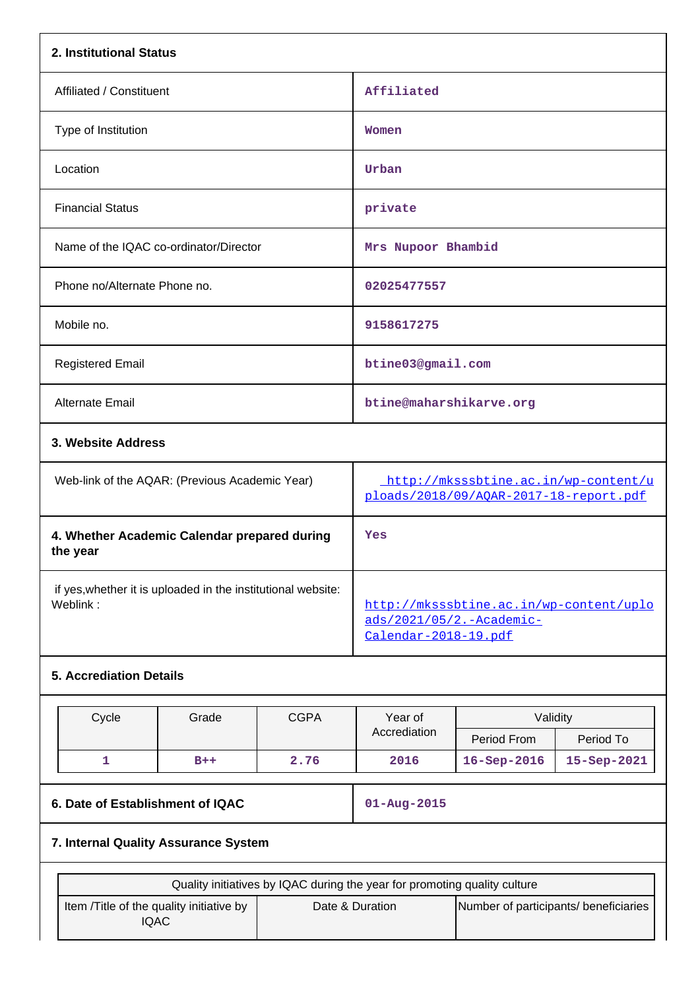| 2. Institutional Status                                  |                                                                                                                                                         |             |                                                                                |                                                                                             |             |  |
|----------------------------------------------------------|---------------------------------------------------------------------------------------------------------------------------------------------------------|-------------|--------------------------------------------------------------------------------|---------------------------------------------------------------------------------------------|-------------|--|
| Affiliated / Constituent                                 |                                                                                                                                                         |             | Affiliated                                                                     |                                                                                             |             |  |
| Type of Institution                                      |                                                                                                                                                         | Women       |                                                                                |                                                                                             |             |  |
| Location                                                 |                                                                                                                                                         |             | Urban                                                                          |                                                                                             |             |  |
| <b>Financial Status</b>                                  |                                                                                                                                                         |             | private                                                                        |                                                                                             |             |  |
| Name of the IQAC co-ordinator/Director                   |                                                                                                                                                         |             | Mrs Nupoor Bhambid                                                             |                                                                                             |             |  |
| Phone no/Alternate Phone no.                             |                                                                                                                                                         |             | 02025477557                                                                    |                                                                                             |             |  |
| Mobile no.                                               |                                                                                                                                                         |             | 9158617275                                                                     |                                                                                             |             |  |
| <b>Registered Email</b>                                  |                                                                                                                                                         |             | btine03@gmail.com                                                              |                                                                                             |             |  |
| <b>Alternate Email</b>                                   |                                                                                                                                                         |             | btine@maharshikarve.org                                                        |                                                                                             |             |  |
| 3. Website Address                                       |                                                                                                                                                         |             |                                                                                |                                                                                             |             |  |
|                                                          | Web-link of the AQAR: (Previous Academic Year)                                                                                                          |             | http://mksssbtine.ac.in/wp-content/u<br>ploads/2018/09/AQAR-2017-18-report.pdf |                                                                                             |             |  |
| 4. Whether Academic Calendar prepared during<br>the year |                                                                                                                                                         |             | Yes                                                                            |                                                                                             |             |  |
| Weblink:                                                 | if yes, whether it is uploaded in the institutional website:                                                                                            |             |                                                                                | http://mksssbtine.ac.in/wp-content/uplo<br>ads/2021/05/2.-Academic-<br>Calendar-2018-19.pdf |             |  |
| <b>5. Accrediation Details</b>                           |                                                                                                                                                         |             |                                                                                |                                                                                             |             |  |
| Cycle                                                    | Grade                                                                                                                                                   | <b>CGPA</b> | Year of                                                                        | Validity                                                                                    |             |  |
|                                                          |                                                                                                                                                         |             | Accrediation                                                                   | Period From                                                                                 | Period To   |  |
| $\mathbf{1}$                                             | $B++$                                                                                                                                                   | 2.76        | 2016                                                                           | 16-Sep-2016                                                                                 | 15-Sep-2021 |  |
|                                                          | 6. Date of Establishment of IQAC                                                                                                                        |             |                                                                                | $01 - Aug - 2015$                                                                           |             |  |
| 7. Internal Quality Assurance System                     |                                                                                                                                                         |             |                                                                                |                                                                                             |             |  |
|                                                          |                                                                                                                                                         |             |                                                                                |                                                                                             |             |  |
|                                                          | Quality initiatives by IQAC during the year for promoting quality culture<br>Item /Title of the quality initiative by<br>Date & Duration<br><b>IQAC</b> |             |                                                                                | Number of participants/ beneficiaries                                                       |             |  |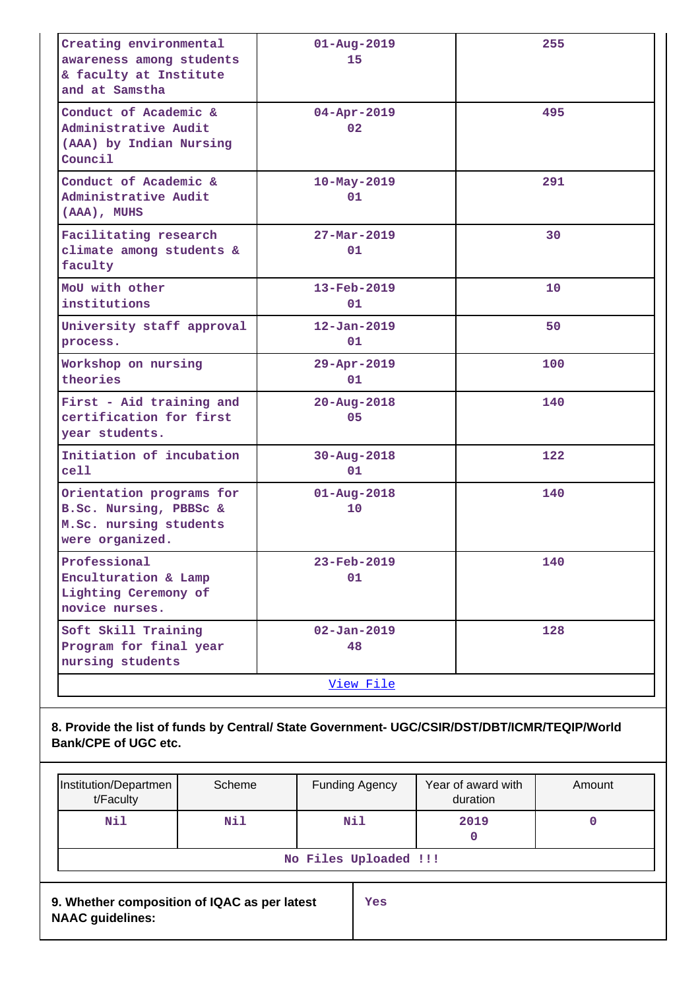| Creating environmental<br>awareness among students<br>& faculty at Institute<br>and at Samstha  | $01 - Aug - 2019$<br>15        | 255 |
|-------------------------------------------------------------------------------------------------|--------------------------------|-----|
| Conduct of Academic &<br>Administrative Audit<br>(AAA) by Indian Nursing<br>Council             | $04 - Apr - 2019$<br>02        | 495 |
| Conduct of Academic &<br>Administrative Audit<br>(AAA), MUHS                                    | $10 - May - 2019$<br>01        | 291 |
| Facilitating research<br>climate among students &<br>faculty                                    | $27 - \text{Mar} - 2019$<br>01 | 30  |
| MoU with other<br>institutions                                                                  | $13 - \text{Feb} - 2019$<br>01 | 10  |
| University staff approval<br>process.                                                           | $12 - Jan - 2019$<br>01        | 50  |
| Workshop on nursing<br>theories                                                                 | 29-Apr-2019<br>01              | 100 |
| First - Aid training and<br>certification for first<br>year students.                           | $20 - Aug - 2018$<br>05        | 140 |
| Initiation of incubation<br>cell                                                                | $30 - Aug - 2018$<br>01        | 122 |
| Orientation programs for<br>B.Sc. Nursing, PBBSc &<br>M.Sc. nursing students<br>were organized. | $01 - Aug - 2018$<br>10        | 140 |
| Professional<br>Enculturation & Lamp<br>Lighting Ceremony of<br>novice nurses.                  | 23-Feb-2019<br>01              | 140 |
| Soft Skill Training<br>Program for final year<br>nursing students                               | $02 - Jan - 2019$<br>48        | 128 |
|                                                                                                 | View File                      |     |

# **8. Provide the list of funds by Central/ State Government- UGC/CSIR/DST/DBT/ICMR/TEQIP/World Bank/CPE of UGC etc.**

| Institution/Departmen<br>t/Faculty                                      | Scheme |  | <b>Funding Agency</b> | Year of award with<br>duration | Amount |
|-------------------------------------------------------------------------|--------|--|-----------------------|--------------------------------|--------|
| Nil                                                                     | Nil    |  | Nil                   | 2019<br>0                      |        |
| No Files Uploaded !!!                                                   |        |  |                       |                                |        |
| 9. Whether composition of IQAC as per latest<br><b>NAAC guidelines:</b> |        |  | Yes                   |                                |        |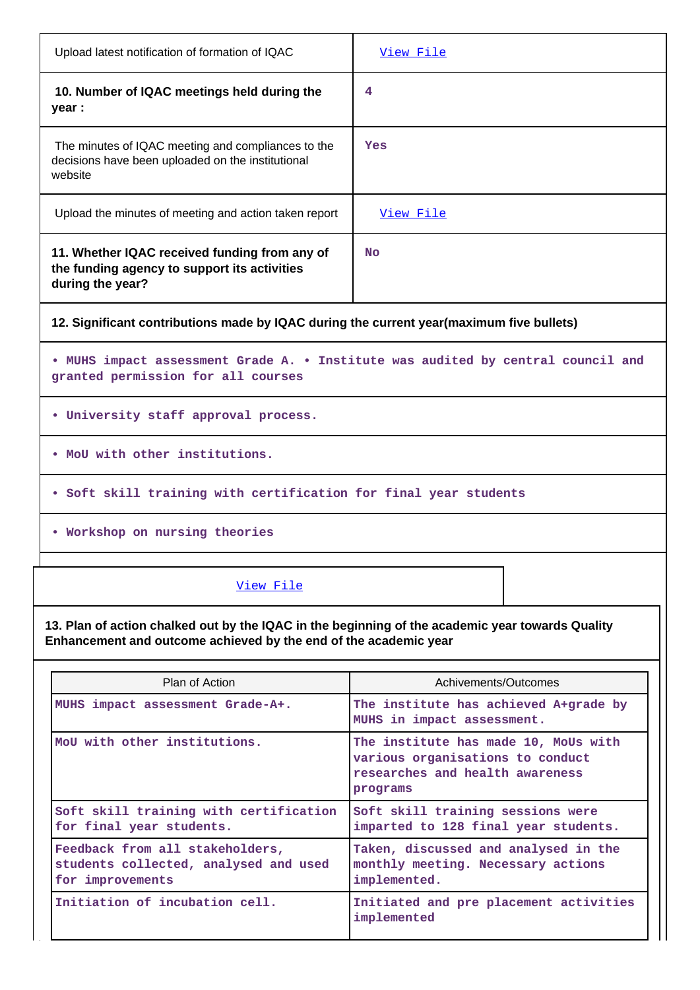| Upload latest notification of formation of IQAC                                                                                                                      | View File                                                                                                               |  |  |  |  |  |  |
|----------------------------------------------------------------------------------------------------------------------------------------------------------------------|-------------------------------------------------------------------------------------------------------------------------|--|--|--|--|--|--|
| 10. Number of IQAC meetings held during the<br>year :                                                                                                                | 4                                                                                                                       |  |  |  |  |  |  |
| The minutes of IQAC meeting and compliances to the<br>decisions have been uploaded on the institutional<br>website                                                   | Yes                                                                                                                     |  |  |  |  |  |  |
| Upload the minutes of meeting and action taken report                                                                                                                | View File                                                                                                               |  |  |  |  |  |  |
| 11. Whether IQAC received funding from any of<br>the funding agency to support its activities<br>during the year?                                                    | <b>No</b>                                                                                                               |  |  |  |  |  |  |
| 12. Significant contributions made by IQAC during the current year(maximum five bullets)                                                                             |                                                                                                                         |  |  |  |  |  |  |
| . MUHS impact assessment Grade A. . Institute was audited by central council and<br>granted permission for all courses                                               |                                                                                                                         |  |  |  |  |  |  |
| . University staff approval process.                                                                                                                                 |                                                                                                                         |  |  |  |  |  |  |
| . MoU with other institutions.                                                                                                                                       |                                                                                                                         |  |  |  |  |  |  |
|                                                                                                                                                                      | . Soft skill training with certification for final year students                                                        |  |  |  |  |  |  |
| . Workshop on nursing theories                                                                                                                                       |                                                                                                                         |  |  |  |  |  |  |
| View File                                                                                                                                                            |                                                                                                                         |  |  |  |  |  |  |
| 13. Plan of action chalked out by the IQAC in the beginning of the academic year towards Quality<br>Enhancement and outcome achieved by the end of the academic year |                                                                                                                         |  |  |  |  |  |  |
| Plan of Action                                                                                                                                                       | Achivements/Outcomes                                                                                                    |  |  |  |  |  |  |
| MUHS impact assessment Grade-A+.                                                                                                                                     | The institute has achieved A+grade by<br>MUHS in impact assessment.                                                     |  |  |  |  |  |  |
| MoU with other institutions.                                                                                                                                         | The institute has made 10, MoUs with<br>various organisations to conduct<br>researches and health awareness<br>programs |  |  |  |  |  |  |
| Soft skill training with certification<br>for final year students.                                                                                                   | Soft skill training sessions were<br>imparted to 128 final year students.                                               |  |  |  |  |  |  |
| Feedback from all stakeholders,<br>students collected, analysed and used<br>for improvements                                                                         | Taken, discussed and analysed in the<br>monthly meeting. Necessary actions<br>implemented.                              |  |  |  |  |  |  |
| Initiation of incubation cell.                                                                                                                                       | Initiated and pre placement activities<br>implemented                                                                   |  |  |  |  |  |  |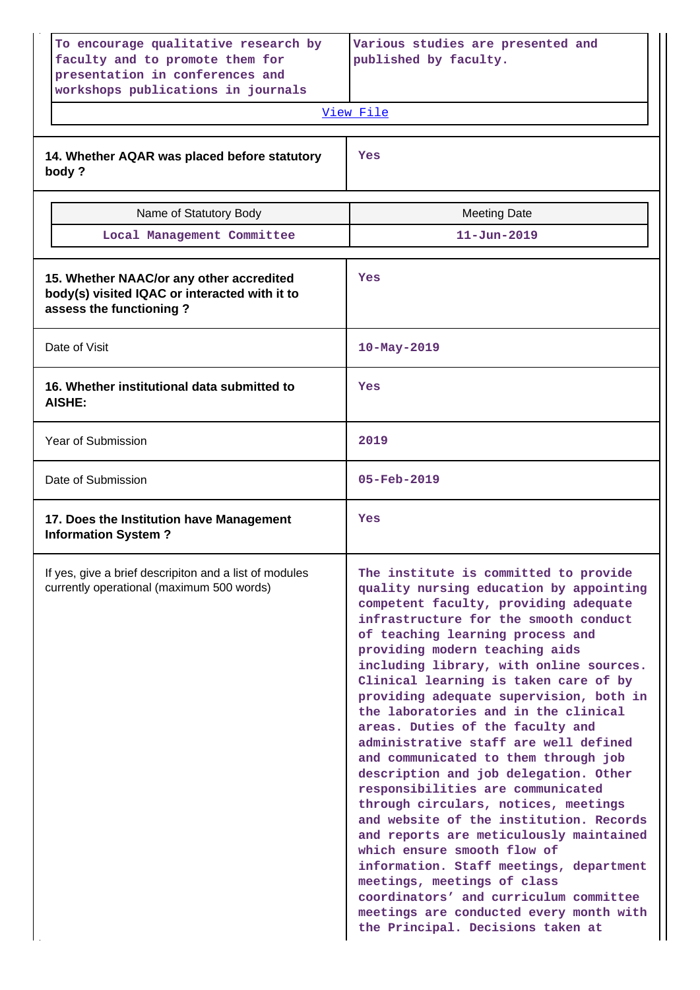| To encourage qualitative research by<br>faculty and to promote them for<br>presentation in conferences and<br>workshops publications in journals | Various studies are presented and<br>published by faculty.<br>View File                                                                                                                                                                                                                                                                                                                                                                                                                                                                                                                                                                                                                                                                                                                                                                                                                                                                                                             |
|--------------------------------------------------------------------------------------------------------------------------------------------------|-------------------------------------------------------------------------------------------------------------------------------------------------------------------------------------------------------------------------------------------------------------------------------------------------------------------------------------------------------------------------------------------------------------------------------------------------------------------------------------------------------------------------------------------------------------------------------------------------------------------------------------------------------------------------------------------------------------------------------------------------------------------------------------------------------------------------------------------------------------------------------------------------------------------------------------------------------------------------------------|
| 14. Whether AQAR was placed before statutory<br>body?                                                                                            | Yes                                                                                                                                                                                                                                                                                                                                                                                                                                                                                                                                                                                                                                                                                                                                                                                                                                                                                                                                                                                 |
| Name of Statutory Body                                                                                                                           | <b>Meeting Date</b>                                                                                                                                                                                                                                                                                                                                                                                                                                                                                                                                                                                                                                                                                                                                                                                                                                                                                                                                                                 |
| Local Management Committee                                                                                                                       | $11 - Jun - 2019$                                                                                                                                                                                                                                                                                                                                                                                                                                                                                                                                                                                                                                                                                                                                                                                                                                                                                                                                                                   |
| 15. Whether NAAC/or any other accredited<br>body(s) visited IQAC or interacted with it to<br>assess the functioning?                             | Yes                                                                                                                                                                                                                                                                                                                                                                                                                                                                                                                                                                                                                                                                                                                                                                                                                                                                                                                                                                                 |
| Date of Visit                                                                                                                                    | $10 - May - 2019$                                                                                                                                                                                                                                                                                                                                                                                                                                                                                                                                                                                                                                                                                                                                                                                                                                                                                                                                                                   |
| 16. Whether institutional data submitted to<br><b>AISHE:</b>                                                                                     | Yes                                                                                                                                                                                                                                                                                                                                                                                                                                                                                                                                                                                                                                                                                                                                                                                                                                                                                                                                                                                 |
| Year of Submission                                                                                                                               | 2019                                                                                                                                                                                                                                                                                                                                                                                                                                                                                                                                                                                                                                                                                                                                                                                                                                                                                                                                                                                |
| Date of Submission                                                                                                                               | $05 - Feb - 2019$                                                                                                                                                                                                                                                                                                                                                                                                                                                                                                                                                                                                                                                                                                                                                                                                                                                                                                                                                                   |
| 17. Does the Institution have Management<br><b>Information System?</b>                                                                           | Yes                                                                                                                                                                                                                                                                                                                                                                                                                                                                                                                                                                                                                                                                                                                                                                                                                                                                                                                                                                                 |
| If yes, give a brief descripiton and a list of modules<br>currently operational (maximum 500 words)                                              | The institute is committed to provide<br>quality nursing education by appointing<br>competent faculty, providing adequate<br>infrastructure for the smooth conduct<br>of teaching learning process and<br>providing modern teaching aids<br>including library, with online sources.<br>Clinical learning is taken care of by<br>providing adequate supervision, both in<br>the laboratories and in the clinical<br>areas. Duties of the faculty and<br>administrative staff are well defined<br>and communicated to them through job<br>description and job delegation. Other<br>responsibilities are communicated<br>through circulars, notices, meetings<br>and website of the institution. Records<br>and reports are meticulously maintained<br>which ensure smooth flow of<br>information. Staff meetings, department<br>meetings, meetings of class<br>coordinators' and curriculum committee<br>meetings are conducted every month with<br>the Principal. Decisions taken at |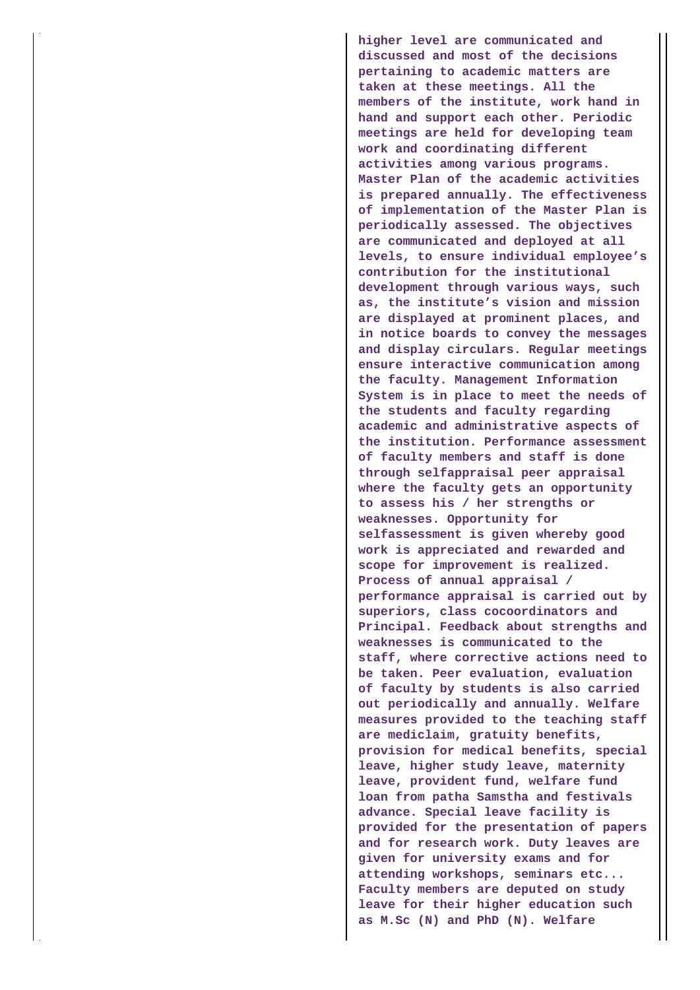**higher level are communicated and discussed and most of the decisions pertaining to academic matters are taken at these meetings. All the members of the institute, work hand in hand and support each other. Periodic meetings are held for developing team work and coordinating different activities among various programs. Master Plan of the academic activities is prepared annually. The effectiveness of implementation of the Master Plan is periodically assessed. The objectives are communicated and deployed at all levels, to ensure individual employee's contribution for the institutional development through various ways, such as, the institute's vision and mission are displayed at prominent places, and in notice boards to convey the messages and display circulars. Regular meetings ensure interactive communication among the faculty. Management Information System is in place to meet the needs of the students and faculty regarding academic and administrative aspects of the institution. Performance assessment of faculty members and staff is done through selfappraisal peer appraisal where the faculty gets an opportunity to assess his / her strengths or weaknesses. Opportunity for selfassessment is given whereby good work is appreciated and rewarded and scope for improvement is realized. Process of annual appraisal / performance appraisal is carried out by superiors, class cocoordinators and Principal. Feedback about strengths and weaknesses is communicated to the staff, where corrective actions need to be taken. Peer evaluation, evaluation of faculty by students is also carried out periodically and annually. Welfare measures provided to the teaching staff are mediclaim, gratuity benefits, provision for medical benefits, special leave, higher study leave, maternity leave, provident fund, welfare fund loan from patha Samstha and festivals advance. Special leave facility is provided for the presentation of papers and for research work. Duty leaves are given for university exams and for attending workshops, seminars etc... Faculty members are deputed on study leave for their higher education such as M.Sc (N) and PhD (N). Welfare**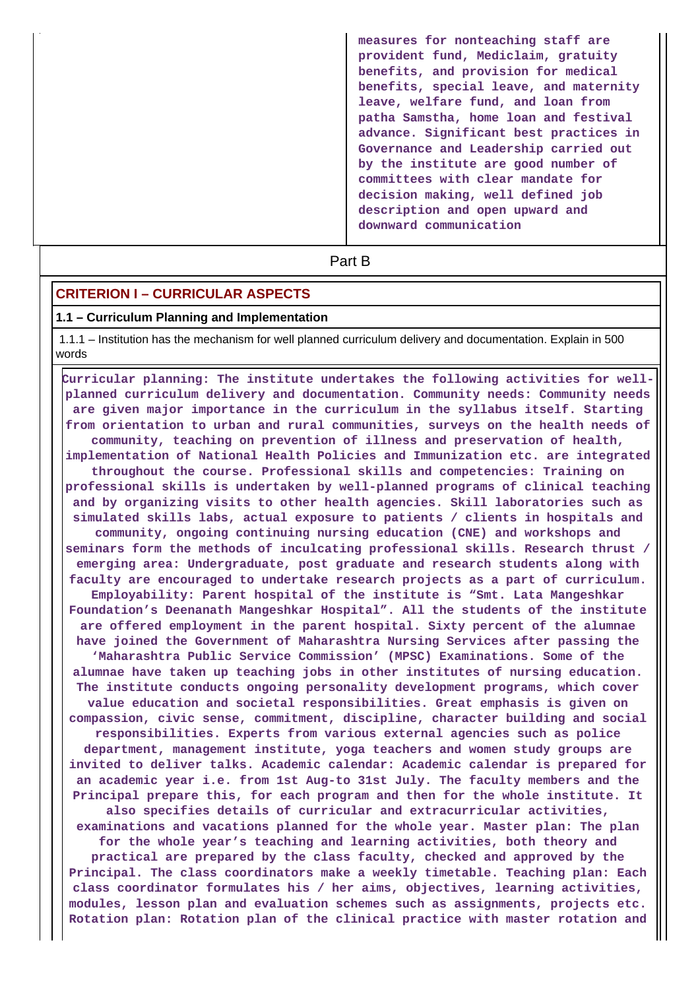**measures for nonteaching staff are provident fund, Mediclaim, gratuity benefits, and provision for medical benefits, special leave, and maternity leave, welfare fund, and loan from patha Samstha, home loan and festival advance. Significant best practices in Governance and Leadership carried out by the institute are good number of committees with clear mandate for decision making, well defined job description and open upward and downward communication**

**Part B** 

#### **CRITERION I – CURRICULAR ASPECTS**

#### **1.1 – Curriculum Planning and Implementation**

 1.1.1 – Institution has the mechanism for well planned curriculum delivery and documentation. Explain in 500 words

 **Curricular planning: The institute undertakes the following activities for wellplanned curriculum delivery and documentation. Community needs: Community needs are given major importance in the curriculum in the syllabus itself. Starting from orientation to urban and rural communities, surveys on the health needs of community, teaching on prevention of illness and preservation of health, implementation of National Health Policies and Immunization etc. are integrated throughout the course. Professional skills and competencies: Training on professional skills is undertaken by well-planned programs of clinical teaching and by organizing visits to other health agencies. Skill laboratories such as simulated skills labs, actual exposure to patients / clients in hospitals and community, ongoing continuing nursing education (CNE) and workshops and seminars form the methods of inculcating professional skills. Research thrust / emerging area: Undergraduate, post graduate and research students along with faculty are encouraged to undertake research projects as a part of curriculum. Employability: Parent hospital of the institute is "Smt. Lata Mangeshkar Foundation's Deenanath Mangeshkar Hospital". All the students of the institute are offered employment in the parent hospital. Sixty percent of the alumnae have joined the Government of Maharashtra Nursing Services after passing the 'Maharashtra Public Service Commission' (MPSC) Examinations. Some of the alumnae have taken up teaching jobs in other institutes of nursing education. The institute conducts ongoing personality development programs, which cover value education and societal responsibilities. Great emphasis is given on compassion, civic sense, commitment, discipline, character building and social responsibilities. Experts from various external agencies such as police department, management institute, yoga teachers and women study groups are invited to deliver talks. Academic calendar: Academic calendar is prepared for an academic year i.e. from 1st Aug-to 31st July. The faculty members and the Principal prepare this, for each program and then for the whole institute. It also specifies details of curricular and extracurricular activities, examinations and vacations planned for the whole year. Master plan: The plan for the whole year's teaching and learning activities, both theory and practical are prepared by the class faculty, checked and approved by the Principal. The class coordinators make a weekly timetable. Teaching plan: Each class coordinator formulates his / her aims, objectives, learning activities, modules, lesson plan and evaluation schemes such as assignments, projects etc. Rotation plan: Rotation plan of the clinical practice with master rotation and**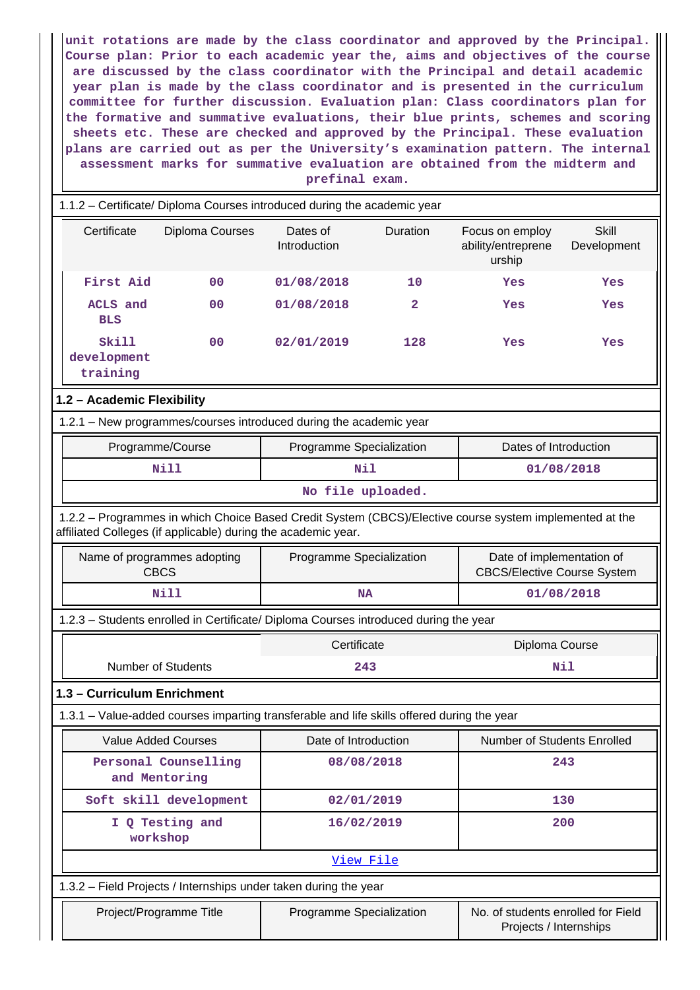**unit rotations are made by the class coordinator and approved by the Principal. Course plan: Prior to each academic year the, aims and objectives of the course are discussed by the class coordinator with the Principal and detail academic year plan is made by the class coordinator and is presented in the curriculum committee for further discussion. Evaluation plan: Class coordinators plan for the formative and summative evaluations, their blue prints, schemes and scoring sheets etc. These are checked and approved by the Principal. These evaluation plans are carried out as per the University's examination pattern. The internal assessment marks for summative evaluation are obtained from the midterm and prefinal exam.**

| 1.1.2 - Certificate/ Diploma Courses introduced during the academic year             |                                                                                            |                          |          |                                                                                                         |                                                                 |  |
|--------------------------------------------------------------------------------------|--------------------------------------------------------------------------------------------|--------------------------|----------|---------------------------------------------------------------------------------------------------------|-----------------------------------------------------------------|--|
| Certificate                                                                          | Diploma Courses                                                                            | Dates of<br>Introduction | Duration | Focus on employ<br>ability/entreprene<br>urship                                                         | Skill<br>Development                                            |  |
| First Aid                                                                            | 0 <sub>0</sub>                                                                             | 01/08/2018               | 10       | Yes                                                                                                     | Yes                                                             |  |
| ACLS and<br><b>BLS</b>                                                               | 00                                                                                         | 01/08/2018               | 2        | Yes                                                                                                     | Yes                                                             |  |
| Skill<br>development<br>training                                                     | 00                                                                                         | 02/01/2019               | 128      | Yes                                                                                                     | Yes                                                             |  |
| 1.2 - Academic Flexibility                                                           |                                                                                            |                          |          |                                                                                                         |                                                                 |  |
|                                                                                      | 1.2.1 - New programmes/courses introduced during the academic year                         |                          |          |                                                                                                         |                                                                 |  |
|                                                                                      | Programme/Course                                                                           | Programme Specialization |          | Dates of Introduction                                                                                   |                                                                 |  |
|                                                                                      | Nill                                                                                       | Nil                      |          |                                                                                                         | 01/08/2018                                                      |  |
|                                                                                      |                                                                                            | No file uploaded.        |          |                                                                                                         |                                                                 |  |
|                                                                                      | affiliated Colleges (if applicable) during the academic year.                              |                          |          | 1.2.2 - Programmes in which Choice Based Credit System (CBCS)/Elective course system implemented at the |                                                                 |  |
|                                                                                      | Name of programmes adopting<br><b>CBCS</b>                                                 | Programme Specialization |          |                                                                                                         | Date of implementation of<br><b>CBCS/Elective Course System</b> |  |
| <b>Nill</b>                                                                          |                                                                                            | <b>NA</b>                |          |                                                                                                         | 01/08/2018                                                      |  |
| 1.2.3 - Students enrolled in Certificate/ Diploma Courses introduced during the year |                                                                                            |                          |          |                                                                                                         |                                                                 |  |
|                                                                                      |                                                                                            | Certificate              |          | Diploma Course                                                                                          |                                                                 |  |
|                                                                                      | <b>Number of Students</b>                                                                  | 243                      |          |                                                                                                         | Nil                                                             |  |
| 1.3 - Curriculum Enrichment                                                          |                                                                                            |                          |          |                                                                                                         |                                                                 |  |
|                                                                                      | 1.3.1 – Value-added courses imparting transferable and life skills offered during the year |                          |          |                                                                                                         |                                                                 |  |
|                                                                                      | Value Added Courses                                                                        | Date of Introduction     |          | Number of Students Enrolled                                                                             |                                                                 |  |
|                                                                                      | Personal Counselling<br>and Mentoring                                                      | 08/08/2018               |          |                                                                                                         | 243                                                             |  |
|                                                                                      | Soft skill development                                                                     | 02/01/2019               |          |                                                                                                         | 130                                                             |  |
|                                                                                      | I Q Testing and<br>workshop                                                                | 16/02/2019               |          |                                                                                                         | 200                                                             |  |
|                                                                                      |                                                                                            | View File                |          |                                                                                                         |                                                                 |  |
|                                                                                      | 1.3.2 - Field Projects / Internships under taken during the year                           |                          |          |                                                                                                         |                                                                 |  |
|                                                                                      | Project/Programme Title                                                                    | Programme Specialization |          | No. of students enrolled for Field<br>Projects / Internships                                            |                                                                 |  |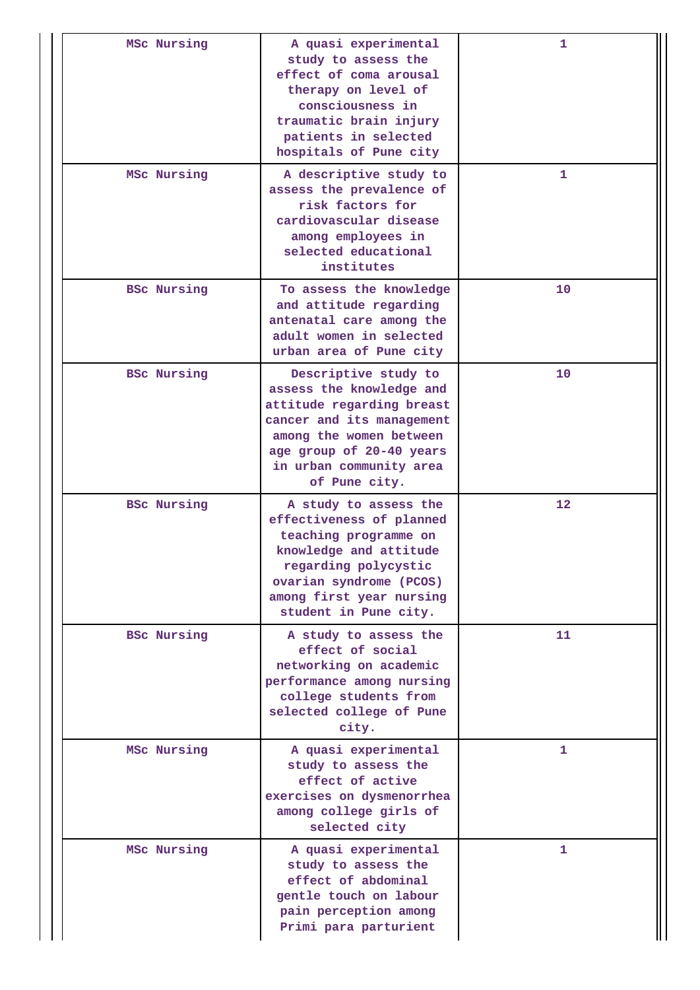| MSc Nursing        | A quasi experimental<br>study to assess the<br>effect of coma arousal<br>therapy on level of<br>consciousness in<br>traumatic brain injury<br>patients in selected<br>hospitals of Pune city                  | 1                 |
|--------------------|---------------------------------------------------------------------------------------------------------------------------------------------------------------------------------------------------------------|-------------------|
| MSc Nursing        | A descriptive study to<br>assess the prevalence of<br>risk factors for<br>cardiovascular disease<br>among employees in<br>selected educational<br>institutes                                                  | 1                 |
| <b>BSC Nursing</b> | To assess the knowledge<br>and attitude regarding<br>antenatal care among the<br>adult women in selected<br>urban area of Pune city                                                                           | 10                |
| <b>BSc Nursing</b> | Descriptive study to<br>assess the knowledge and<br>attitude regarding breast<br>cancer and its management<br>among the women between<br>age group of 20-40 years<br>in urban community area<br>of Pune city. | 10                |
| <b>BSc Nursing</b> | A study to assess the<br>effectiveness of planned<br>teaching programme on<br>knowledge and attitude<br>regarding polycystic<br>ovarian syndrome (PCOS)<br>among first year nursing<br>student in Pune city.  | $12 \overline{ }$ |
| <b>BSc Nursing</b> | A study to assess the<br>effect of social<br>networking on academic<br>performance among nursing<br>college students from<br>selected college of Pune<br>city.                                                | 11                |
| MSc Nursing        | A quasi experimental<br>study to assess the<br>effect of active<br>exercises on dysmenorrhea<br>among college girls of<br>selected city                                                                       | 1                 |
| MSc Nursing        | A quasi experimental<br>study to assess the<br>effect of abdominal<br>gentle touch on labour<br>pain perception among<br>Primi para parturient                                                                | 1                 |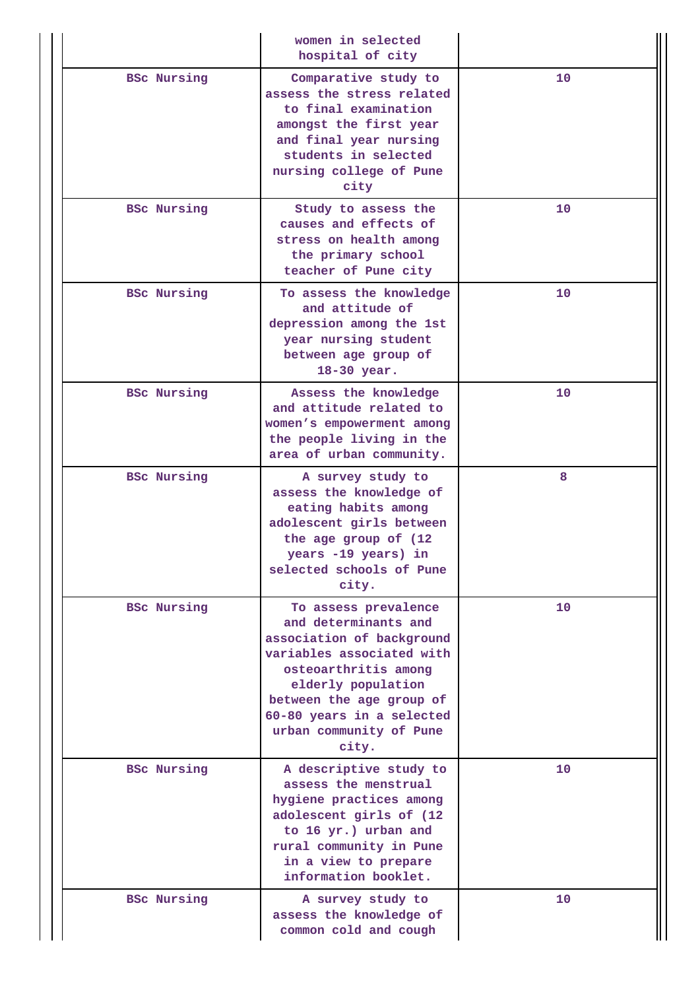|                    | women in selected<br>hospital of city                                                                                                                                                                                                             |    |
|--------------------|---------------------------------------------------------------------------------------------------------------------------------------------------------------------------------------------------------------------------------------------------|----|
| <b>BSc Nursing</b> | Comparative study to<br>assess the stress related<br>to final examination<br>amongst the first year<br>and final year nursing<br>students in selected<br>nursing college of Pune<br>city                                                          | 10 |
| <b>BSC Nursing</b> | Study to assess the<br>causes and effects of<br>stress on health among<br>the primary school<br>teacher of Pune city                                                                                                                              | 10 |
| <b>BSc Nursing</b> | To assess the knowledge<br>and attitude of<br>depression among the 1st<br>year nursing student<br>between age group of<br>18-30 year.                                                                                                             | 10 |
| <b>BSc Nursing</b> | Assess the knowledge<br>and attitude related to<br>women's empowerment among<br>the people living in the<br>area of urban community.                                                                                                              |    |
| <b>BSc Nursing</b> | A survey study to<br>assess the knowledge of<br>eating habits among<br>adolescent girls between<br>the age group of (12<br>years -19 years) in<br>selected schools of Pune<br>city.                                                               | 8  |
| <b>BSc Nursing</b> | To assess prevalence<br>and determinants and<br>association of background<br>variables associated with<br>osteoarthritis among<br>elderly population<br>between the age group of<br>60-80 years in a selected<br>urban community of Pune<br>city. | 10 |
| <b>BSc Nursing</b> | A descriptive study to<br>assess the menstrual<br>hygiene practices among<br>adolescent girls of (12<br>to 16 yr.) urban and<br>rural community in Pune<br>in a view to prepare<br>information booklet.                                           | 10 |
| <b>BSc Nursing</b> | A survey study to<br>assess the knowledge of<br>common cold and cough                                                                                                                                                                             | 10 |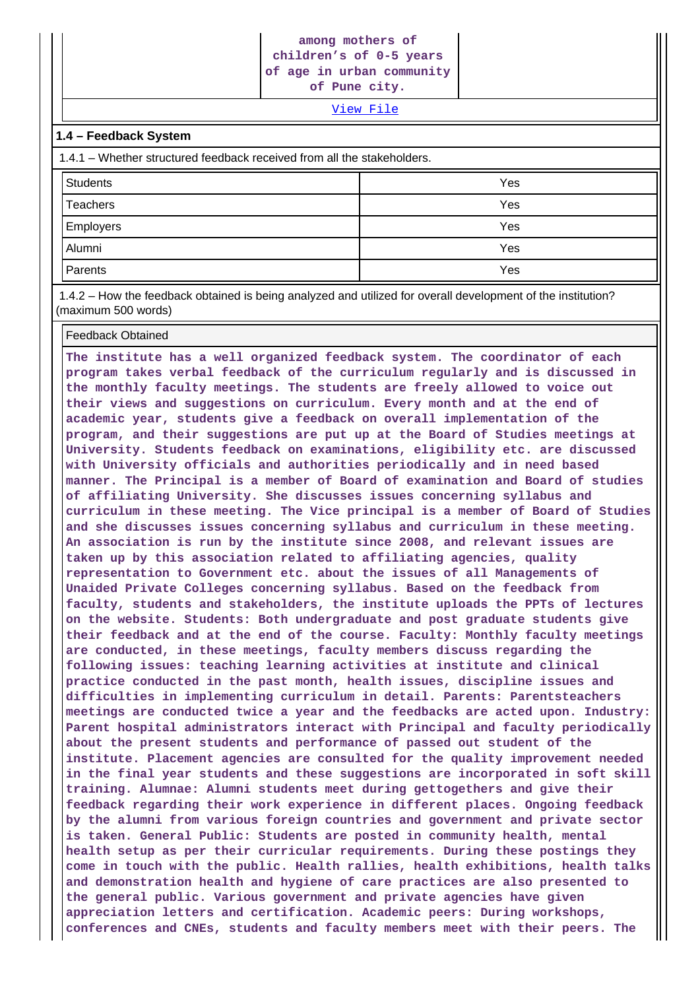#### **among mothers of children's of 0-5 years of age in urban community**

**of Pune city.**

[View File](https://assessmentonline.naac.gov.in/public/Postacc/Projects_undertaken/974_Projects_undertaken_1621995379.xlsx)

#### **1.4 – Feedback System**

| 1.4.1 – Whether structured feedback received from all the stakeholders. |     |  |  |  |
|-------------------------------------------------------------------------|-----|--|--|--|
| <b>Students</b>                                                         | Yes |  |  |  |
| <b>Teachers</b>                                                         | Yes |  |  |  |
| <b>Employers</b>                                                        | Yes |  |  |  |
| Alumni                                                                  | Yes |  |  |  |
| Parents                                                                 | Yes |  |  |  |

 1.4.2 – How the feedback obtained is being analyzed and utilized for overall development of the institution? (maximum 500 words)

#### Feedback Obtained

**The institute has a well organized feedback system. The coordinator of each program takes verbal feedback of the curriculum regularly and is discussed in the monthly faculty meetings. The students are freely allowed to voice out their views and suggestions on curriculum. Every month and at the end of academic year, students give a feedback on overall implementation of the program, and their suggestions are put up at the Board of Studies meetings at University. Students feedback on examinations, eligibility etc. are discussed with University officials and authorities periodically and in need based manner. The Principal is a member of Board of examination and Board of studies of affiliating University. She discusses issues concerning syllabus and curriculum in these meeting. The Vice principal is a member of Board of Studies and she discusses issues concerning syllabus and curriculum in these meeting. An association is run by the institute since 2008, and relevant issues are taken up by this association related to affiliating agencies, quality representation to Government etc. about the issues of all Managements of Unaided Private Colleges concerning syllabus. Based on the feedback from faculty, students and stakeholders, the institute uploads the PPTs of lectures on the website. Students: Both undergraduate and post graduate students give their feedback and at the end of the course. Faculty: Monthly faculty meetings are conducted, in these meetings, faculty members discuss regarding the following issues: teaching learning activities at institute and clinical practice conducted in the past month, health issues, discipline issues and difficulties in implementing curriculum in detail. Parents: Parentsteachers meetings are conducted twice a year and the feedbacks are acted upon. Industry: Parent hospital administrators interact with Principal and faculty periodically about the present students and performance of passed out student of the institute. Placement agencies are consulted for the quality improvement needed in the final year students and these suggestions are incorporated in soft skill training. Alumnae: Alumni students meet during gettogethers and give their feedback regarding their work experience in different places. Ongoing feedback by the alumni from various foreign countries and government and private sector is taken. General Public: Students are posted in community health, mental health setup as per their curricular requirements. During these postings they come in touch with the public. Health rallies, health exhibitions, health talks and demonstration health and hygiene of care practices are also presented to the general public. Various government and private agencies have given appreciation letters and certification. Academic peers: During workshops, conferences and CNEs, students and faculty members meet with their peers. The**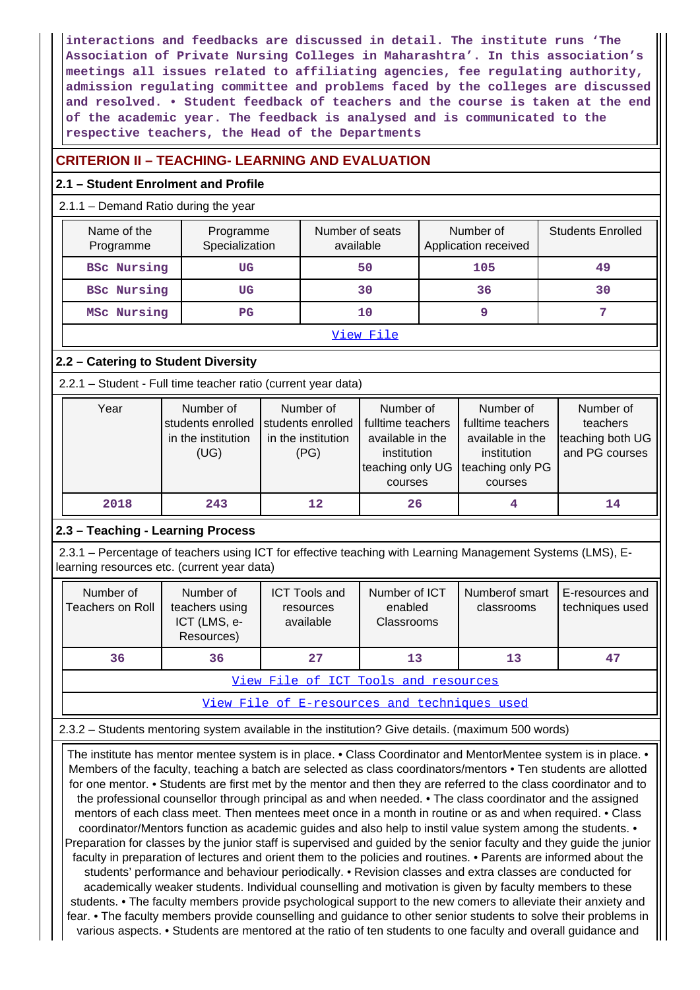**interactions and feedbacks are discussed in detail. The institute runs 'The Association of Private Nursing Colleges in Maharashtra'. In this association's meetings all issues related to affiliating agencies, fee regulating authority, admission regulating committee and problems faced by the colleges are discussed and resolved. • Student feedback of teachers and the course is taken at the end of the academic year. The feedback is analysed and is communicated to the respective teachers, the Head of the Departments**

# **CRITERION II – TEACHING- LEARNING AND EVALUATION**

# **2.1 – Student Enrolment and Profile**

## 2.1.1 – Demand Ratio during the year

| Name of the<br>Programme | Programme<br>Specialization | Number of seats<br>available | Number of<br>Application received | <b>Students Enrolled</b> |
|--------------------------|-----------------------------|------------------------------|-----------------------------------|--------------------------|
| <b>BSc Nursing</b>       | UG                          | 50                           | 105                               | 49                       |
| <b>BSC Nursing</b>       | UG                          | 30                           | 36                                | 30                       |
| MSc Nursing              | PG                          | 10                           |                                   |                          |
| View File                |                             |                              |                                   |                          |

# **2.2 – Catering to Student Diversity**

2.2.1 – Student - Full time teacher ratio (current year data)

| Year | Number of<br>students enrolled<br>in the institution<br>(UG) | Number of<br>students enrolled<br>in the institution<br>(PG) | Number of<br>fulltime teachers<br>available in the<br>institution<br>teaching only UG<br>courses | Number of<br>fulltime teachers<br>available in the<br>institution<br>teaching only PG<br>courses | Number of<br>teachers<br>teaching both UG<br>and PG courses |
|------|--------------------------------------------------------------|--------------------------------------------------------------|--------------------------------------------------------------------------------------------------|--------------------------------------------------------------------------------------------------|-------------------------------------------------------------|
| 2018 | 243                                                          | 12                                                           | 26                                                                                               |                                                                                                  | 14                                                          |

# **2.3 – Teaching - Learning Process**

 2.3.1 – Percentage of teachers using ICT for effective teaching with Learning Management Systems (LMS), Elearning resources etc. (current year data)

| Number of<br>Teachers on Roll        | Number of<br>teachers using<br>ICT (LMS, e-<br>Resources) | <b>ICT Tools and</b><br>resources<br>available | Number of ICT<br>enabled<br>Classrooms | Numberof smart<br>classrooms | E-resources and<br>techniques used |  |  |  |  |
|--------------------------------------|-----------------------------------------------------------|------------------------------------------------|----------------------------------------|------------------------------|------------------------------------|--|--|--|--|
| 36                                   | 36                                                        | 27                                             | 13                                     | 13                           | 47                                 |  |  |  |  |
| View File of ICT Tools and resources |                                                           |                                                |                                        |                              |                                    |  |  |  |  |

[View File of E-resources and techniques used](https://assessmentonline.naac.gov.in/public/Postacc/e_resource/974_e_resource_1622082608.xlsx)

2.3.2 – Students mentoring system available in the institution? Give details. (maximum 500 words)

 The institute has mentor mentee system is in place. • Class Coordinator and MentorMentee system is in place. • Members of the faculty, teaching a batch are selected as class coordinators/mentors • Ten students are allotted for one mentor. • Students are first met by the mentor and then they are referred to the class coordinator and to the professional counsellor through principal as and when needed. • The class coordinator and the assigned mentors of each class meet. Then mentees meet once in a month in routine or as and when required. • Class coordinator/Mentors function as academic guides and also help to instil value system among the students. • Preparation for classes by the junior staff is supervised and guided by the senior faculty and they guide the junior faculty in preparation of lectures and orient them to the policies and routines. • Parents are informed about the students' performance and behaviour periodically. • Revision classes and extra classes are conducted for academically weaker students. Individual counselling and motivation is given by faculty members to these students. • The faculty members provide psychological support to the new comers to alleviate their anxiety and fear. • The faculty members provide counselling and guidance to other senior students to solve their problems in various aspects. • Students are mentored at the ratio of ten students to one faculty and overall guidance and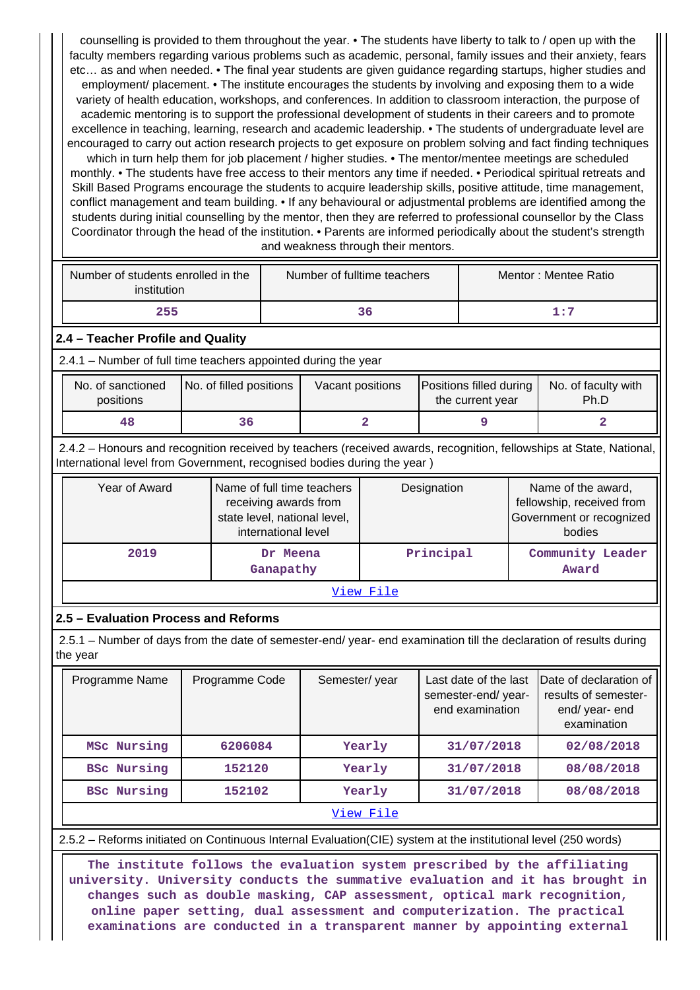counselling is provided to them throughout the year. • The students have liberty to talk to / open up with the faculty members regarding various problems such as academic, personal, family issues and their anxiety, fears etc… as and when needed. • The final year students are given guidance regarding startups, higher studies and employment/ placement. • The institute encourages the students by involving and exposing them to a wide variety of health education, workshops, and conferences. In addition to classroom interaction, the purpose of academic mentoring is to support the professional development of students in their careers and to promote excellence in teaching, learning, research and academic leadership. • The students of undergraduate level are encouraged to carry out action research projects to get exposure on problem solving and fact finding techniques which in turn help them for job placement / higher studies. • The mentor/mentee meetings are scheduled monthly. • The students have free access to their mentors any time if needed. • Periodical spiritual retreats and Skill Based Programs encourage the students to acquire leadership skills, positive attitude, time management, conflict management and team building. • If any behavioural or adjustmental problems are identified among the students during initial counselling by the mentor, then they are referred to professional counsellor by the Class

Coordinator through the head of the institution. • Parents are informed periodically about the student's strength and weakness through their mentors.

| Number of students enrolled in the<br>institution | Number of fulltime teachers | Mentor: Mentee Ratio |
|---------------------------------------------------|-----------------------------|----------------------|
| 255                                               | 36                          | 1:7                  |

#### **2.4 – Teacher Profile and Quality**

2.4.1 – Number of full time teachers appointed during the year

| No. of sanctioned<br>positions | No. of filled positions | Vacant positions | Positions filled during<br>the current year | No. of faculty with<br>Ph.D |
|--------------------------------|-------------------------|------------------|---------------------------------------------|-----------------------------|
| 48                             |                         |                  |                                             |                             |

 2.4.2 – Honours and recognition received by teachers (received awards, recognition, fellowships at State, National, International level from Government, recognised bodies during the year )

| Year of Award | Name of full time teachers<br>receiving awards from<br>state level, national level,<br>international level | Designation | Name of the award,<br>fellowship, received from<br>Government or recognized<br>bodies |  |  |  |  |
|---------------|------------------------------------------------------------------------------------------------------------|-------------|---------------------------------------------------------------------------------------|--|--|--|--|
| 2019          | Dr Meena<br>Ganapathy                                                                                      | Principal   | Community Leader<br>Award                                                             |  |  |  |  |
| View File     |                                                                                                            |             |                                                                                       |  |  |  |  |

#### **2.5 – Evaluation Process and Reforms**

 2.5.1 – Number of days from the date of semester-end/ year- end examination till the declaration of results during the year

| Programme Name     | Programme Code | Semester/year | Last date of the last<br>semester-end/year-<br>end examination | Date of declaration of<br>results of semester-<br>end/year-end<br>examination |
|--------------------|----------------|---------------|----------------------------------------------------------------|-------------------------------------------------------------------------------|
| MSc Nursing        | 6206084        | Yearly        | 31/07/2018                                                     | 02/08/2018                                                                    |
| <b>BSc Nursing</b> | 152120         | Yearly        | 31/07/2018                                                     | 08/08/2018                                                                    |
| <b>BSc Nursing</b> | 152102         | Yearly        | 31/07/2018                                                     | 08/08/2018                                                                    |
|                    |                | View File     |                                                                |                                                                               |

2.5.2 – Reforms initiated on Continuous Internal Evaluation(CIE) system at the institutional level (250 words)

 **The institute follows the evaluation system prescribed by the affiliating university. University conducts the summative evaluation and it has brought in changes such as double masking, CAP assessment, optical mark recognition, online paper setting, dual assessment and computerization. The practical examinations are conducted in a transparent manner by appointing external**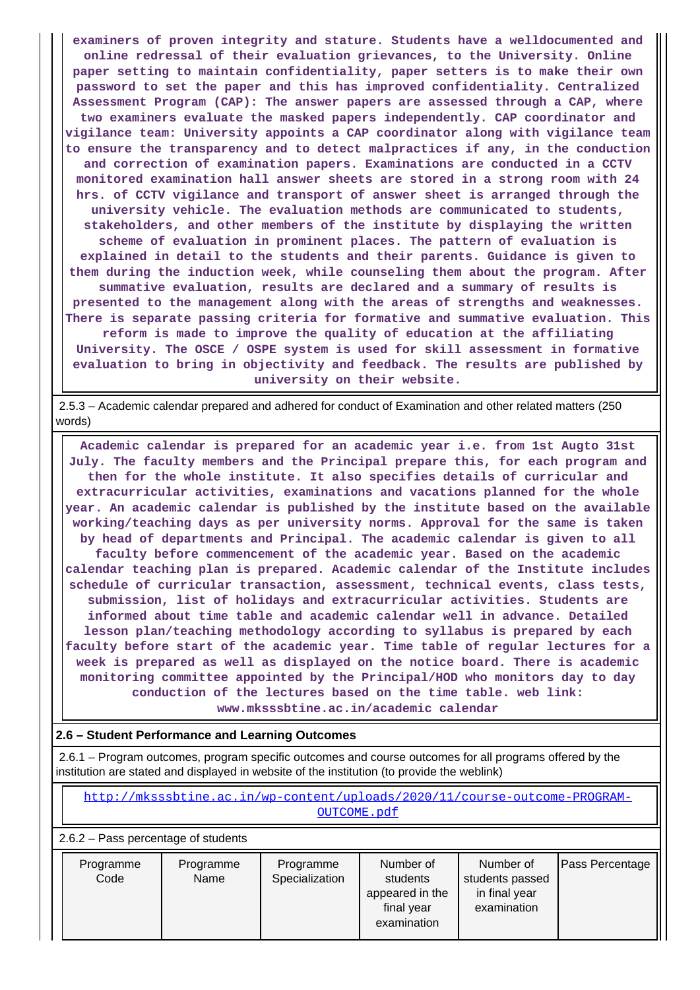**examiners of proven integrity and stature. Students have a welldocumented and online redressal of their evaluation grievances, to the University. Online paper setting to maintain confidentiality, paper setters is to make their own password to set the paper and this has improved confidentiality. Centralized Assessment Program (CAP): The answer papers are assessed through a CAP, where two examiners evaluate the masked papers independently. CAP coordinator and vigilance team: University appoints a CAP coordinator along with vigilance team to ensure the transparency and to detect malpractices if any, in the conduction and correction of examination papers. Examinations are conducted in a CCTV monitored examination hall answer sheets are stored in a strong room with 24 hrs. of CCTV vigilance and transport of answer sheet is arranged through the university vehicle. The evaluation methods are communicated to students, stakeholders, and other members of the institute by displaying the written scheme of evaluation in prominent places. The pattern of evaluation is explained in detail to the students and their parents. Guidance is given to them during the induction week, while counseling them about the program. After summative evaluation, results are declared and a summary of results is presented to the management along with the areas of strengths and weaknesses. There is separate passing criteria for formative and summative evaluation. This reform is made to improve the quality of education at the affiliating University. The OSCE / OSPE system is used for skill assessment in formative evaluation to bring in objectivity and feedback. The results are published by university on their website.**

 2.5.3 – Academic calendar prepared and adhered for conduct of Examination and other related matters (250 words)

 **Academic calendar is prepared for an academic year i.e. from 1st Augto 31st July. The faculty members and the Principal prepare this, for each program and then for the whole institute. It also specifies details of curricular and extracurricular activities, examinations and vacations planned for the whole year. An academic calendar is published by the institute based on the available working/teaching days as per university norms. Approval for the same is taken by head of departments and Principal. The academic calendar is given to all faculty before commencement of the academic year. Based on the academic calendar teaching plan is prepared. Academic calendar of the Institute includes schedule of curricular transaction, assessment, technical events, class tests, submission, list of holidays and extracurricular activities. Students are informed about time table and academic calendar well in advance. Detailed lesson plan/teaching methodology according to syllabus is prepared by each faculty before start of the academic year. Time table of regular lectures for a week is prepared as well as displayed on the notice board. There is academic monitoring committee appointed by the Principal/HOD who monitors day to day conduction of the lectures based on the time table. web link: www.mksssbtine.ac.in/academic calendar**

#### **2.6 – Student Performance and Learning Outcomes**

 2.6.1 – Program outcomes, program specific outcomes and course outcomes for all programs offered by the institution are stated and displayed in website of the institution (to provide the weblink)

 [http://mksssbtine.ac.in/wp-content/uploads/2020/11/course-outcome-PROGRAM-](http://mksssbtine.ac.in/wp-content/uploads/2020/11/course-outcome-PROGRAM-OUTCOME.pdf)[OUTCOME.pdf](http://mksssbtine.ac.in/wp-content/uploads/2020/11/course-outcome-PROGRAM-OUTCOME.pdf)

2.6.2 – Pass percentage of students

| examination<br>final year<br>examination | Programme<br>Code | Programme<br>Name | Programme<br>Specialization | Number of<br>students<br>appeared in the | Number of<br>students passed<br>in final year | <b>Pass Percentage</b> |
|------------------------------------------|-------------------|-------------------|-----------------------------|------------------------------------------|-----------------------------------------------|------------------------|
|------------------------------------------|-------------------|-------------------|-----------------------------|------------------------------------------|-----------------------------------------------|------------------------|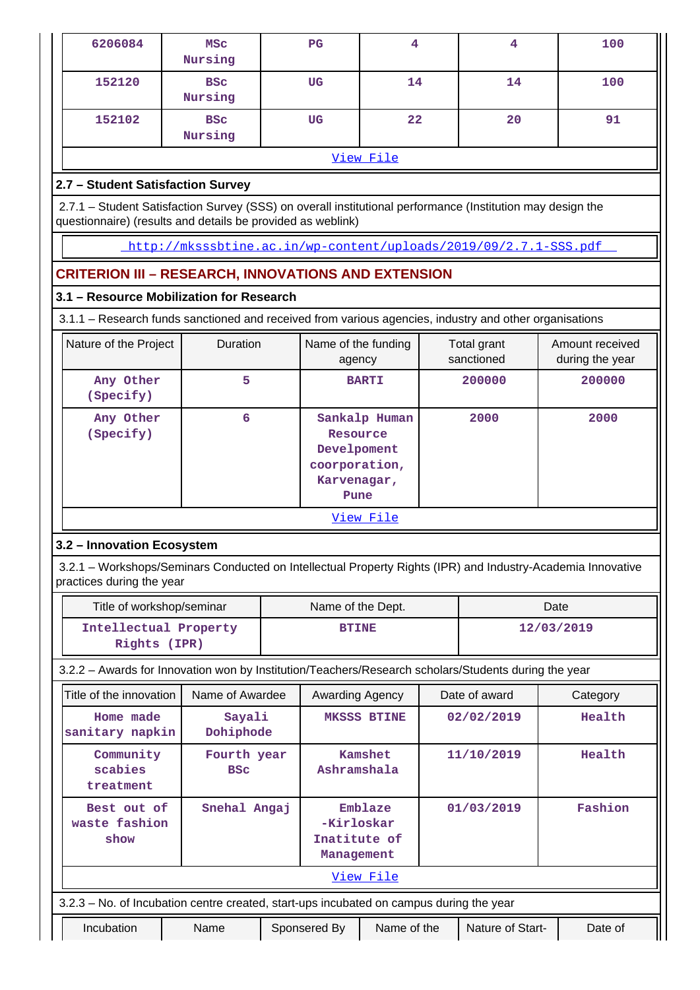| 6206084                               | <b>MSC</b><br>Nursing                                                                                                                                                     | $_{\rm PG}$                                                     | 4                  | 4                         | 100                                                                                                         |
|---------------------------------------|---------------------------------------------------------------------------------------------------------------------------------------------------------------------------|-----------------------------------------------------------------|--------------------|---------------------------|-------------------------------------------------------------------------------------------------------------|
| 152120                                | <b>BSC</b><br>Nursing                                                                                                                                                     | UG                                                              | 14                 | 14                        | 100                                                                                                         |
| 152102                                | <b>BSC</b><br>Nursing                                                                                                                                                     | <b>UG</b>                                                       | 22                 | 20                        | 91                                                                                                          |
|                                       |                                                                                                                                                                           |                                                                 | View File          |                           |                                                                                                             |
| 2.7 - Student Satisfaction Survey     |                                                                                                                                                                           |                                                                 |                    |                           |                                                                                                             |
|                                       | 2.7.1 - Student Satisfaction Survey (SSS) on overall institutional performance (Institution may design the<br>questionnaire) (results and details be provided as weblink) |                                                                 |                    |                           |                                                                                                             |
|                                       | http://mksssbtine.ac.in/wp-content/uploads/2019/09/2.7.1-SSS.pdf                                                                                                          |                                                                 |                    |                           |                                                                                                             |
|                                       | <b>CRITERION III - RESEARCH, INNOVATIONS AND EXTENSION</b>                                                                                                                |                                                                 |                    |                           |                                                                                                             |
|                                       | 3.1 - Resource Mobilization for Research                                                                                                                                  |                                                                 |                    |                           |                                                                                                             |
|                                       | 3.1.1 - Research funds sanctioned and received from various agencies, industry and other organisations                                                                    |                                                                 |                    |                           |                                                                                                             |
| Nature of the Project                 | Duration                                                                                                                                                                  | Name of the funding<br>agency                                   |                    | Total grant<br>sanctioned | Amount received<br>during the year                                                                          |
| Any Other<br>(Specify)                | 5                                                                                                                                                                         |                                                                 | <b>BARTI</b>       | 200000<br>200000          |                                                                                                             |
| Any Other<br>(Specify)                | 6                                                                                                                                                                         | Resource<br>Develpoment<br>coorporation,<br>Karvenagar,<br>Pune | Sankalp Human      | 2000                      | 2000                                                                                                        |
|                                       |                                                                                                                                                                           |                                                                 | View File          |                           |                                                                                                             |
| 3.2 - Innovation Ecosystem            |                                                                                                                                                                           |                                                                 |                    |                           |                                                                                                             |
| practices during the year             |                                                                                                                                                                           |                                                                 |                    |                           | 3.2.1 - Workshops/Seminars Conducted on Intellectual Property Rights (IPR) and Industry-Academia Innovative |
| Title of workshop/seminar             |                                                                                                                                                                           | Name of the Dept.                                               |                    |                           | Date                                                                                                        |
| Intellectual Property<br>Rights (IPR) |                                                                                                                                                                           | <b>BTINE</b>                                                    |                    |                           | 12/03/2019                                                                                                  |
|                                       | 3.2.2 - Awards for Innovation won by Institution/Teachers/Research scholars/Students during the year                                                                      |                                                                 |                    |                           |                                                                                                             |
| Title of the innovation               | Name of Awardee                                                                                                                                                           | Awarding Agency                                                 |                    | Date of award             | Category                                                                                                    |
| Home made<br>sanitary napkin          | Sayali<br>Dohiphode                                                                                                                                                       |                                                                 | <b>MKSSS BTINE</b> | 02/02/2019                | Health                                                                                                      |
| Community<br>scabies<br>treatment     | Fourth year<br><b>BSC</b>                                                                                                                                                 | Ashramshala                                                     | Kamshet            | 11/10/2019                | Health                                                                                                      |
| Best out of<br>waste fashion<br>show  | Snehal Angaj                                                                                                                                                              | -Kirloskar<br>Inatitute of<br>Management                        | Emblaze            | 01/03/2019                | Fashion                                                                                                     |
|                                       |                                                                                                                                                                           |                                                                 | View File          |                           |                                                                                                             |
|                                       | 3.2.3 - No. of Incubation centre created, start-ups incubated on campus during the year                                                                                   |                                                                 |                    |                           |                                                                                                             |
| Incubation                            | Name                                                                                                                                                                      | Sponsered By                                                    | Name of the        | Nature of Start-          | Date of                                                                                                     |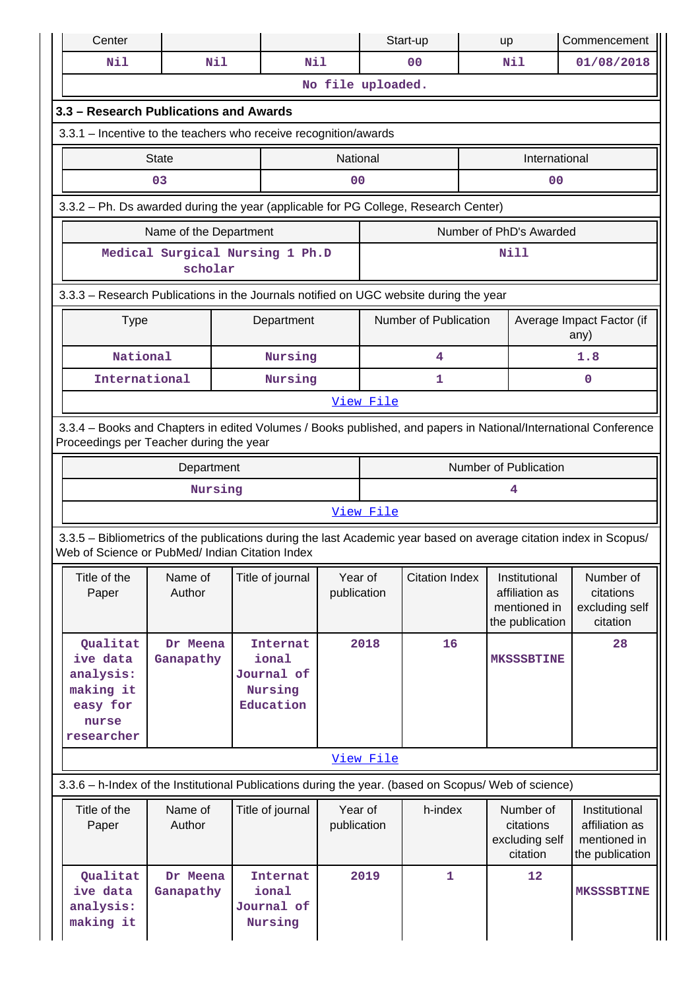| Center                                                                                                                                                                |                                            |  |                                                                |                        |           | Start-up              |                                   | up                                                                 | Commencement                                                       |  |
|-----------------------------------------------------------------------------------------------------------------------------------------------------------------------|--------------------------------------------|--|----------------------------------------------------------------|------------------------|-----------|-----------------------|-----------------------------------|--------------------------------------------------------------------|--------------------------------------------------------------------|--|
| <b>Nil</b>                                                                                                                                                            | Nil                                        |  | Nil                                                            |                        |           | 0 <sub>0</sub>        |                                   | Nil                                                                | 01/08/2018                                                         |  |
|                                                                                                                                                                       |                                            |  |                                                                | No file uploaded.      |           |                       |                                   |                                                                    |                                                                    |  |
| 3.3 - Research Publications and Awards                                                                                                                                |                                            |  |                                                                |                        |           |                       |                                   |                                                                    |                                                                    |  |
| 3.3.1 - Incentive to the teachers who receive recognition/awards                                                                                                      |                                            |  |                                                                |                        |           |                       |                                   |                                                                    |                                                                    |  |
|                                                                                                                                                                       | <b>State</b>                               |  |                                                                | National               |           |                       |                                   | International                                                      |                                                                    |  |
|                                                                                                                                                                       | 03                                         |  |                                                                | 0 <sub>0</sub>         |           |                       |                                   | 0 <sub>0</sub>                                                     |                                                                    |  |
| 3.3.2 - Ph. Ds awarded during the year (applicable for PG College, Research Center)                                                                                   |                                            |  |                                                                |                        |           |                       |                                   |                                                                    |                                                                    |  |
|                                                                                                                                                                       | Name of the Department                     |  |                                                                |                        |           |                       |                                   | Number of PhD's Awarded                                            |                                                                    |  |
|                                                                                                                                                                       | Medical Surgical Nursing 1 Ph.D<br>scholar |  |                                                                |                        |           |                       |                                   | <b>Nill</b>                                                        |                                                                    |  |
| 3.3.3 - Research Publications in the Journals notified on UGC website during the year                                                                                 |                                            |  |                                                                |                        |           |                       |                                   |                                                                    |                                                                    |  |
| <b>Type</b>                                                                                                                                                           | Number of Publication<br>Department        |  |                                                                |                        |           |                       | Average Impact Factor (if<br>any) |                                                                    |                                                                    |  |
| National<br>Nursing                                                                                                                                                   |                                            |  |                                                                |                        | 4         |                       |                                   | 1.8                                                                |                                                                    |  |
| International                                                                                                                                                         |                                            |  | Nursing                                                        |                        |           | 1                     |                                   |                                                                    | 0                                                                  |  |
|                                                                                                                                                                       |                                            |  |                                                                |                        | View File |                       |                                   |                                                                    |                                                                    |  |
| 3.3.4 - Books and Chapters in edited Volumes / Books published, and papers in National/International Conference<br>Proceedings per Teacher during the year            |                                            |  |                                                                |                        |           |                       |                                   |                                                                    |                                                                    |  |
|                                                                                                                                                                       | Department                                 |  |                                                                |                        |           |                       |                                   | Number of Publication                                              |                                                                    |  |
| Nursing                                                                                                                                                               |                                            |  |                                                                |                        |           |                       |                                   | 4                                                                  |                                                                    |  |
| View File                                                                                                                                                             |                                            |  |                                                                |                        |           |                       |                                   |                                                                    |                                                                    |  |
| 3.3.5 - Bibliometrics of the publications during the last Academic year based on average citation index in Scopus/<br>Web of Science or PubMed/ Indian Citation Index |                                            |  |                                                                |                        |           |                       |                                   |                                                                    |                                                                    |  |
| Title of the<br>Paper                                                                                                                                                 | Name of<br>Author                          |  | Title of journal                                               | Year of<br>publication |           | <b>Citation Index</b> |                                   | Institutional<br>affiliation as<br>mentioned in<br>the publication | Number of<br>citations<br>excluding self<br>citation               |  |
| Qualitat<br>ive data<br>analysis:<br>making it<br>easy for<br>nurse<br>researcher                                                                                     | Dr Meena<br>Ganapathy                      |  | <b>Internat</b><br>ional<br>Journal of<br>Nursing<br>Education | 2018                   |           | 16                    |                                   | <b>MKSSSBTINE</b>                                                  | 28                                                                 |  |
|                                                                                                                                                                       |                                            |  |                                                                |                        | View File |                       |                                   |                                                                    |                                                                    |  |
| 3.3.6 - h-Index of the Institutional Publications during the year. (based on Scopus/ Web of science)                                                                  |                                            |  |                                                                |                        |           |                       |                                   |                                                                    |                                                                    |  |
| Title of the<br>Paper                                                                                                                                                 | Name of<br>Author                          |  | Title of journal                                               | Year of<br>publication |           | h-index               |                                   | Number of<br>citations<br>excluding self<br>citation               | Institutional<br>affiliation as<br>mentioned in<br>the publication |  |
| Qualitat<br>ive data<br>analysis:<br>making it                                                                                                                        | Dr Meena<br>Ganapathy                      |  | <b>Internat</b><br>ional<br>Journal of<br>Nursing              |                        | 2019      | $\mathbf{1}$          |                                   | 12                                                                 | <b>MKSSSBTINE</b>                                                  |  |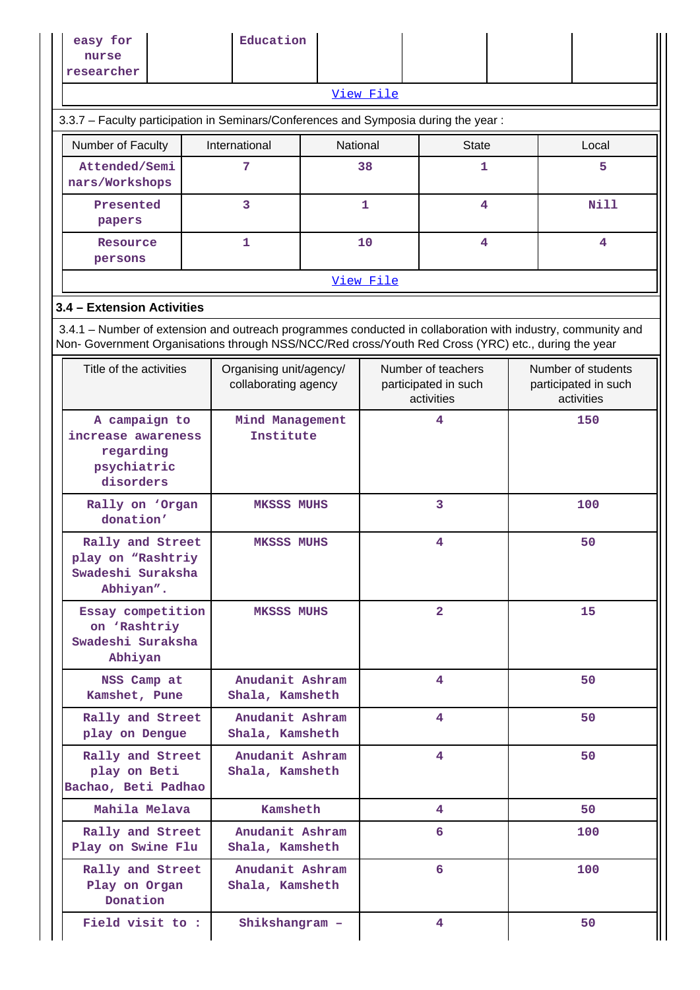| easy for<br>nurse<br>researcher                                                                                                           |                                                                             | Education                                       |                                                          |              |                |  |                                                          |       |  |  |  |
|-------------------------------------------------------------------------------------------------------------------------------------------|-----------------------------------------------------------------------------|-------------------------------------------------|----------------------------------------------------------|--------------|----------------|--|----------------------------------------------------------|-------|--|--|--|
|                                                                                                                                           |                                                                             |                                                 |                                                          | View File    |                |  |                                                          |       |  |  |  |
| 3.3.7 - Faculty participation in Seminars/Conferences and Symposia during the year:                                                       |                                                                             |                                                 |                                                          |              |                |  |                                                          |       |  |  |  |
| Number of Faculty                                                                                                                         |                                                                             | International                                   | National                                                 |              | <b>State</b>   |  |                                                          | Local |  |  |  |
| Attended/Semi<br>nars/Workshops                                                                                                           |                                                                             | 7                                               |                                                          | 38           | 1              |  |                                                          | 5     |  |  |  |
| Presented<br>papers                                                                                                                       |                                                                             | 3                                               |                                                          | $\mathbf{1}$ | 4              |  |                                                          | Nill  |  |  |  |
| Resource<br>persons                                                                                                                       |                                                                             | 1                                               |                                                          | 10           | 4              |  |                                                          | 4     |  |  |  |
|                                                                                                                                           |                                                                             |                                                 |                                                          | View File    |                |  |                                                          |       |  |  |  |
| 3.4 - Extension Activities<br>3.4.1 – Number of extension and outreach programmes conducted in collaboration with industry, community and |                                                                             |                                                 |                                                          |              |                |  |                                                          |       |  |  |  |
| Non- Government Organisations through NSS/NCC/Red cross/Youth Red Cross (YRC) etc., during the year                                       |                                                                             |                                                 |                                                          |              |                |  |                                                          |       |  |  |  |
| Title of the activities                                                                                                                   |                                                                             | Organising unit/agency/<br>collaborating agency | Number of teachers<br>participated in such<br>activities |              |                |  | Number of students<br>participated in such<br>activities |       |  |  |  |
| A campaign to<br>increase awareness<br>regarding<br>psychiatric<br>disorders                                                              |                                                                             |                                                 | Mind Management<br>Institute                             |              | 4              |  |                                                          | 150   |  |  |  |
| donation'                                                                                                                                 | Rally on 'Organ<br><b>MKSSS MUHS</b>                                        |                                                 |                                                          | 3            |                |  |                                                          | 100   |  |  |  |
| Rally and Street<br>play on "Rashtriy<br>Swadeshi Suraksha<br>Abhiyan".                                                                   |                                                                             | <b>MKSSS MUHS</b>                               |                                                          | 4            |                |  |                                                          | 50    |  |  |  |
| Abhiyan                                                                                                                                   | Essay competition<br><b>MKSSS MUHS</b><br>on 'Rashtriy<br>Swadeshi Suraksha |                                                 |                                                          |              | $\overline{2}$ |  |                                                          | 15    |  |  |  |
| NSS Camp at<br>Kamshet, Pune                                                                                                              |                                                                             | Anudanit Ashram<br>Shala, Kamsheth              |                                                          |              | 4              |  |                                                          | 50    |  |  |  |
| Rally and Street<br>play on Dengue                                                                                                        |                                                                             | Anudanit Ashram<br>Shala, Kamsheth              |                                                          |              | 4              |  |                                                          | 50    |  |  |  |
| Rally and Street<br>play on Beti<br>Bachao, Beti Padhao                                                                                   |                                                                             | Anudanit Ashram<br>Shala, Kamsheth              |                                                          |              | 4              |  |                                                          | 50    |  |  |  |
| Mahila Melava                                                                                                                             |                                                                             | Kamsheth                                        |                                                          |              | 4              |  |                                                          | 50    |  |  |  |
| Rally and Street<br>Play on Swine Flu                                                                                                     |                                                                             | Anudanit Ashram<br>Shala, Kamsheth              |                                                          |              | 6              |  |                                                          | 100   |  |  |  |
| Rally and Street<br>Play on Organ<br>Donation                                                                                             |                                                                             | Anudanit Ashram<br>Shala, Kamsheth              |                                                          |              | 6              |  |                                                          | 100   |  |  |  |
| Field visit to:                                                                                                                           |                                                                             | Shikshangram -                                  |                                                          |              | 4              |  |                                                          | 50    |  |  |  |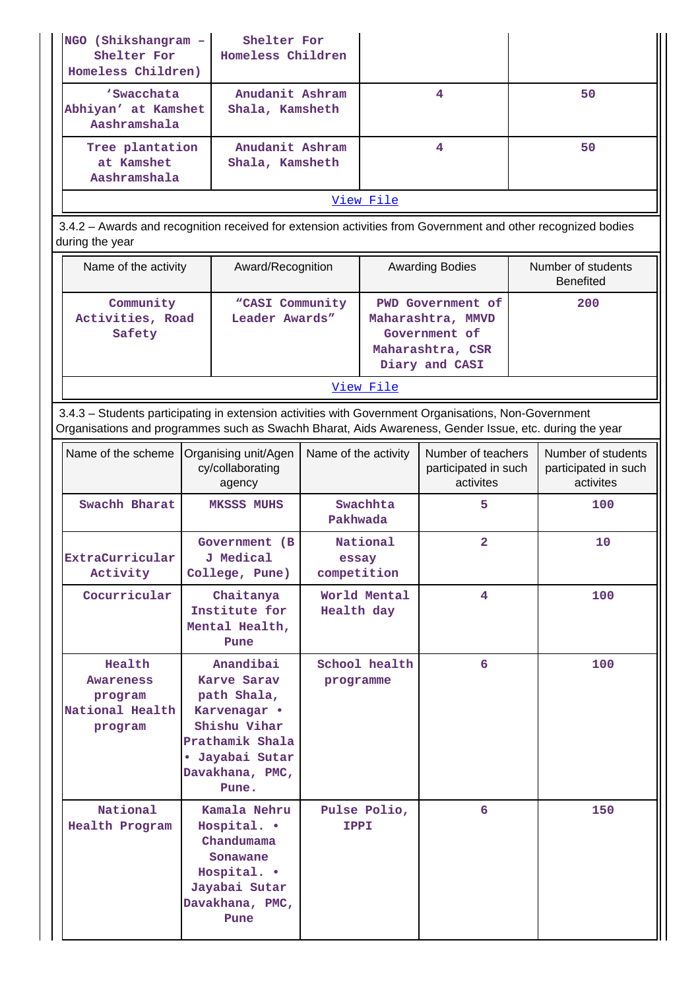| NGO (Shikshangram -<br>Shelter For<br>Homeless Children)                                                                                                                                                       |  | Shelter For<br>Homeless Children                                                                                                          |                                  |                         |                                                                                               |  |                                                         |  |  |  |  |
|----------------------------------------------------------------------------------------------------------------------------------------------------------------------------------------------------------------|--|-------------------------------------------------------------------------------------------------------------------------------------------|----------------------------------|-------------------------|-----------------------------------------------------------------------------------------------|--|---------------------------------------------------------|--|--|--|--|
| 'Swacchata<br>Abhiyan' at Kamshet<br>Aashramshala                                                                                                                                                              |  | Anudanit Ashram<br>Shala, Kamsheth                                                                                                        |                                  |                         | $\overline{\mathbf{4}}$                                                                       |  | 50                                                      |  |  |  |  |
| Tree plantation<br>at Kamshet<br>Aashramshala                                                                                                                                                                  |  | Anudanit Ashram<br>Shala, Kamsheth                                                                                                        |                                  | $\overline{\mathbf{4}}$ |                                                                                               |  | 50                                                      |  |  |  |  |
|                                                                                                                                                                                                                |  |                                                                                                                                           |                                  | View File               |                                                                                               |  |                                                         |  |  |  |  |
| 3.4.2 - Awards and recognition received for extension activities from Government and other recognized bodies<br>during the year                                                                                |  |                                                                                                                                           |                                  |                         |                                                                                               |  |                                                         |  |  |  |  |
| Name of the activity<br>Award/Recognition                                                                                                                                                                      |  |                                                                                                                                           |                                  |                         | <b>Awarding Bodies</b>                                                                        |  | Number of students<br><b>Benefited</b>                  |  |  |  |  |
| Community<br>"CASI Community<br>Activities, Road<br>Leader Awards"<br>Safety                                                                                                                                   |  |                                                                                                                                           |                                  |                         | PWD Government of<br>Maharashtra, MMVD<br>Government of<br>Maharashtra, CSR<br>Diary and CASI |  | 200                                                     |  |  |  |  |
| View File                                                                                                                                                                                                      |  |                                                                                                                                           |                                  |                         |                                                                                               |  |                                                         |  |  |  |  |
| 3.4.3 - Students participating in extension activities with Government Organisations, Non-Government<br>Organisations and programmes such as Swachh Bharat, Aids Awareness, Gender Issue, etc. during the year |  |                                                                                                                                           |                                  |                         |                                                                                               |  |                                                         |  |  |  |  |
| Name of the scheme                                                                                                                                                                                             |  | Organising unit/Agen<br>cy/collaborating<br>agency                                                                                        | Name of the activity             |                         | Number of teachers<br>participated in such<br>activites                                       |  | Number of students<br>participated in such<br>activites |  |  |  |  |
| Swachh Bharat                                                                                                                                                                                                  |  | <b>MKSSS MUHS</b>                                                                                                                         | Swachhta<br>Pakhwada             |                         | 5                                                                                             |  | 100                                                     |  |  |  |  |
| Extracurricular<br>Activity                                                                                                                                                                                    |  | Government (B<br>J Medical<br>College, Pune)                                                                                              | National<br>essay<br>competition |                         | $\overline{a}$                                                                                |  | 10                                                      |  |  |  |  |
| Cocurricular                                                                                                                                                                                                   |  | Chaitanya<br>Institute for<br>Mental Health,<br>Pune                                                                                      | World Mental<br>Health day       |                         | 4                                                                                             |  | 100                                                     |  |  |  |  |
| Health<br>Awareness<br>program<br>National Health<br>program                                                                                                                                                   |  | Anandibai<br>Karve Sarav<br>path Shala,<br>Karvenagar •<br>Shishu Vihar<br>Prathamik Shala<br>· Jayabai Sutar<br>Davakhana, PMC,<br>Pune. | School health<br>programme       |                         | 6                                                                                             |  | 100                                                     |  |  |  |  |
| National<br>Health Program                                                                                                                                                                                     |  | Kamala Nehru<br>Hospital. .<br>Chandumama<br>Sonawane<br>Hospital. .<br>Jayabai Sutar<br>Davakhana, PMC,<br>Pune                          | Pulse Polio,<br>IPPI             |                         | 6                                                                                             |  | 150                                                     |  |  |  |  |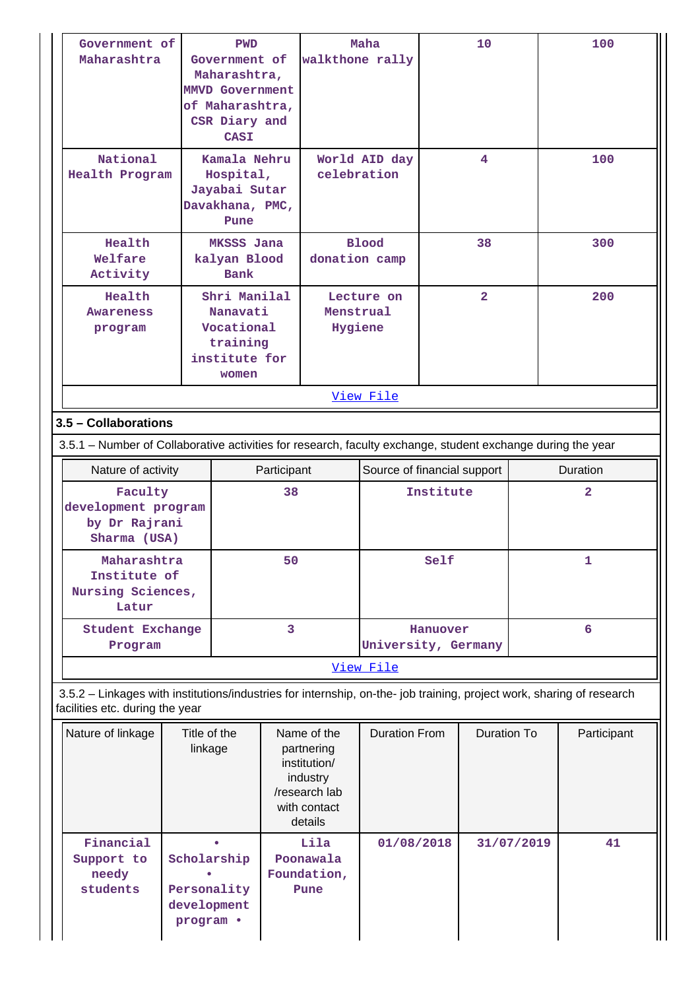| Government of                                                                                                                                            |                           | <b>PWD</b>                                |             |                           | Maha                        |           | 10                 |            | 100            |
|----------------------------------------------------------------------------------------------------------------------------------------------------------|---------------------------|-------------------------------------------|-------------|---------------------------|-----------------------------|-----------|--------------------|------------|----------------|
| Maharashtra                                                                                                                                              |                           | Government of                             |             | walkthone rally           |                             |           |                    |            |                |
|                                                                                                                                                          |                           | Maharashtra,                              |             |                           |                             |           |                    |            |                |
|                                                                                                                                                          |                           | <b>MMVD Government</b><br>of Maharashtra, |             |                           |                             |           |                    |            |                |
|                                                                                                                                                          |                           | CSR Diary and                             |             |                           |                             |           |                    |            |                |
|                                                                                                                                                          |                           | <b>CASI</b>                               |             |                           |                             |           |                    |            |                |
| National                                                                                                                                                 |                           | Kamala Nehru                              |             |                           |                             |           | 4                  |            | 100            |
| Health Program                                                                                                                                           |                           | Hospital,                                 |             | celebration               | World AID day               |           |                    |            |                |
|                                                                                                                                                          |                           | Jayabai Sutar                             |             |                           |                             |           |                    |            |                |
|                                                                                                                                                          |                           | Davakhana, PMC,                           |             |                           |                             |           |                    |            |                |
|                                                                                                                                                          |                           | Pune                                      |             |                           |                             |           |                    |            |                |
| Health                                                                                                                                                   |                           | MKSSS Jana                                |             |                           | <b>Blood</b>                |           | 38                 |            | 300            |
| Welfare                                                                                                                                                  |                           | kalyan Blood                              |             | donation camp             |                             |           |                    |            |                |
| Activity                                                                                                                                                 |                           | Bank                                      |             |                           |                             |           |                    |            |                |
| Health                                                                                                                                                   |                           | Shri Manilal                              |             |                           | Lecture on                  |           | $\overline{2}$     |            | 200            |
| <b>Awareness</b>                                                                                                                                         | Nanavati                  |                                           |             | Menstrual                 |                             |           |                    |            |                |
| program                                                                                                                                                  |                           | Vocational                                |             | Hygiene                   |                             |           |                    |            |                |
|                                                                                                                                                          | training<br>institute for |                                           |             |                           |                             |           |                    |            |                |
|                                                                                                                                                          |                           | women                                     |             |                           |                             |           |                    |            |                |
|                                                                                                                                                          |                           |                                           |             |                           |                             |           |                    |            |                |
|                                                                                                                                                          |                           |                                           |             |                           | View File                   |           |                    |            |                |
| 3.5 - Collaborations                                                                                                                                     |                           |                                           |             |                           |                             |           |                    |            |                |
| 3.5.1 - Number of Collaborative activities for research, faculty exchange, student exchange during the year                                              |                           |                                           |             |                           |                             |           |                    |            |                |
| Nature of activity                                                                                                                                       |                           |                                           | Participant |                           | Source of financial support |           |                    |            | Duration       |
| Faculty                                                                                                                                                  |                           |                                           | 38          |                           |                             | Institute |                    |            | $\overline{2}$ |
| development program                                                                                                                                      |                           |                                           |             |                           |                             |           |                    |            |                |
| by Dr Rajrani<br>Sharma (USA)                                                                                                                            |                           |                                           |             |                           |                             |           |                    |            |                |
|                                                                                                                                                          |                           |                                           |             |                           |                             |           |                    |            |                |
| Maharashtra                                                                                                                                              |                           |                                           | 50          |                           |                             | Self      |                    |            | 1              |
| Institute of<br>Nursing Sciences,                                                                                                                        |                           |                                           |             |                           |                             |           |                    |            |                |
| Latur                                                                                                                                                    |                           |                                           |             |                           |                             |           |                    |            |                |
| <b>Student Exchange</b>                                                                                                                                  |                           |                                           | 3           |                           |                             | Hanuover  |                    | 6          |                |
| Program                                                                                                                                                  |                           |                                           |             |                           | University, Germany         |           |                    |            |                |
|                                                                                                                                                          |                           |                                           |             |                           | View File                   |           |                    |            |                |
|                                                                                                                                                          |                           |                                           |             |                           |                             |           |                    |            |                |
| 3.5.2 - Linkages with institutions/industries for internship, on-the- job training, project work, sharing of research<br>facilities etc. during the year |                           |                                           |             |                           |                             |           |                    |            |                |
| Nature of linkage                                                                                                                                        | Title of the              |                                           |             | Name of the               | <b>Duration From</b>        |           | <b>Duration To</b> |            | Participant    |
|                                                                                                                                                          | linkage                   |                                           |             | partnering                |                             |           |                    |            |                |
|                                                                                                                                                          |                           |                                           |             | institution/              |                             |           |                    |            |                |
|                                                                                                                                                          |                           |                                           |             | industry<br>/research lab |                             |           |                    |            |                |
|                                                                                                                                                          |                           |                                           |             | with contact              |                             |           |                    |            |                |
|                                                                                                                                                          |                           |                                           |             | details                   |                             |           |                    |            |                |
| Financial                                                                                                                                                |                           |                                           |             | Lila                      | 01/08/2018                  |           |                    | 31/07/2019 | 41             |
| Support to                                                                                                                                               |                           | Scholarship                               |             | Poonawala                 |                             |           |                    |            |                |
| needy                                                                                                                                                    |                           |                                           |             | Foundation,               |                             |           |                    |            |                |
| students                                                                                                                                                 |                           | Personality                               |             | Pune                      |                             |           |                    |            |                |
|                                                                                                                                                          |                           | development                               |             |                           |                             |           |                    |            |                |
|                                                                                                                                                          | program .                 |                                           |             |                           |                             |           |                    |            |                |
|                                                                                                                                                          |                           |                                           |             |                           |                             |           |                    |            |                |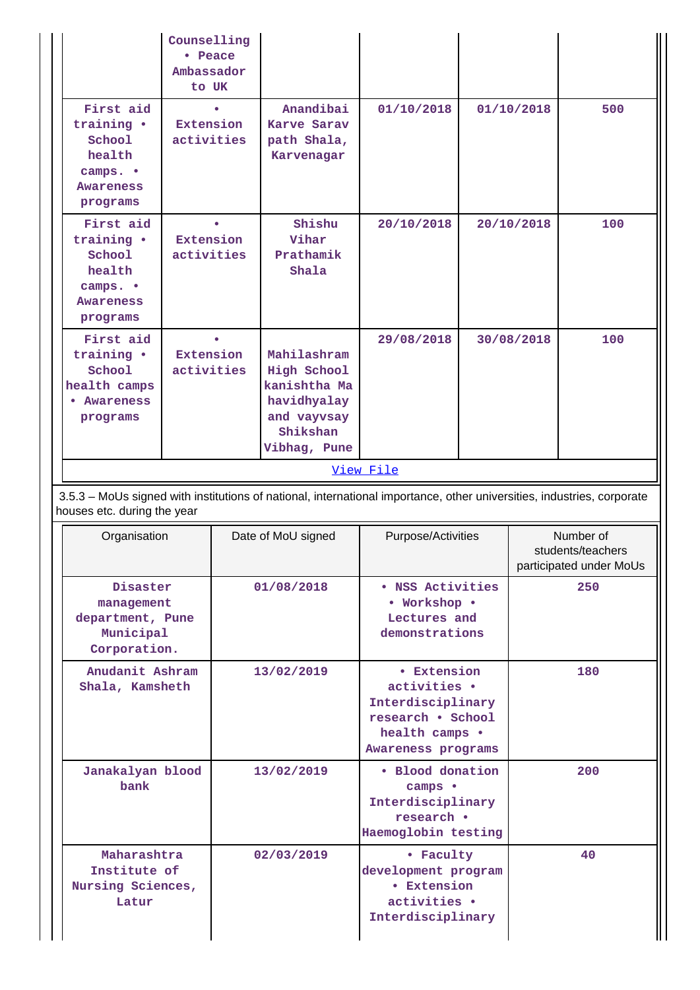|                                                                                                                                                       |                                                                                         | Counselling<br>• Peace<br>Ambassador<br>to UK |            |                                                                                                               |                                                                                             |            |                                                           |     |  |
|-------------------------------------------------------------------------------------------------------------------------------------------------------|-----------------------------------------------------------------------------------------|-----------------------------------------------|------------|---------------------------------------------------------------------------------------------------------------|---------------------------------------------------------------------------------------------|------------|-----------------------------------------------------------|-----|--|
|                                                                                                                                                       | First aid<br>training .<br>School<br>health<br>camps. •<br><b>Awareness</b><br>programs | Extension<br>activities                       |            | Anandibai<br>Karve Sarav<br>path Shala,<br>Karvenagar                                                         | 01/10/2018                                                                                  |            | 01/10/2018                                                | 500 |  |
|                                                                                                                                                       | First aid<br>training .<br>School<br>health<br>camps. •<br>Awareness<br>programs        | <b>Extension</b><br>activities                |            | Shishu<br>Vihar<br>Prathamik<br>Shala                                                                         | 20/10/2018                                                                                  | 20/10/2018 |                                                           | 100 |  |
|                                                                                                                                                       | First aid<br>training .<br>School<br>health camps<br>• Awareness<br>programs            | <b>Extension</b><br>activities                |            | Mahilashram<br>High School<br>kanishtha Ma<br>havidhyalay<br>and vayvsay<br>Shikshan<br>Vibhag, Pune          | 29/08/2018                                                                                  | 30/08/2018 |                                                           | 100 |  |
|                                                                                                                                                       | View File                                                                               |                                               |            |                                                                                                               |                                                                                             |            |                                                           |     |  |
| 3.5.3 - MoUs signed with institutions of national, international importance, other universities, industries, corporate<br>houses etc. during the year |                                                                                         |                                               |            |                                                                                                               |                                                                                             |            |                                                           |     |  |
|                                                                                                                                                       | Organisation                                                                            |                                               |            | Date of MoU signed                                                                                            | Purpose/Activities                                                                          |            | Number of<br>students/teachers<br>participated under MoUs |     |  |
|                                                                                                                                                       | Disaster<br>management<br>department, Pune<br>Municipal<br>Corporation.                 |                                               |            | 01/08/2018                                                                                                    | • NSS Activities<br>• Workshop •<br>Lectures and<br>demonstrations                          |            | 250                                                       |     |  |
|                                                                                                                                                       | Anudanit Ashram<br>Shala, Kamsheth                                                      |                                               | 13/02/2019 | • Extension<br>activities .<br>Interdisciplinary<br>research . School<br>health camps .<br>Awareness programs |                                                                                             | 180        |                                                           |     |  |
|                                                                                                                                                       | Janakalyan blood<br>13/02/2019<br>bank                                                  |                                               |            | · Blood donation<br>camps •<br>Interdisciplinary<br>research .<br>Haemoglobin testing                         |                                                                                             |            | 200                                                       |     |  |
|                                                                                                                                                       | Maharashtra<br>Institute of<br>Nursing Sciences,                                        |                                               | 02/03/2019 |                                                                                                               | • Faculty<br>development program<br><b>• Extension</b><br>activities .<br>Interdisciplinary |            | 40                                                        |     |  |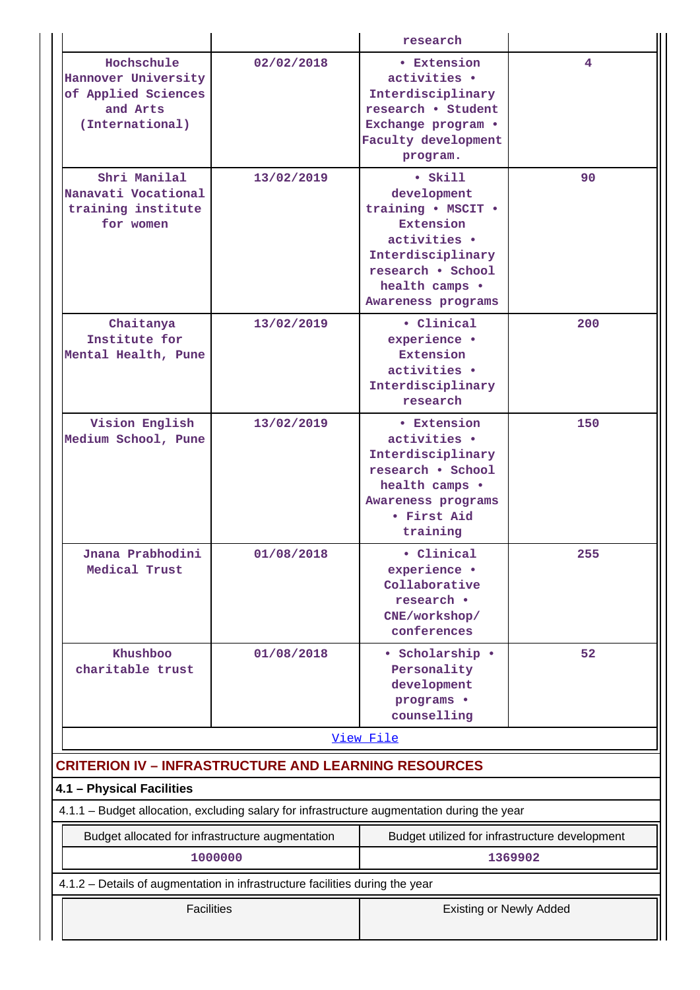|                                                                                             |            | research                                                                                                                                                            |         |  |  |
|---------------------------------------------------------------------------------------------|------------|---------------------------------------------------------------------------------------------------------------------------------------------------------------------|---------|--|--|
| Hochschule<br>Hannover University<br>of Applied Sciences<br>and Arts<br>(International)     | 02/02/2018 | • Extension<br>activities .<br>Interdisciplinary<br>research . Student<br>Exchange program .<br>Faculty development<br>program.                                     | 4       |  |  |
| Shri Manilal<br>Nanavati Vocational<br>training institute<br>for women                      | 13/02/2019 | $\bullet$ Skill<br>development<br>training . MSCIT .<br>Extension<br>activities .<br>Interdisciplinary<br>research . School<br>health camps .<br>Awareness programs | 90      |  |  |
| Chaitanya<br>Institute for<br>Mental Health, Pune                                           | 13/02/2019 | • Clinical<br>experience ·<br><b>Extension</b><br>activities .<br>Interdisciplinary<br>research                                                                     | 200     |  |  |
| Vision English<br>Medium School, Pune                                                       | 13/02/2019 | <b>• Extension</b><br>activities .<br>Interdisciplinary<br>research . School<br>health camps .<br>Awareness programs<br>• First Aid<br>training                     | 150     |  |  |
| Jnana Prabhodini<br>Medical Trust                                                           | 01/08/2018 | • Clinical<br>experience ·<br>Collaborative<br>research •<br>CNE/workshop/<br>conferences                                                                           | 255     |  |  |
| Khushboo<br>charitable trust                                                                | 01/08/2018 | • Scholarship •<br>Personality<br>development<br>programs .<br>counselling                                                                                          | 52      |  |  |
|                                                                                             |            | View File                                                                                                                                                           |         |  |  |
| <b>CRITERION IV - INFRASTRUCTURE AND LEARNING RESOURCES</b>                                 |            |                                                                                                                                                                     |         |  |  |
| 4.1 - Physical Facilities                                                                   |            |                                                                                                                                                                     |         |  |  |
| 4.1.1 - Budget allocation, excluding salary for infrastructure augmentation during the year |            |                                                                                                                                                                     |         |  |  |
| Budget allocated for infrastructure augmentation                                            | 1000000    | Budget utilized for infrastructure development                                                                                                                      | 1369902 |  |  |
| 4.1.2 – Details of augmentation in infrastructure facilities during the year                |            |                                                                                                                                                                     |         |  |  |
| <b>Facilities</b>                                                                           |            | <b>Existing or Newly Added</b>                                                                                                                                      |         |  |  |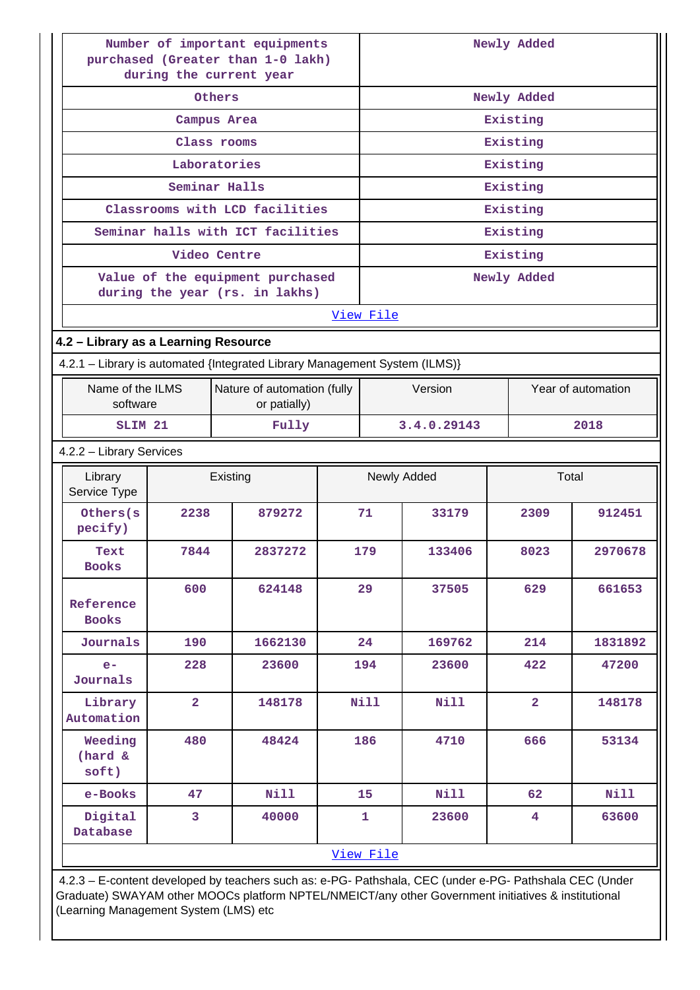| Number of important equipments<br>purchased (Greater than 1-0 lakh)<br>during the current year |                                             |  |             | Newly Added                   |                |             |  |
|------------------------------------------------------------------------------------------------|---------------------------------------------|--|-------------|-------------------------------|----------------|-------------|--|
| Others                                                                                         |                                             |  |             | Newly Added                   |                |             |  |
|                                                                                                | Campus Area                                 |  |             |                               | Existing       |             |  |
|                                                                                                | Class rooms                                 |  |             |                               | Existing       |             |  |
|                                                                                                | Laboratories                                |  |             |                               | Existing       |             |  |
|                                                                                                | Seminar Halls                               |  |             |                               | Existing       |             |  |
|                                                                                                | Classrooms with LCD facilities              |  |             |                               | Existing       |             |  |
| Seminar halls with ICT facilities                                                              |                                             |  |             |                               | Existing       |             |  |
|                                                                                                | Video Centre                                |  |             |                               | Existing       |             |  |
| Value of the equipment purchased<br>during the year (rs. in lakhs)                             |                                             |  |             |                               | Newly Added    |             |  |
|                                                                                                |                                             |  | View File   |                               |                |             |  |
| 4.2 - Library as a Learning Resource                                                           |                                             |  |             |                               |                |             |  |
| 4.2.1 - Library is automated {Integrated Library Management System (ILMS)}                     |                                             |  |             |                               |                |             |  |
| Name of the ILMS<br>software                                                                   | Nature of automation (fully<br>or patially) |  |             | Version<br>Year of automation |                |             |  |
| SLIM <sub>21</sub>                                                                             | Fully                                       |  |             | 3.4.0.29143<br>2018           |                |             |  |
| 4.2.2 - Library Services                                                                       |                                             |  |             |                               |                |             |  |
| Library<br>Service Type                                                                        | Existing                                    |  |             | Newly Added                   |                | Total       |  |
| Others(s<br>2238<br>pecify)                                                                    | 879272                                      |  | 71          | 33179                         | 2309           | 912451      |  |
| 7844<br>Text<br><b>Books</b>                                                                   | 2837272                                     |  | 179         | 133406                        | 8023           | 2970678     |  |
| 600<br>Reference<br><b>Books</b>                                                               | 624148                                      |  | 29          | 37505                         | 629            | 661653      |  |
| Journals<br>190                                                                                | 1662130                                     |  | 24          | 169762                        | 214            | 1831892     |  |
| 228<br>$e-$<br>Journals                                                                        | 23600                                       |  | 194         | 23600                         | 422            | 47200       |  |
| $\overline{2}$<br>Library<br>Automation                                                        | 148178                                      |  | <b>Nill</b> | Nill                          | $\overline{2}$ | 148178      |  |
| Weeding<br>480<br>(hard &<br>soft)                                                             | 48424                                       |  | 186         | 4710                          | 666            | 53134       |  |
| e-Books<br>47                                                                                  | <b>Nill</b>                                 |  | 15          | <b>Nill</b>                   | 62             | <b>Nill</b> |  |
| Digital<br>3<br>Database                                                                       | 40000                                       |  | 1           | 23600                         | 4              | 63600       |  |
|                                                                                                |                                             |  | View File   |                               |                |             |  |

 4.2.3 – E-content developed by teachers such as: e-PG- Pathshala, CEC (under e-PG- Pathshala CEC (Under Graduate) SWAYAM other MOOCs platform NPTEL/NMEICT/any other Government initiatives & institutional (Learning Management System (LMS) etc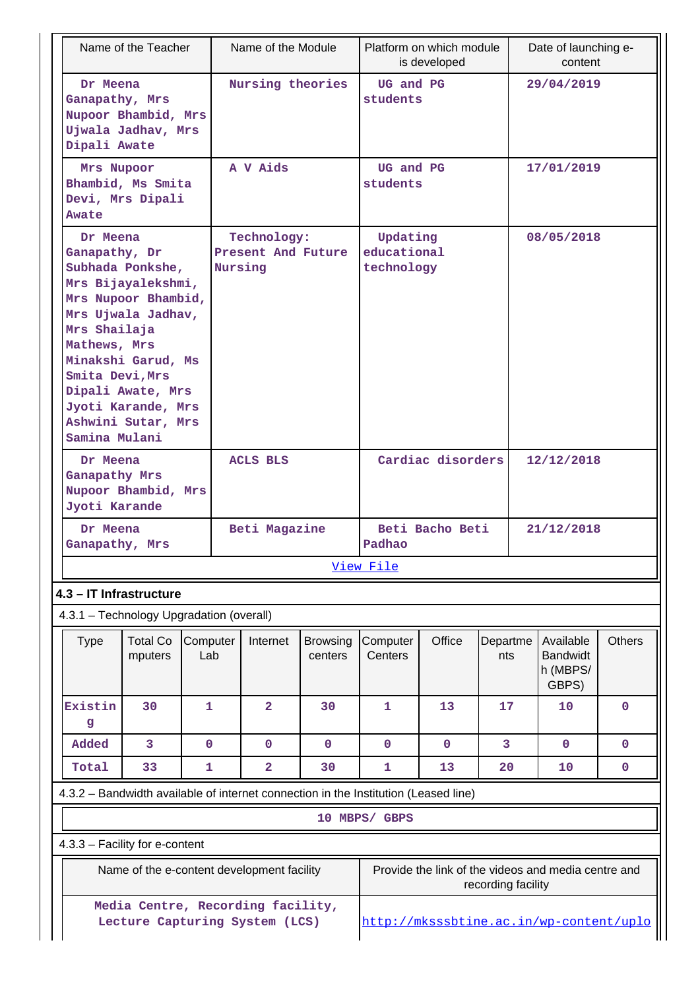| Name of the Teacher                                                                                                                                                                                                                                                         |                                                                     |                 |                 | Name of the Module                |                                                                                     |                                       | Platform on which module<br>is developed |                    |            | Date of launching e-<br>content                     |               |
|-----------------------------------------------------------------------------------------------------------------------------------------------------------------------------------------------------------------------------------------------------------------------------|---------------------------------------------------------------------|-----------------|-----------------|-----------------------------------|-------------------------------------------------------------------------------------|---------------------------------------|------------------------------------------|--------------------|------------|-----------------------------------------------------|---------------|
| Dr Meena<br>Ganapathy, Mrs<br>Nupoor Bhambid, Mrs<br>Ujwala Jadhav, Mrs<br>Dipali Awate                                                                                                                                                                                     |                                                                     |                 |                 | Nursing theories                  |                                                                                     | UG and PG<br>students                 |                                          |                    |            | 29/04/2019                                          |               |
| Mrs Nupoor<br>Awate                                                                                                                                                                                                                                                         | Bhambid, Ms Smita<br>Devi, Mrs Dipali                               |                 | A V Aids        |                                   |                                                                                     | UG and PG<br>students                 |                                          |                    | 17/01/2019 |                                                     |               |
| Dr Meena<br>Ganapathy, Dr<br>Subhada Ponkshe,<br>Mrs Bijayalekshmi,<br>Mrs Nupoor Bhambid,<br>Mrs Ujwala Jadhav,<br>Mrs Shailaja<br>Mathews, Mrs<br>Minakshi Garud, Ms<br>Smita Devi, Mrs<br>Dipali Awate, Mrs<br>Jyoti Karande, Mrs<br>Ashwini Sutar, Mrs<br>Samina Mulani |                                                                     |                 | Nursing         | Technology:<br>Present And Future |                                                                                     | Updating<br>educational<br>technology |                                          |                    |            | 08/05/2018                                          |               |
|                                                                                                                                                                                                                                                                             | Dr Meena<br>Ganapathy Mrs<br>Nupoor Bhambid, Mrs<br>Jyoti Karande   |                 | <b>ACLS BLS</b> |                                   | Cardiac disorders                                                                   |                                       |                                          | 12/12/2018         |            |                                                     |               |
| Dr Meena<br>Ganapathy, Mrs                                                                                                                                                                                                                                                  |                                                                     |                 | Beti Magazine   |                                   |                                                                                     | Beti Bacho Beti<br>Padhao             |                                          |                    | 21/12/2018 |                                                     |               |
|                                                                                                                                                                                                                                                                             |                                                                     |                 |                 |                                   |                                                                                     | View File                             |                                          |                    |            |                                                     |               |
|                                                                                                                                                                                                                                                                             | 4.3 - IT Infrastructure<br>4.3.1 - Technology Upgradation (overall) |                 |                 |                                   |                                                                                     |                                       |                                          |                    |            |                                                     |               |
| <b>Type</b>                                                                                                                                                                                                                                                                 | <b>Total Co</b><br>mputers                                          | Computer<br>Lab |                 | Internet                          | <b>Browsing</b><br>centers                                                          | Computer<br>Centers                   | Office                                   | Departme<br>nts    |            | Available<br><b>Bandwidt</b><br>h (MBPS/<br>GBPS)   | <b>Others</b> |
| Existin<br>g                                                                                                                                                                                                                                                                | 30                                                                  | 1               |                 | $\overline{2}$                    | 30                                                                                  | 1                                     | 13                                       | 17                 |            | 10                                                  | $\mathbf 0$   |
| Added                                                                                                                                                                                                                                                                       | 3                                                                   | $\mathbf 0$     |                 | $\mathbf 0$                       | $\mathbf 0$                                                                         | $\mathbf 0$                           | $\mathbf 0$                              | 3                  |            | $\mathbf 0$                                         | $\mathbf 0$   |
| Total                                                                                                                                                                                                                                                                       | 33                                                                  | 1               |                 | $\overline{a}$                    | 30                                                                                  | 1                                     | 13                                       | 20                 |            | 10                                                  | $\mathbf 0$   |
|                                                                                                                                                                                                                                                                             |                                                                     |                 |                 |                                   | 4.3.2 - Bandwidth available of internet connection in the Institution (Leased line) |                                       |                                          |                    |            |                                                     |               |
|                                                                                                                                                                                                                                                                             |                                                                     |                 |                 |                                   |                                                                                     | 10 MBPS/ GBPS                         |                                          |                    |            |                                                     |               |
|                                                                                                                                                                                                                                                                             | 4.3.3 - Facility for e-content                                      |                 |                 |                                   |                                                                                     |                                       |                                          |                    |            |                                                     |               |
|                                                                                                                                                                                                                                                                             | Name of the e-content development facility                          |                 |                 |                                   |                                                                                     |                                       |                                          | recording facility |            | Provide the link of the videos and media centre and |               |
| Media Centre, Recording facility,<br>Lecture Capturing System (LCS)                                                                                                                                                                                                         |                                                                     |                 |                 |                                   |                                                                                     |                                       | http://mksssbtine.ac.in/wp-content/uplo  |                    |            |                                                     |               |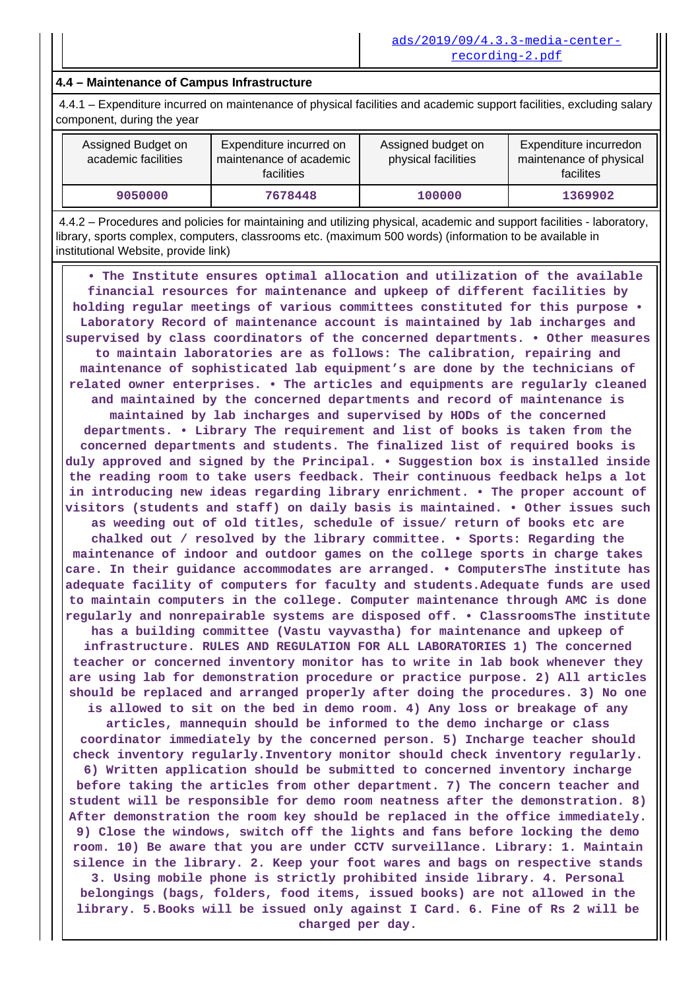#### **4.4 – Maintenance of Campus Infrastructure**

 4.4.1 – Expenditure incurred on maintenance of physical facilities and academic support facilities, excluding salary component, during the year

| Assigned Budget on<br>academic facilities | Expenditure incurred on<br>maintenance of academic<br>facilities | Assigned budget on<br>physical facilities | Expenditure incurredon<br>maintenance of physical<br>facilites |
|-------------------------------------------|------------------------------------------------------------------|-------------------------------------------|----------------------------------------------------------------|
| 9050000                                   | 7678448                                                          | 100000                                    | 1369902                                                        |

 4.4.2 – Procedures and policies for maintaining and utilizing physical, academic and support facilities - laboratory, library, sports complex, computers, classrooms etc. (maximum 500 words) (information to be available in institutional Website, provide link)

 **• The Institute ensures optimal allocation and utilization of the available financial resources for maintenance and upkeep of different facilities by holding regular meetings of various committees constituted for this purpose • Laboratory Record of maintenance account is maintained by lab incharges and supervised by class coordinators of the concerned departments. • Other measures to maintain laboratories are as follows: The calibration, repairing and maintenance of sophisticated lab equipment's are done by the technicians of related owner enterprises. • The articles and equipments are regularly cleaned and maintained by the concerned departments and record of maintenance is maintained by lab incharges and supervised by HODs of the concerned departments. • Library The requirement and list of books is taken from the concerned departments and students. The finalized list of required books is duly approved and signed by the Principal. • Suggestion box is installed inside the reading room to take users feedback. Their continuous feedback helps a lot in introducing new ideas regarding library enrichment. • The proper account of visitors (students and staff) on daily basis is maintained. • Other issues such as weeding out of old titles, schedule of issue/ return of books etc are chalked out / resolved by the library committee. • Sports: Regarding the maintenance of indoor and outdoor games on the college sports in charge takes care. In their guidance accommodates are arranged. • ComputersThe institute has adequate facility of computers for faculty and students.Adequate funds are used to maintain computers in the college. Computer maintenance through AMC is done regularly and nonrepairable systems are disposed off. • ClassroomsThe institute has a building committee (Vastu vayvastha) for maintenance and upkeep of infrastructure. RULES AND REGULATION FOR ALL LABORATORIES 1) The concerned teacher or concerned inventory monitor has to write in lab book whenever they are using lab for demonstration procedure or practice purpose. 2) All articles should be replaced and arranged properly after doing the procedures. 3) No one is allowed to sit on the bed in demo room. 4) Any loss or breakage of any articles, mannequin should be informed to the demo incharge or class coordinator immediately by the concerned person. 5) Incharge teacher should check inventory regularly.Inventory monitor should check inventory regularly. 6) Written application should be submitted to concerned inventory incharge before taking the articles from other department. 7) The concern teacher and student will be responsible for demo room neatness after the demonstration. 8) After demonstration the room key should be replaced in the office immediately. 9) Close the windows, switch off the lights and fans before locking the demo room. 10) Be aware that you are under CCTV surveillance. Library: 1. Maintain silence in the library. 2. Keep your foot wares and bags on respective stands 3. Using mobile phone is strictly prohibited inside library. 4. Personal belongings (bags, folders, food items, issued books) are not allowed in the library. 5.Books will be issued only against I Card. 6. Fine of Rs 2 will be charged per day.**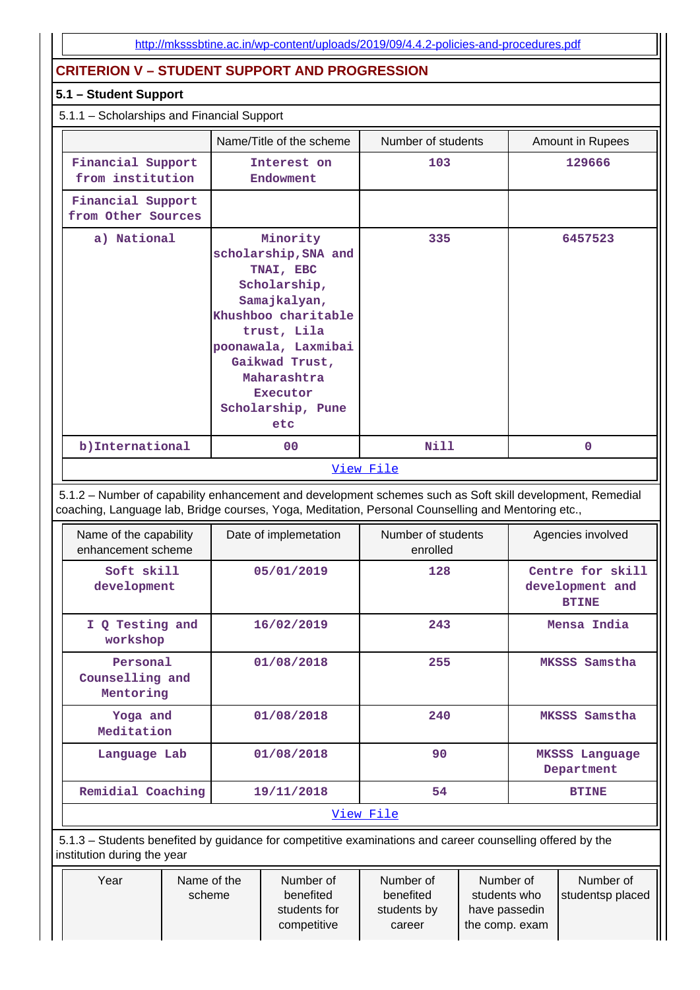# **CRITERION V – STUDENT SUPPORT AND PROGRESSION**

#### **5.1 – Student Support**

#### 5.1.1 – Scholarships and Financial Support

| Name/Title of the scheme                                                                                                                                                                                        |  |                                                                                                                                                                                                                            | Number of students             |  |  | Amount in Rupees                                    |
|-----------------------------------------------------------------------------------------------------------------------------------------------------------------------------------------------------------------|--|----------------------------------------------------------------------------------------------------------------------------------------------------------------------------------------------------------------------------|--------------------------------|--|--|-----------------------------------------------------|
| Financial Support<br>from institution                                                                                                                                                                           |  | Interest on<br>Endowment                                                                                                                                                                                                   | 103                            |  |  | 129666                                              |
| Financial Support<br>from Other Sources                                                                                                                                                                         |  |                                                                                                                                                                                                                            |                                |  |  |                                                     |
| a) National                                                                                                                                                                                                     |  | Minority<br>scholarship, SNA and<br>TNAI, EBC<br>Scholarship,<br>Samajkalyan,<br>Khushboo charitable<br>trust, Lila<br>poonawala, Laxmibai<br>Gaikwad Trust,<br>Maharashtra<br><b>Executor</b><br>Scholarship, Pune<br>etc | 335                            |  |  | 6457523                                             |
| b) International                                                                                                                                                                                                |  | 0 <sub>0</sub>                                                                                                                                                                                                             | Nill                           |  |  | $\mathbf 0$                                         |
|                                                                                                                                                                                                                 |  |                                                                                                                                                                                                                            | View File                      |  |  |                                                     |
| 5.1.2 - Number of capability enhancement and development schemes such as Soft skill development, Remedial<br>coaching, Language lab, Bridge courses, Yoga, Meditation, Personal Counselling and Mentoring etc., |  |                                                                                                                                                                                                                            |                                |  |  |                                                     |
|                                                                                                                                                                                                                 |  |                                                                                                                                                                                                                            |                                |  |  |                                                     |
| Name of the capability<br>enhancement scheme                                                                                                                                                                    |  | Date of implemetation                                                                                                                                                                                                      | Number of students<br>enrolled |  |  | Agencies involved                                   |
| Soft skill<br>development                                                                                                                                                                                       |  | 05/01/2019                                                                                                                                                                                                                 | 128                            |  |  | Centre for skill<br>development and<br><b>BTINE</b> |
| I Q Testing and<br>workshop                                                                                                                                                                                     |  | 16/02/2019                                                                                                                                                                                                                 | 243                            |  |  | Mensa India                                         |
| Personal<br>Counselling and<br>Mentoring                                                                                                                                                                        |  | 01/08/2018                                                                                                                                                                                                                 | 255                            |  |  | MKSSS Samstha                                       |
| Yoga and<br>Meditation                                                                                                                                                                                          |  | 01/08/2018                                                                                                                                                                                                                 | 240                            |  |  | MKSSS Samstha                                       |
| Language Lab                                                                                                                                                                                                    |  | 01/08/2018                                                                                                                                                                                                                 | 90                             |  |  | <b>MKSSS Language</b><br>Department                 |
| Remidial Coaching                                                                                                                                                                                               |  | 19/11/2018                                                                                                                                                                                                                 | 54                             |  |  | <b>BTINE</b>                                        |
|                                                                                                                                                                                                                 |  |                                                                                                                                                                                                                            | View File                      |  |  |                                                     |
| 5.1.3 – Students benefited by guidance for competitive examinations and career counselling offered by the<br>institution during the year                                                                        |  |                                                                                                                                                                                                                            |                                |  |  |                                                     |

students for competitive

students by career

have passedin the comp. exam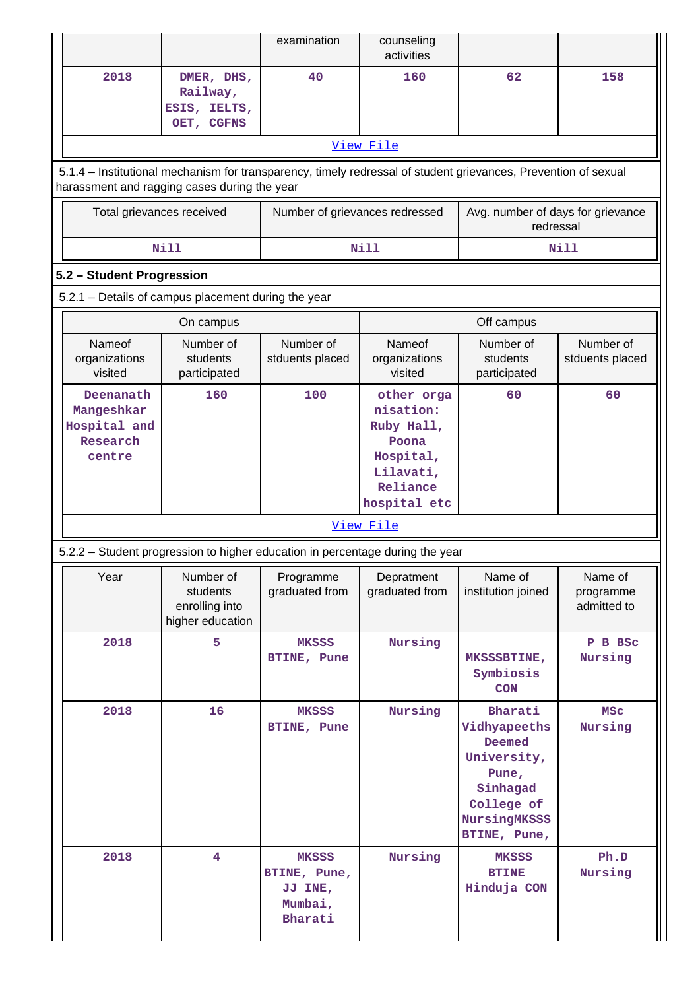|                                                                                                                                                                |                                                             | examination                                                                   | counseling<br>activities                                                                             |                                                                                                                     |                                     |  |  |  |  |
|----------------------------------------------------------------------------------------------------------------------------------------------------------------|-------------------------------------------------------------|-------------------------------------------------------------------------------|------------------------------------------------------------------------------------------------------|---------------------------------------------------------------------------------------------------------------------|-------------------------------------|--|--|--|--|
| 2018                                                                                                                                                           | DMER, DHS,<br>Railway,<br>ESIS, IELTS,<br>OET, CGFNS        | 40                                                                            | 160                                                                                                  | 62                                                                                                                  | 158                                 |  |  |  |  |
|                                                                                                                                                                |                                                             |                                                                               | View File                                                                                            |                                                                                                                     |                                     |  |  |  |  |
| 5.1.4 – Institutional mechanism for transparency, timely redressal of student grievances, Prevention of sexual<br>harassment and ragging cases during the year |                                                             |                                                                               |                                                                                                      |                                                                                                                     |                                     |  |  |  |  |
| Total grievances received                                                                                                                                      |                                                             | Number of grievances redressed                                                |                                                                                                      | Avg. number of days for grievance<br>redressal                                                                      |                                     |  |  |  |  |
|                                                                                                                                                                | <b>Nill</b>                                                 |                                                                               | <b>Nill</b>                                                                                          |                                                                                                                     | Nill                                |  |  |  |  |
| 5.2 - Student Progression                                                                                                                                      |                                                             |                                                                               |                                                                                                      |                                                                                                                     |                                     |  |  |  |  |
|                                                                                                                                                                | 5.2.1 - Details of campus placement during the year         |                                                                               |                                                                                                      |                                                                                                                     |                                     |  |  |  |  |
|                                                                                                                                                                | On campus                                                   |                                                                               |                                                                                                      | Off campus                                                                                                          |                                     |  |  |  |  |
| Nameof<br>organizations<br>visited                                                                                                                             | Number of<br>students<br>participated                       | Number of<br>stduents placed                                                  | Nameof<br>organizations<br>visited                                                                   | Number of<br>students<br>participated                                                                               | Number of<br>stduents placed        |  |  |  |  |
| Deenanath<br>Mangeshkar<br>Hospital and<br>Research<br>centre                                                                                                  | 160                                                         | 100                                                                           | other orga<br>nisation:<br>Ruby Hall,<br>Poona<br>Hospital,<br>Lilavati,<br>Reliance<br>hospital etc | 60                                                                                                                  | 60                                  |  |  |  |  |
|                                                                                                                                                                |                                                             |                                                                               | View File                                                                                            |                                                                                                                     |                                     |  |  |  |  |
|                                                                                                                                                                |                                                             | 5.2.2 - Student progression to higher education in percentage during the year |                                                                                                      |                                                                                                                     |                                     |  |  |  |  |
| Year                                                                                                                                                           | Number of<br>students<br>enrolling into<br>higher education | Programme<br>graduated from                                                   | Depratment<br>graduated from                                                                         | Name of<br>institution joined                                                                                       | Name of<br>programme<br>admitted to |  |  |  |  |
| 2018                                                                                                                                                           | 5                                                           | <b>MKSSS</b><br>BTINE, Pune                                                   | Nursing                                                                                              | MKSSSBTINE,<br>Symbiosis<br><b>CON</b>                                                                              | P B BSC<br>Nursing                  |  |  |  |  |
| 2018                                                                                                                                                           | 16                                                          | <b>MKSSS</b><br>BTINE, Pune                                                   | Nursing                                                                                              | Bharati<br>Vidhyapeeths<br>Deemed<br>University,<br>Pune,<br>Sinhagad<br>College of<br>NursingMKSSS<br>BTINE, Pune, | <b>MSC</b><br>Nursing               |  |  |  |  |
| 2018                                                                                                                                                           | 4                                                           | <b>MKSSS</b><br>BTINE, Pune,<br>JJ INE,<br>Mumbai,<br>Bharati                 | Nursing                                                                                              | <b>MKSSS</b><br><b>BTINE</b><br>Hinduja CON                                                                         | Ph.D<br>Nursing                     |  |  |  |  |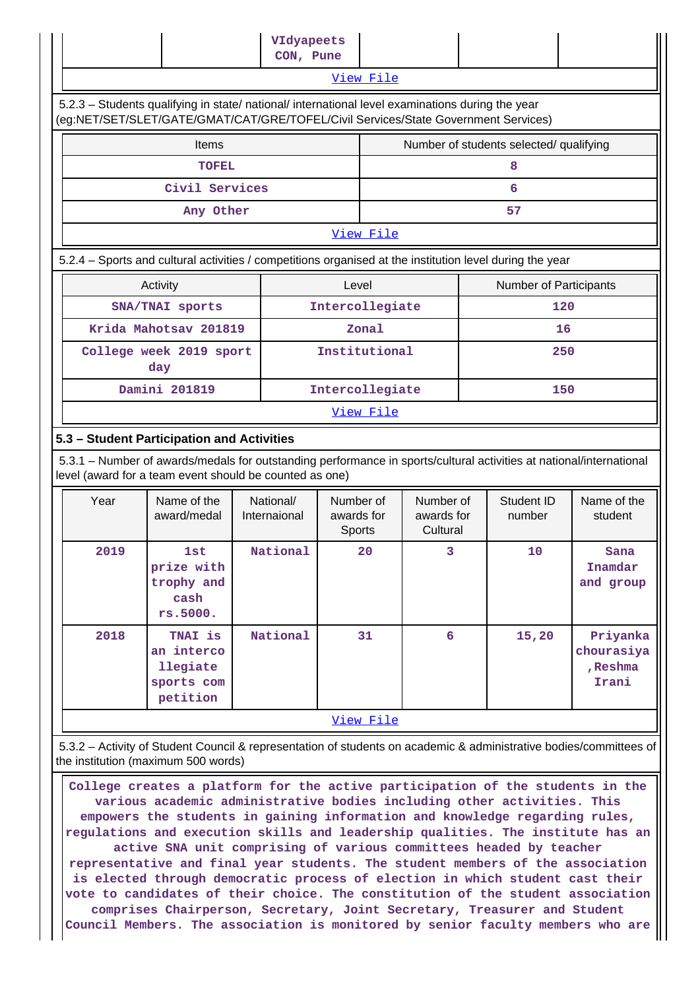|                                                                                                                                                                                        | VIdyapeets      |       |                      |  |  |                                         |                     |
|----------------------------------------------------------------------------------------------------------------------------------------------------------------------------------------|-----------------|-------|----------------------|--|--|-----------------------------------------|---------------------|
|                                                                                                                                                                                        | CON, Pune       |       |                      |  |  |                                         |                     |
|                                                                                                                                                                                        |                 |       | View File            |  |  |                                         |                     |
| 5.2.3 - Students qualifying in state/ national/ international level examinations during the year<br>(eg:NET/SET/SLET/GATE/GMAT/CAT/GRE/TOFEL/Civil Services/State Government Services) |                 |       |                      |  |  |                                         |                     |
| Items                                                                                                                                                                                  |                 |       |                      |  |  | Number of students selected/ qualifying |                     |
| <b>TOFEL</b>                                                                                                                                                                           |                 |       |                      |  |  | 8                                       |                     |
| Civil Services                                                                                                                                                                         |                 |       |                      |  |  | 6                                       |                     |
| Any Other                                                                                                                                                                              |                 |       |                      |  |  | 57                                      |                     |
|                                                                                                                                                                                        |                 |       | View File            |  |  |                                         |                     |
| 5.2.4 - Sports and cultural activities / competitions organised at the institution level during the year                                                                               |                 |       |                      |  |  |                                         |                     |
| Activity                                                                                                                                                                               |                 | Level |                      |  |  | <b>Number of Participants</b>           |                     |
| SNA/TNAI sports                                                                                                                                                                        |                 |       | Intercollegiate      |  |  |                                         | 120                 |
| Krida Mahotsav 201819                                                                                                                                                                  |                 |       | Zonal                |  |  |                                         | 16                  |
| College week 2019 sport<br>day                                                                                                                                                         |                 |       | Institutional<br>250 |  |  |                                         |                     |
| Damini 201819                                                                                                                                                                          | Intercollegiate |       |                      |  |  |                                         | 150                 |
| View File                                                                                                                                                                              |                 |       |                      |  |  |                                         |                     |
| 5.3 - Student Participation and Activities                                                                                                                                             |                 |       |                      |  |  |                                         |                     |
| 5.3.1 – Number of awards/medals for outstanding performance in sports/cultural activities at national/international<br>level (award for a team event should be counted as one)         |                 |       |                      |  |  |                                         |                     |
| المارين والماري والمرارين وروما الموارد والمحافظ<br>$\lambda$                                                                                                                          |                 |       |                      |  |  | $\overline{a}$                          | <b>CALL COMPANY</b> |

| Year | Name of the<br>award/medal                                  | National/<br>Internaional | Number of<br>awards for<br>Sports | Number of<br>awards for<br>Cultural | Student ID<br>number | Name of the<br>student                      |  |
|------|-------------------------------------------------------------|---------------------------|-----------------------------------|-------------------------------------|----------------------|---------------------------------------------|--|
| 2019 | 1st<br>prize with<br>trophy and<br>cash<br>rs.5000.         | National                  | 20                                | 3                                   | 10                   | Sana<br>Inamdar<br>and group                |  |
| 2018 | TNAI is<br>an interco<br>llegiate<br>sports com<br>petition | National                  | 31                                | 6                                   | 15,20                | Priyanka<br>chourasiya<br>, Reshma<br>Irani |  |
|      | <u>View File</u>                                            |                           |                                   |                                     |                      |                                             |  |

 5.3.2 – Activity of Student Council & representation of students on academic & administrative bodies/committees of the institution (maximum 500 words)

 **College creates a platform for the active participation of the students in the various academic administrative bodies including other activities. This empowers the students in gaining information and knowledge regarding rules, regulations and execution skills and leadership qualities. The institute has an active SNA unit comprising of various committees headed by teacher representative and final year students. The student members of the association is elected through democratic process of election in which student cast their vote to candidates of their choice. The constitution of the student association comprises Chairperson, Secretary, Joint Secretary, Treasurer and Student Council Members. The association is monitored by senior faculty members who are**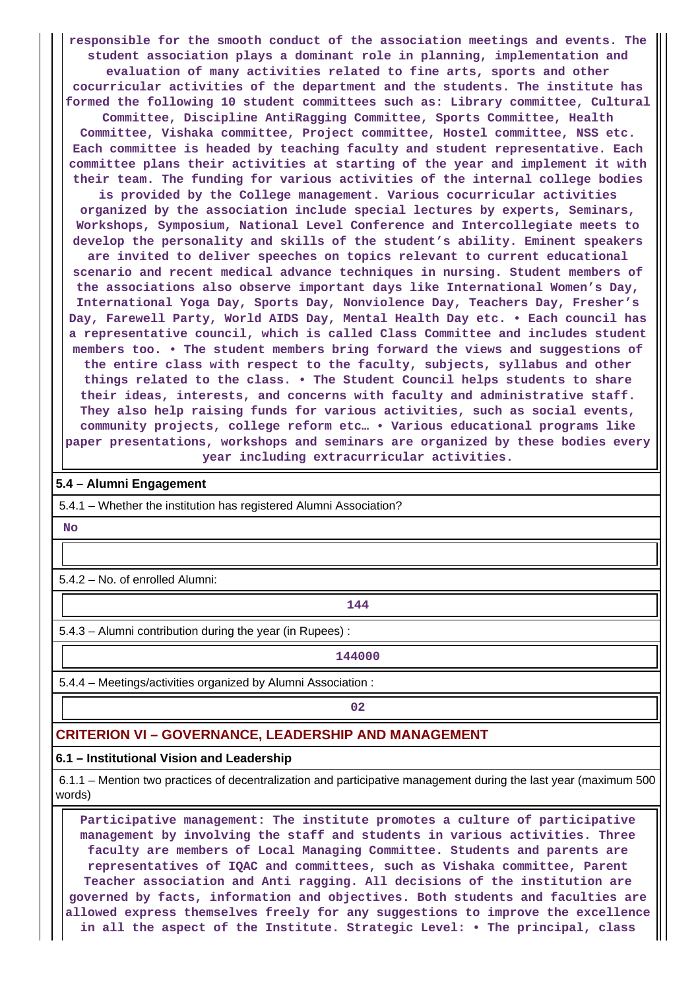**responsible for the smooth conduct of the association meetings and events. The student association plays a dominant role in planning, implementation and evaluation of many activities related to fine arts, sports and other cocurricular activities of the department and the students. The institute has formed the following 10 student committees such as: Library committee, Cultural Committee, Discipline AntiRagging Committee, Sports Committee, Health Committee, Vishaka committee, Project committee, Hostel committee, NSS etc. Each committee is headed by teaching faculty and student representative. Each committee plans their activities at starting of the year and implement it with their team. The funding for various activities of the internal college bodies**

**is provided by the College management. Various cocurricular activities organized by the association include special lectures by experts, Seminars, Workshops, Symposium, National Level Conference and Intercollegiate meets to develop the personality and skills of the student's ability. Eminent speakers are invited to deliver speeches on topics relevant to current educational scenario and recent medical advance techniques in nursing. Student members of the associations also observe important days like International Women's Day, International Yoga Day, Sports Day, Nonviolence Day, Teachers Day, Fresher's Day, Farewell Party, World AIDS Day, Mental Health Day etc. • Each council has a representative council, which is called Class Committee and includes student members too. • The student members bring forward the views and suggestions of the entire class with respect to the faculty, subjects, syllabus and other things related to the class. • The Student Council helps students to share their ideas, interests, and concerns with faculty and administrative staff. They also help raising funds for various activities, such as social events, community projects, college reform etc… • Various educational programs like paper presentations, workshops and seminars are organized by these bodies every year including extracurricular activities.**

#### **5.4 – Alumni Engagement**

5.4.1 – Whether the institution has registered Alumni Association?

 **No**

5.4.2 – No. of enrolled Alumni:

**144**

5.4.3 – Alumni contribution during the year (in Rupees) :

**144000**

5.4.4 – Meetings/activities organized by Alumni Association :

**02**

#### **CRITERION VI – GOVERNANCE, LEADERSHIP AND MANAGEMENT**

#### **6.1 – Institutional Vision and Leadership**

 6.1.1 – Mention two practices of decentralization and participative management during the last year (maximum 500 words)

 **Participative management: The institute promotes a culture of participative management by involving the staff and students in various activities. Three faculty are members of Local Managing Committee. Students and parents are representatives of IQAC and committees, such as Vishaka committee, Parent Teacher association and Anti ragging. All decisions of the institution are governed by facts, information and objectives. Both students and faculties are allowed express themselves freely for any suggestions to improve the excellence in all the aspect of the Institute. Strategic Level: • The principal, class**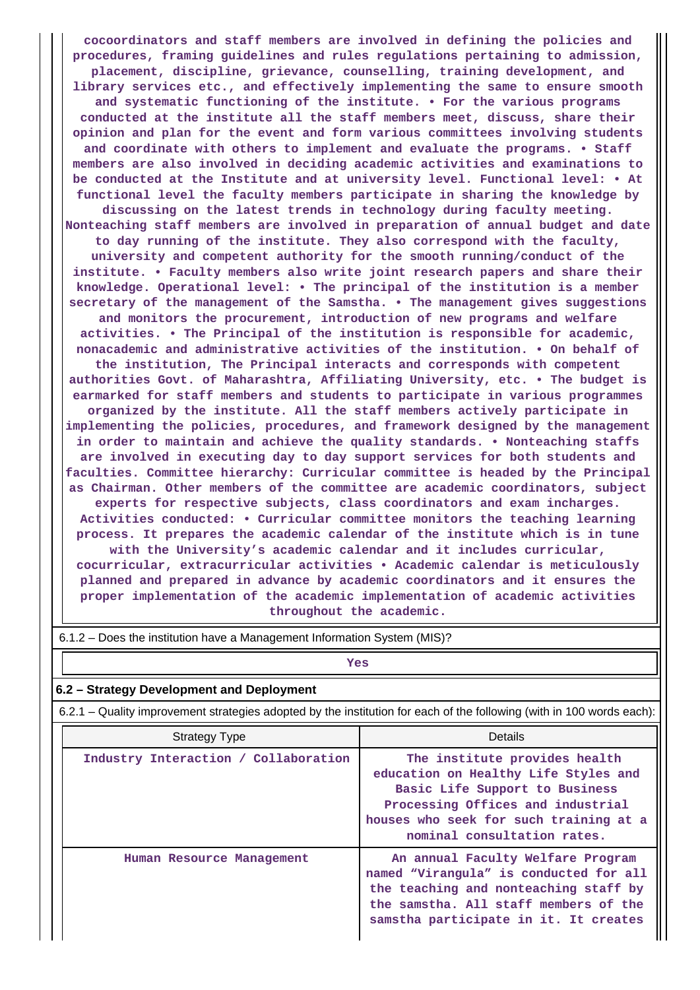**cocoordinators and staff members are involved in defining the policies and procedures, framing guidelines and rules regulations pertaining to admission, placement, discipline, grievance, counselling, training development, and library services etc., and effectively implementing the same to ensure smooth and systematic functioning of the institute. • For the various programs conducted at the institute all the staff members meet, discuss, share their opinion and plan for the event and form various committees involving students and coordinate with others to implement and evaluate the programs. • Staff members are also involved in deciding academic activities and examinations to be conducted at the Institute and at university level. Functional level: • At functional level the faculty members participate in sharing the knowledge by discussing on the latest trends in technology during faculty meeting. Nonteaching staff members are involved in preparation of annual budget and date to day running of the institute. They also correspond with the faculty, university and competent authority for the smooth running/conduct of the institute. • Faculty members also write joint research papers and share their knowledge. Operational level: • The principal of the institution is a member secretary of the management of the Samstha. • The management gives suggestions and monitors the procurement, introduction of new programs and welfare activities. • The Principal of the institution is responsible for academic, nonacademic and administrative activities of the institution. • On behalf of the institution, The Principal interacts and corresponds with competent authorities Govt. of Maharashtra, Affiliating University, etc. • The budget is earmarked for staff members and students to participate in various programmes organized by the institute. All the staff members actively participate in implementing the policies, procedures, and framework designed by the management in order to maintain and achieve the quality standards. • Nonteaching staffs are involved in executing day to day support services for both students and faculties. Committee hierarchy: Curricular committee is headed by the Principal as Chairman. Other members of the committee are academic coordinators, subject experts for respective subjects, class coordinators and exam incharges. Activities conducted: • Curricular committee monitors the teaching learning process. It prepares the academic calendar of the institute which is in tune with the University's academic calendar and it includes curricular, cocurricular, extracurricular activities • Academic calendar is meticulously planned and prepared in advance by academic coordinators and it ensures the proper implementation of the academic implementation of academic activities throughout the academic.**

| $\sigma$ . E.g. $\sim$ Does the institution have a Management information System (MIS)?                               |                                                                                                                                                                                                                       |  |  |  |  |  |
|-----------------------------------------------------------------------------------------------------------------------|-----------------------------------------------------------------------------------------------------------------------------------------------------------------------------------------------------------------------|--|--|--|--|--|
| Yes                                                                                                                   |                                                                                                                                                                                                                       |  |  |  |  |  |
| 6.2 – Strategy Development and Deployment                                                                             |                                                                                                                                                                                                                       |  |  |  |  |  |
| 6.2.1 – Quality improvement strategies adopted by the institution for each of the following (with in 100 words each): |                                                                                                                                                                                                                       |  |  |  |  |  |
| <b>Strategy Type</b>                                                                                                  | Details                                                                                                                                                                                                               |  |  |  |  |  |
| Industry Interaction / Collaboration                                                                                  | The institute provides health<br>education on Healthy Life Styles and<br>Basic Life Support to Business<br>Processing Offices and industrial<br>houses who seek for such training at a<br>nominal consultation rates. |  |  |  |  |  |
| Human Resource Management                                                                                             | An annual Faculty Welfare Program<br>named "Virangula" is conducted for all<br>the teaching and nonteaching staff by<br>the samstha. All staff members of the<br>samstha participate in it. It creates                |  |  |  |  |  |

6.1.2 – Does the institution have a Management Information System (MIS)?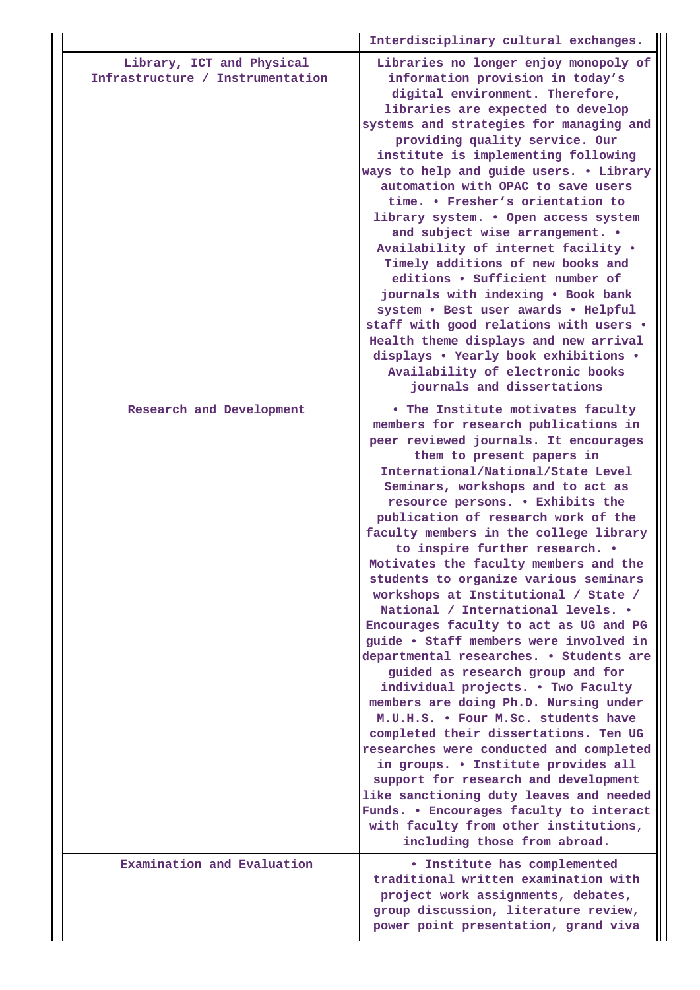|  |                                                               | Interdisciplinary cultural exchanges.                                                                                                                                                                                                                                                                                                                                                                                                                                                                                                                                                                                                                                                                                                                                                                                                                                                                                                                                                                                                                                                                                                                                        |
|--|---------------------------------------------------------------|------------------------------------------------------------------------------------------------------------------------------------------------------------------------------------------------------------------------------------------------------------------------------------------------------------------------------------------------------------------------------------------------------------------------------------------------------------------------------------------------------------------------------------------------------------------------------------------------------------------------------------------------------------------------------------------------------------------------------------------------------------------------------------------------------------------------------------------------------------------------------------------------------------------------------------------------------------------------------------------------------------------------------------------------------------------------------------------------------------------------------------------------------------------------------|
|  | Library, ICT and Physical<br>Infrastructure / Instrumentation | Libraries no longer enjoy monopoly of<br>information provision in today's<br>digital environment. Therefore,<br>libraries are expected to develop<br>systems and strategies for managing and<br>providing quality service. Our<br>institute is implementing following<br>ways to help and guide users. . Library<br>automation with OPAC to save users<br>time. . Fresher's orientation to<br>library system. . Open access system<br>and subject wise arrangement. .<br>Availability of internet facility .<br>Timely additions of new books and<br>editions . Sufficient number of<br>journals with indexing . Book bank<br>system . Best user awards . Helpful<br>staff with good relations with users .<br>Health theme displays and new arrival<br>displays . Yearly book exhibitions .<br>Availability of electronic books<br>journals and dissertations                                                                                                                                                                                                                                                                                                               |
|  | Research and Development                                      | . The Institute motivates faculty<br>members for research publications in<br>peer reviewed journals. It encourages<br>them to present papers in<br>International/National/State Level<br>Seminars, workshops and to act as<br>resource persons. . Exhibits the<br>publication of research work of the<br>faculty members in the college library<br>to inspire further research. .<br>Motivates the faculty members and the<br>students to organize various seminars<br>workshops at Institutional / State /<br>National / International levels. .<br>Encourages faculty to act as UG and PG<br>guide . Staff members were involved in<br>departmental researches. . Students are<br>guided as research group and for<br>individual projects. . Two Faculty<br>members are doing Ph.D. Nursing under<br>M.U.H.S. . Four M.Sc. students have<br>completed their dissertations. Ten UG<br>researches were conducted and completed<br>in groups. . Institute provides all<br>support for research and development<br>like sanctioning duty leaves and needed<br>Funds. . Encourages faculty to interact<br>with faculty from other institutions,<br>including those from abroad. |
|  | Examination and Evaluation                                    | <b>• Institute has complemented</b><br>traditional written examination with<br>project work assignments, debates,<br>group discussion, literature review,<br>power point presentation, grand viva                                                                                                                                                                                                                                                                                                                                                                                                                                                                                                                                                                                                                                                                                                                                                                                                                                                                                                                                                                            |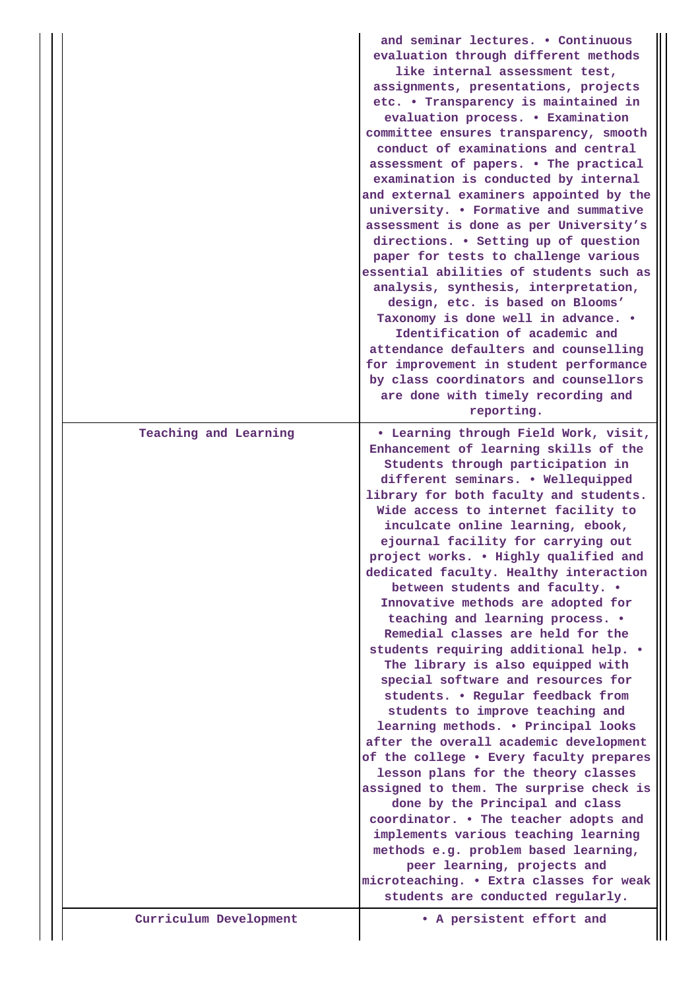|  |                        | and seminar lectures. . Continuous<br>evaluation through different methods<br>like internal assessment test,<br>assignments, presentations, projects<br>etc. • Transparency is maintained in<br>evaluation process. . Examination<br>committee ensures transparency, smooth<br>conduct of examinations and central<br>assessment of papers. . The practical<br>examination is conducted by internal<br>and external examiners appointed by the<br>university. . Formative and summative<br>assessment is done as per University's<br>directions. . Setting up of question<br>paper for tests to challenge various<br>essential abilities of students such as<br>analysis, synthesis, interpretation,<br>design, etc. is based on Blooms'<br>Taxonomy is done well in advance. .<br>Identification of academic and<br>attendance defaulters and counselling<br>for improvement in student performance<br>by class coordinators and counsellors<br>are done with timely recording and<br>reporting. |
|--|------------------------|---------------------------------------------------------------------------------------------------------------------------------------------------------------------------------------------------------------------------------------------------------------------------------------------------------------------------------------------------------------------------------------------------------------------------------------------------------------------------------------------------------------------------------------------------------------------------------------------------------------------------------------------------------------------------------------------------------------------------------------------------------------------------------------------------------------------------------------------------------------------------------------------------------------------------------------------------------------------------------------------------|
|  | Teaching and Learning  | • Learning through Field Work, visit,<br>Enhancement of learning skills of the<br>Students through participation in<br>different seminars. . Wellequipped<br>library for both faculty and students.<br>Wide access to internet facility to<br>inculcate online learning, ebook,<br>ejournal facility for carrying out<br>project works. . Highly qualified and<br>dedicated faculty. Healthy interaction<br>between students and faculty. .<br>Innovative methods are adopted for<br>teaching and learning process. .<br>Remedial classes are held for the<br>students requiring additional help. .<br>The library is also equipped with<br>special software and resources for<br>students. . Regular feedback from<br>students to improve teaching and<br>learning methods. . Principal looks<br>after the overall academic development<br>of the college . Every faculty prepares                                                                                                               |
|  | Curriculum Development | lesson plans for the theory classes<br>assigned to them. The surprise check is<br>done by the Principal and class<br>coordinator. . The teacher adopts and<br>implements various teaching learning<br>methods e.g. problem based learning,<br>peer learning, projects and<br>microteaching. . Extra classes for weak<br>students are conducted regularly.<br>• A persistent effort and                                                                                                                                                                                                                                                                                                                                                                                                                                                                                                                                                                                                            |
|  |                        |                                                                                                                                                                                                                                                                                                                                                                                                                                                                                                                                                                                                                                                                                                                                                                                                                                                                                                                                                                                                   |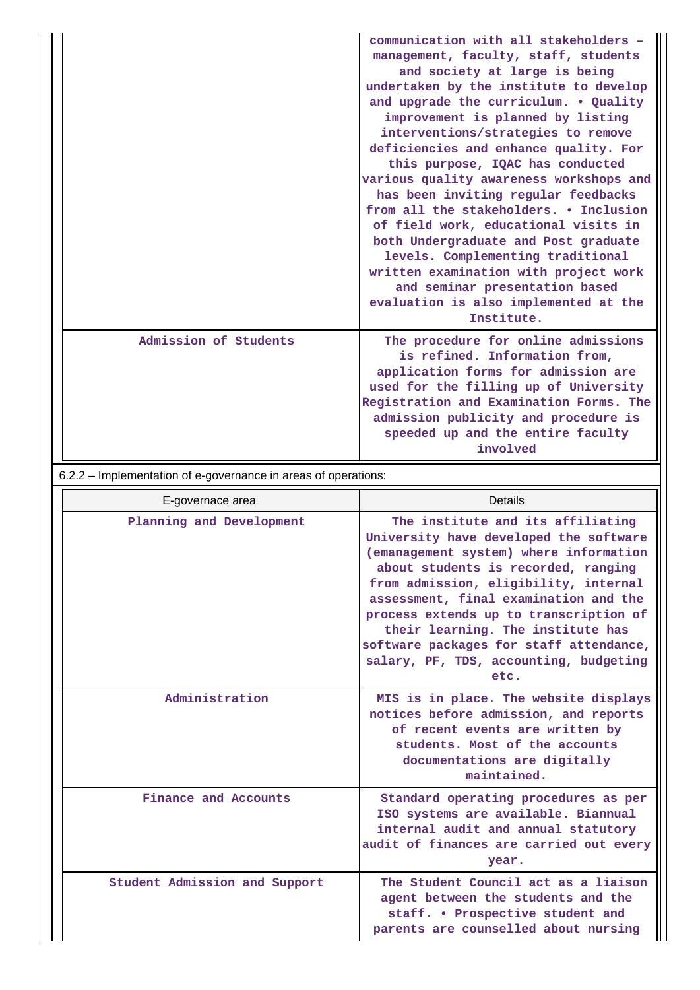|                       | communication with all stakeholders -<br>management, faculty, staff, students<br>and society at large is being<br>undertaken by the institute to develop<br>and upgrade the curriculum. . Quality<br>improvement is planned by listing<br>interventions/strategies to remove<br>deficiencies and enhance quality. For<br>this purpose, IQAC has conducted<br>various quality awareness workshops and<br>has been inviting regular feedbacks<br>from all the stakeholders. . Inclusion<br>of field work, educational visits in<br>both Undergraduate and Post graduate<br>levels. Complementing traditional<br>written examination with project work<br>and seminar presentation based<br>evaluation is also implemented at the<br>Institute. |
|-----------------------|----------------------------------------------------------------------------------------------------------------------------------------------------------------------------------------------------------------------------------------------------------------------------------------------------------------------------------------------------------------------------------------------------------------------------------------------------------------------------------------------------------------------------------------------------------------------------------------------------------------------------------------------------------------------------------------------------------------------------------------------|
| Admission of Students | The procedure for online admissions<br>is refined. Information from,<br>application forms for admission are<br>used for the filling up of University<br>Registration and Examination Forms. The<br>admission publicity and procedure is<br>speeded up and the entire faculty<br>involved                                                                                                                                                                                                                                                                                                                                                                                                                                                     |

# 6.2.2 – Implementation of e-governance in areas of operations:

| E-governace area              | Details                                                                                                                                                                                                                                                                                                                                                                                                                    |
|-------------------------------|----------------------------------------------------------------------------------------------------------------------------------------------------------------------------------------------------------------------------------------------------------------------------------------------------------------------------------------------------------------------------------------------------------------------------|
| Planning and Development      | The institute and its affiliating<br>University have developed the software<br>(emanagement system) where information<br>about students is recorded, ranging<br>from admission, eligibility, internal<br>assessment, final examination and the<br>process extends up to transcription of<br>their learning. The institute has<br>software packages for staff attendance,<br>salary, PF, TDS, accounting, budgeting<br>etc. |
| Administration                | MIS is in place. The website displays<br>notices before admission, and reports<br>of recent events are written by<br>students. Most of the accounts<br>documentations are digitally<br>maintained.                                                                                                                                                                                                                         |
| Finance and Accounts          | Standard operating procedures as per<br>ISO systems are available. Biannual<br>internal audit and annual statutory<br>audit of finances are carried out every<br>year.                                                                                                                                                                                                                                                     |
| Student Admission and Support | The Student Council act as a liaison<br>agent between the students and the<br>staff. • Prospective student and<br>parents are counselled about nursing                                                                                                                                                                                                                                                                     |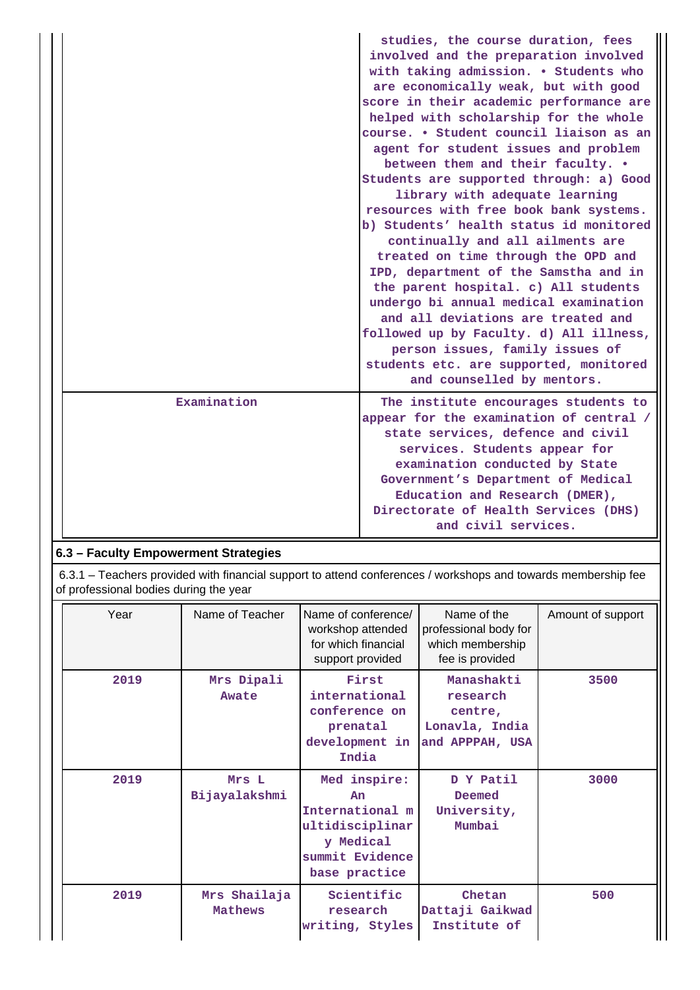|             | studies, the course duration, fees<br>involved and the preparation involved<br>with taking admission. . Students who<br>are economically weak, but with good<br>score in their academic performance are<br>helped with scholarship for the whole<br>course. • Student council liaison as an<br>agent for student issues and problem<br>between them and their faculty. .<br>Students are supported through: a) Good<br>library with adequate learning<br>resources with free book bank systems.<br>b) Students' health status id monitored<br>continually and all ailments are<br>treated on time through the OPD and<br>IPD, department of the Samstha and in<br>the parent hospital. c) All students<br>undergo bi annual medical examination<br>and all deviations are treated and<br>followed up by Faculty. d) All illness,<br>person issues, family issues of<br>students etc. are supported, monitored<br>and counselled by mentors. |
|-------------|---------------------------------------------------------------------------------------------------------------------------------------------------------------------------------------------------------------------------------------------------------------------------------------------------------------------------------------------------------------------------------------------------------------------------------------------------------------------------------------------------------------------------------------------------------------------------------------------------------------------------------------------------------------------------------------------------------------------------------------------------------------------------------------------------------------------------------------------------------------------------------------------------------------------------------------------|
| Examination | The institute encourages students to<br>appear for the examination of central /<br>state services, defence and civil<br>services. Students appear for<br>examination conducted by State<br>Government's Department of Medical<br>Education and Research (DMER),<br>Directorate of Health Services (DHS)<br>and civil services.                                                                                                                                                                                                                                                                                                                                                                                                                                                                                                                                                                                                              |

# **6.3 – Faculty Empowerment Strategies**

 6.3.1 – Teachers provided with financial support to attend conferences / workshops and towards membership fee of professional bodies during the year

| Year | Name of Teacher         | Name of conference/<br>workshop attended<br>for which financial<br>support provided                       | Name of the<br>professional body for<br>which membership<br>fee is provided | Amount of support |
|------|-------------------------|-----------------------------------------------------------------------------------------------------------|-----------------------------------------------------------------------------|-------------------|
| 2019 | Mrs Dipali<br>Awate     | First<br>international<br>conference on<br>prenatal<br>development in<br>India                            | Manashakti<br>research<br>centre,<br>Lonavla, India<br>and APPPAH, USA      | 3500              |
| 2019 | Mrs L<br>Bijayalakshmi  | Med inspire:<br>An<br>International m<br>ultidisciplinar<br>y Medical<br>summit Evidence<br>base practice | D Y Patil<br>Deemed<br>University,<br>Mumbai                                | 3000              |
| 2019 | Mrs Shailaja<br>Mathews | Scientific<br>research<br>writing, Styles                                                                 | Chetan<br>Dattaji Gaikwad<br>Institute of                                   | 500               |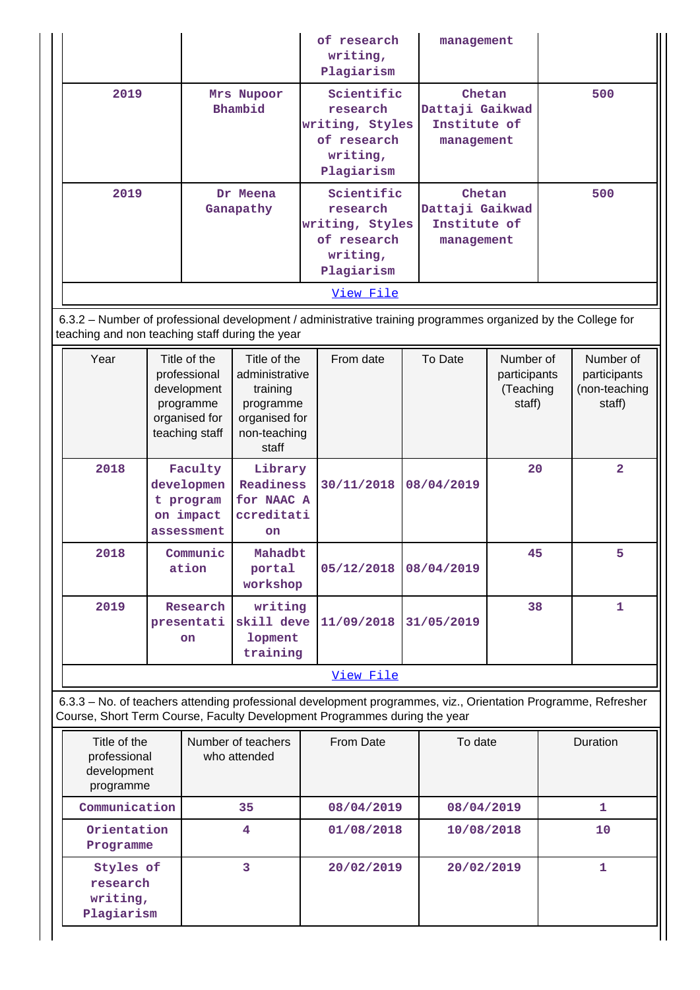|                                                          |                                                                                             |                                                                                                   | of research<br>writing,<br>Plagiarism                                                           |                                                                                                                                                                                            | management                                              |                                                                                                                                                                         |                                                  |              |                                                      |
|----------------------------------------------------------|---------------------------------------------------------------------------------------------|---------------------------------------------------------------------------------------------------|-------------------------------------------------------------------------------------------------|--------------------------------------------------------------------------------------------------------------------------------------------------------------------------------------------|---------------------------------------------------------|-------------------------------------------------------------------------------------------------------------------------------------------------------------------------|--------------------------------------------------|--------------|------------------------------------------------------|
| 2019                                                     | Mrs Nupoor<br>Bhambid                                                                       |                                                                                                   | Scientific<br>research<br>writing, Styles<br>of research<br>writing,<br>Plagiarism              |                                                                                                                                                                                            | Chetan<br>Dattaji Gaikwad<br>Institute of<br>management |                                                                                                                                                                         | 500                                              |              |                                                      |
| 2019                                                     |                                                                                             | Dr Meena<br>Ganapathy                                                                             | Scientific<br>research<br>writing, Styles<br>of research<br>writing,<br>Plagiarism<br>View File |                                                                                                                                                                                            |                                                         | Chetan<br>Dattaji Gaikwad<br>Institute of<br>management<br>6.3.2 - Number of professional development / administrative training programmes organized by the College for |                                                  | 500          |                                                      |
| teaching and non teaching staff during the year          |                                                                                             |                                                                                                   |                                                                                                 |                                                                                                                                                                                            |                                                         |                                                                                                                                                                         |                                                  |              |                                                      |
| Year                                                     | Title of the<br>professional<br>development<br>programme<br>organised for<br>teaching staff | Title of the<br>administrative<br>training<br>programme<br>organised for<br>non-teaching<br>staff |                                                                                                 | From date                                                                                                                                                                                  |                                                         | To Date                                                                                                                                                                 | Number of<br>participants<br>(Teaching<br>staff) |              | Number of<br>participants<br>(non-teaching<br>staff) |
| 2018                                                     | Faculty<br>developmen<br>t program<br>on impact<br>assessment                               | Library<br>Readiness<br>for NAAC A<br>ccreditati<br>on                                            |                                                                                                 | 30/11/2018                                                                                                                                                                                 |                                                         | 08/04/2019                                                                                                                                                              | 20                                               |              | $\overline{2}$                                       |
| 2018                                                     | Communic<br>ation                                                                           | Mahadbt<br>portal<br>workshop                                                                     |                                                                                                 | 05/12/2018                                                                                                                                                                                 |                                                         | 08/04/2019                                                                                                                                                              | 45                                               |              | 5                                                    |
| 2019                                                     | Research<br>presentati<br>on                                                                | writing<br>skill deve<br>lopment<br>training                                                      |                                                                                                 | 11/09/2018                                                                                                                                                                                 |                                                         | 31/05/2019                                                                                                                                                              | 38                                               |              | 1                                                    |
|                                                          |                                                                                             |                                                                                                   |                                                                                                 | View File                                                                                                                                                                                  |                                                         |                                                                                                                                                                         |                                                  |              |                                                      |
|                                                          |                                                                                             |                                                                                                   |                                                                                                 | 6.3.3 - No. of teachers attending professional development programmes, viz., Orientation Programme, Refresher<br>Course, Short Term Course, Faculty Development Programmes during the year |                                                         |                                                                                                                                                                         |                                                  |              |                                                      |
| Title of the<br>professional<br>development<br>programme | Number of teachers<br>who attended                                                          |                                                                                                   |                                                                                                 | From Date                                                                                                                                                                                  |                                                         | To date                                                                                                                                                                 |                                                  |              | Duration                                             |
| Communication                                            |                                                                                             | 35                                                                                                |                                                                                                 | 08/04/2019                                                                                                                                                                                 |                                                         | 08/04/2019                                                                                                                                                              |                                                  |              | 1                                                    |
| Orientation<br>Programme                                 |                                                                                             | 4                                                                                                 |                                                                                                 | 01/08/2018                                                                                                                                                                                 |                                                         | 10/08/2018                                                                                                                                                              |                                                  |              | 10                                                   |
| Styles of<br>research<br>writing,                        | 3                                                                                           |                                                                                                   |                                                                                                 | 20/02/2019                                                                                                                                                                                 |                                                         | 20/02/2019                                                                                                                                                              |                                                  | $\mathbf{1}$ |                                                      |

**Plagiarism**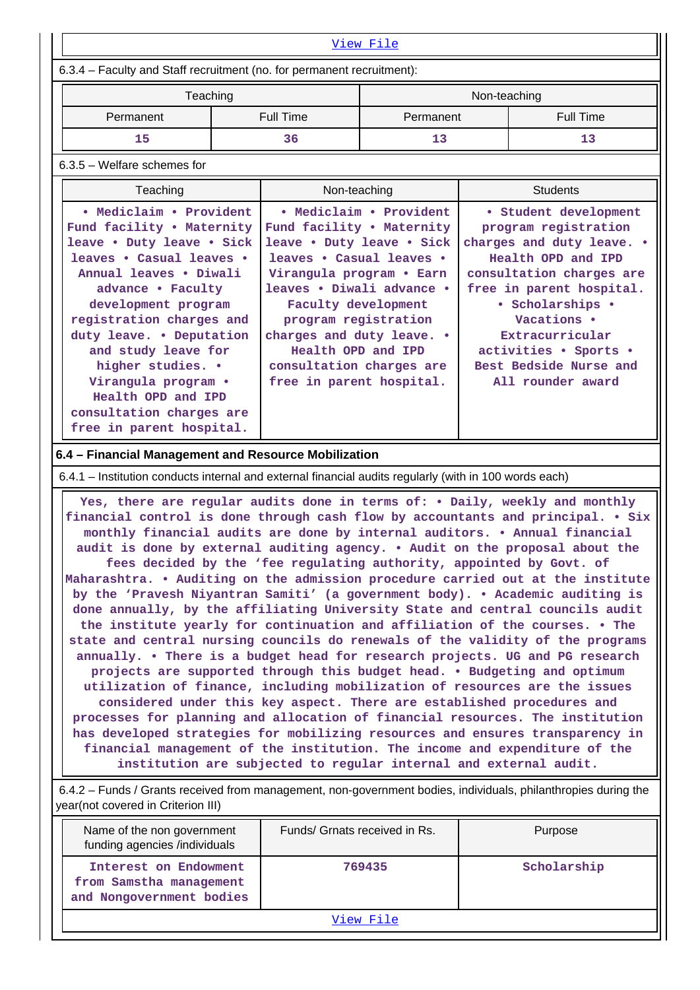|                                                                                                                                                                                                                                                                                                                                                                                                                                                                                                                                                                                                                                                                                                                                                                                                                                                                                                                                                                                                                                                                                                                                                                                                                                                                                                                                                                                                                                                                                                                                                                               |          |                                                                                                                                                                                                                                                                                                                                  | <u>View File</u> |                                                                                                                                                                                                                                                                                        |                  |  |
|-------------------------------------------------------------------------------------------------------------------------------------------------------------------------------------------------------------------------------------------------------------------------------------------------------------------------------------------------------------------------------------------------------------------------------------------------------------------------------------------------------------------------------------------------------------------------------------------------------------------------------------------------------------------------------------------------------------------------------------------------------------------------------------------------------------------------------------------------------------------------------------------------------------------------------------------------------------------------------------------------------------------------------------------------------------------------------------------------------------------------------------------------------------------------------------------------------------------------------------------------------------------------------------------------------------------------------------------------------------------------------------------------------------------------------------------------------------------------------------------------------------------------------------------------------------------------------|----------|----------------------------------------------------------------------------------------------------------------------------------------------------------------------------------------------------------------------------------------------------------------------------------------------------------------------------------|------------------|----------------------------------------------------------------------------------------------------------------------------------------------------------------------------------------------------------------------------------------------------------------------------------------|------------------|--|
| 6.3.4 - Faculty and Staff recruitment (no. for permanent recruitment):                                                                                                                                                                                                                                                                                                                                                                                                                                                                                                                                                                                                                                                                                                                                                                                                                                                                                                                                                                                                                                                                                                                                                                                                                                                                                                                                                                                                                                                                                                        |          |                                                                                                                                                                                                                                                                                                                                  |                  |                                                                                                                                                                                                                                                                                        |                  |  |
|                                                                                                                                                                                                                                                                                                                                                                                                                                                                                                                                                                                                                                                                                                                                                                                                                                                                                                                                                                                                                                                                                                                                                                                                                                                                                                                                                                                                                                                                                                                                                                               | Teaching |                                                                                                                                                                                                                                                                                                                                  | Non-teaching     |                                                                                                                                                                                                                                                                                        |                  |  |
| Permanent                                                                                                                                                                                                                                                                                                                                                                                                                                                                                                                                                                                                                                                                                                                                                                                                                                                                                                                                                                                                                                                                                                                                                                                                                                                                                                                                                                                                                                                                                                                                                                     |          | <b>Full Time</b>                                                                                                                                                                                                                                                                                                                 | Permanent        |                                                                                                                                                                                                                                                                                        | <b>Full Time</b> |  |
| 15                                                                                                                                                                                                                                                                                                                                                                                                                                                                                                                                                                                                                                                                                                                                                                                                                                                                                                                                                                                                                                                                                                                                                                                                                                                                                                                                                                                                                                                                                                                                                                            |          | 36                                                                                                                                                                                                                                                                                                                               | 13               |                                                                                                                                                                                                                                                                                        | 13               |  |
| 6.3.5 - Welfare schemes for                                                                                                                                                                                                                                                                                                                                                                                                                                                                                                                                                                                                                                                                                                                                                                                                                                                                                                                                                                                                                                                                                                                                                                                                                                                                                                                                                                                                                                                                                                                                                   |          |                                                                                                                                                                                                                                                                                                                                  |                  |                                                                                                                                                                                                                                                                                        |                  |  |
| Teaching                                                                                                                                                                                                                                                                                                                                                                                                                                                                                                                                                                                                                                                                                                                                                                                                                                                                                                                                                                                                                                                                                                                                                                                                                                                                                                                                                                                                                                                                                                                                                                      |          | Non-teaching                                                                                                                                                                                                                                                                                                                     |                  |                                                                                                                                                                                                                                                                                        | <b>Students</b>  |  |
| • Mediclaim • Provident<br>Fund facility . Maternity<br>leave . Duty leave . Sick<br>leaves . Casual leaves .<br>Annual leaves . Diwali<br>advance . Faculty<br>development program<br>registration charges and<br>duty leave. . Deputation<br>and study leave for<br>higher studies. .<br>Virangula program .<br>Health OPD and IPD<br>consultation charges are<br>free in parent hospital.                                                                                                                                                                                                                                                                                                                                                                                                                                                                                                                                                                                                                                                                                                                                                                                                                                                                                                                                                                                                                                                                                                                                                                                  |          | • Mediclaim • Provident<br>Fund facility . Maternity<br>leave . Duty leave . Sick<br>leaves . Casual leaves .<br>Virangula program . Earn<br>leaves . Diwali advance .<br>Faculty development<br>program registration<br>charges and duty leave. .<br>Health OPD and IPD<br>consultation charges are<br>free in parent hospital. |                  | · Student development<br>program registration<br>charges and duty leave. .<br>Health OPD and IPD<br>consultation charges are<br>free in parent hospital.<br>• Scholarships •<br>Vacations .<br>Extracurricular<br>activities . Sports .<br>Best Bedside Nurse and<br>All rounder award |                  |  |
| 6.4 - Financial Management and Resource Mobilization                                                                                                                                                                                                                                                                                                                                                                                                                                                                                                                                                                                                                                                                                                                                                                                                                                                                                                                                                                                                                                                                                                                                                                                                                                                                                                                                                                                                                                                                                                                          |          |                                                                                                                                                                                                                                                                                                                                  |                  |                                                                                                                                                                                                                                                                                        |                  |  |
|                                                                                                                                                                                                                                                                                                                                                                                                                                                                                                                                                                                                                                                                                                                                                                                                                                                                                                                                                                                                                                                                                                                                                                                                                                                                                                                                                                                                                                                                                                                                                                               |          |                                                                                                                                                                                                                                                                                                                                  |                  |                                                                                                                                                                                                                                                                                        |                  |  |
| 6.4.1 - Institution conducts internal and external financial audits regularly (with in 100 words each)<br>Yes, there are regular audits done in terms of: . Daily, weekly and monthly<br>financial control is done through cash flow by accountants and principal. • Six<br>monthly financial audits are done by internal auditors. . Annual financial<br>audit is done by external auditing agency. . Audit on the proposal about the<br>fees decided by the 'fee regulating authority, appointed by Govt. of<br>Maharashtra. . Auditing on the admission procedure carried out at the institute<br>by the 'Pravesh Niyantran Samiti' (a government body). . Academic auditing is<br>done annually, by the affiliating University State and central councils audit<br>the institute yearly for continuation and affiliation of the courses. • The<br>state and central nursing councils do renewals of the validity of the programs<br>annually. . There is a budget head for research projects. UG and PG research<br>projects are supported through this budget head. . Budgeting and optimum<br>utilization of finance, including mobilization of resources are the issues<br>considered under this key aspect. There are established procedures and<br>processes for planning and allocation of financial resources. The institution<br>has developed strategies for mobilizing resources and ensures transparency in<br>financial management of the institution. The income and expenditure of the<br>institution are subjected to regular internal and external audit. |          |                                                                                                                                                                                                                                                                                                                                  |                  |                                                                                                                                                                                                                                                                                        |                  |  |

| Name of the non government<br>funding agencies /individuals                  | Funds/ Grnats received in Rs. | Purpose     |  |  |  |
|------------------------------------------------------------------------------|-------------------------------|-------------|--|--|--|
| Interest on Endowment<br>from Samstha management<br>and Nongovernment bodies | 769435                        | Scholarship |  |  |  |
| View File                                                                    |                               |             |  |  |  |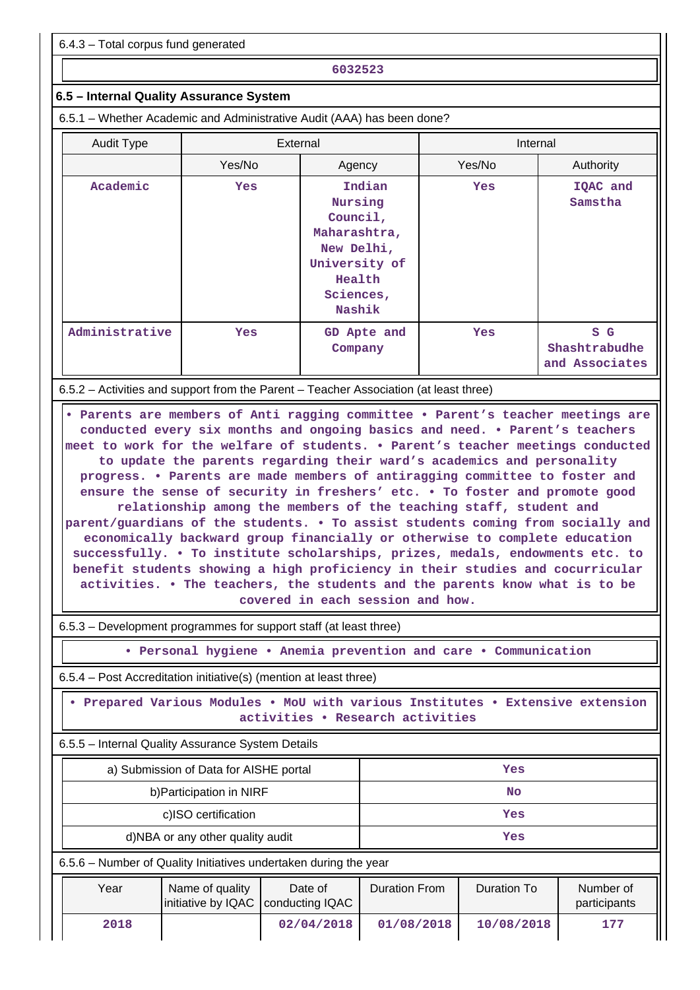6.4.3 – Total corpus fund generated

**6032523**

### **6.5 – Internal Quality Assurance System**

6.5.1 – Whether Academic and Administrative Audit (AAA) has been done?

| <b>Audit Type</b> |                                                                                       | External                                                                                                      | Internal   |                                        |
|-------------------|---------------------------------------------------------------------------------------|---------------------------------------------------------------------------------------------------------------|------------|----------------------------------------|
|                   | Yes/No                                                                                | Agency                                                                                                        | Yes/No     | Authority                              |
| Academic          | <b>Yes</b>                                                                            | Indian<br>Nursing<br>Council,<br>Maharashtra,<br>New Delhi,<br>University of<br>Health<br>Sciences,<br>Nashik | <b>Yes</b> | IQAC and<br>Samstha                    |
| Administrative    | <b>Yes</b>                                                                            | GD Apte and<br>Company                                                                                        | <b>Yes</b> | S G<br>Shashtrabudhe<br>and Associates |
|                   | 6.5.2 – Activities and support from the Parent – Teacher Association (at least three) |                                                                                                               |            |                                        |

 **• Parents are members of Anti ragging committee • Parent's teacher meetings are conducted every six months and ongoing basics and need. • Parent's teachers meet to work for the welfare of students. • Parent's teacher meetings conducted to update the parents regarding their ward's academics and personality progress. • Parents are made members of antiragging committee to foster and ensure the sense of security in freshers' etc. • To foster and promote good relationship among the members of the teaching staff, student and parent/guardians of the students. • To assist students coming from socially and economically backward group financially or otherwise to complete education successfully. • To institute scholarships, prizes, medals, endowments etc. to benefit students showing a high proficiency in their studies and cocurricular activities. • The teachers, the students and the parents know what is to be covered in each session and how.**

6.5.3 – Development programmes for support staff (at least three)

**• Personal hygiene • Anemia prevention and care • Communication**

6.5.4 – Post Accreditation initiative(s) (mention at least three)

 **• Prepared Various Modules • MoU with various Institutes • Extensive extension activities • Research activities**

6.5.5 – Internal Quality Assurance System Details

|      | a) Submission of Data for AISHE portal                           |         | Yes           |             |                           |  |
|------|------------------------------------------------------------------|---------|---------------|-------------|---------------------------|--|
|      | b) Participation in NIRF                                         |         | No            |             |                           |  |
|      | c)ISO certification                                              |         | Yes           |             |                           |  |
|      | d)NBA or any other quality audit                                 |         | Yes           |             |                           |  |
|      | 6.5.6 - Number of Quality Initiatives undertaken during the year |         |               |             |                           |  |
| Year | Name of quality<br>initiative by IQAC   conducting IQAC          | Date of | Duration From | Duration To | Number of<br>participants |  |

 **2018 02/04/2018 01/08/2018 10/08/2018 177**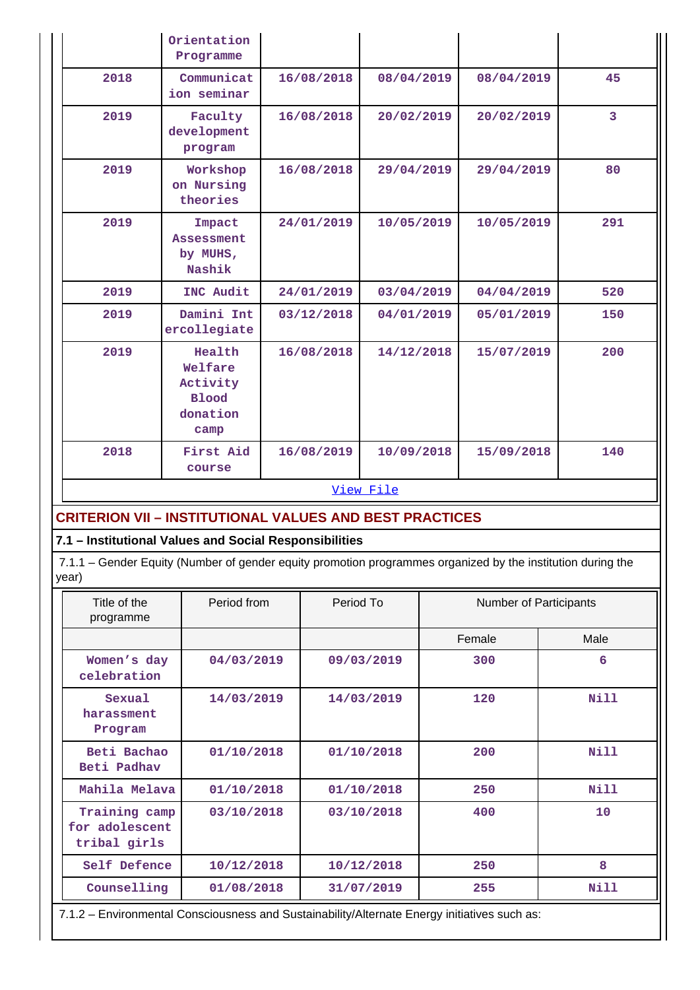|                                                                | Orientation<br>Programme                                                                                    |            |            |                        |                         |
|----------------------------------------------------------------|-------------------------------------------------------------------------------------------------------------|------------|------------|------------------------|-------------------------|
| 2018                                                           | Communicat<br>ion seminar                                                                                   | 16/08/2018 | 08/04/2019 | 08/04/2019             | 45                      |
| 2019                                                           | Faculty<br>development<br>program                                                                           | 16/08/2018 | 20/02/2019 | 20/02/2019             | $\overline{\mathbf{3}}$ |
| 2019                                                           | Workshop<br>on Nursing<br>theories                                                                          | 16/08/2018 | 29/04/2019 | 29/04/2019             | 80                      |
| 2019                                                           | Impact<br><b>Assessment</b><br>by MUHS,<br>Nashik                                                           | 24/01/2019 | 10/05/2019 | 10/05/2019             | 291                     |
| 2019                                                           | INC Audit                                                                                                   | 24/01/2019 | 03/04/2019 | 04/04/2019             | 520                     |
| 2019                                                           | Damini Int<br>ercollegiate                                                                                  | 03/12/2018 | 04/01/2019 | 05/01/2019             | 150                     |
| 2019                                                           | Health<br>Welfare<br>Activity<br><b>Blood</b><br>donation<br>camp                                           | 16/08/2018 | 14/12/2018 | 15/07/2019             | 200                     |
| 2018                                                           | First Aid<br>course                                                                                         | 16/08/2019 | 10/09/2018 | 15/09/2018             | 140                     |
|                                                                |                                                                                                             |            | View File  |                        |                         |
| <b>CRITERION VII - INSTITUTIONAL VALUES AND BEST PRACTICES</b> |                                                                                                             |            |            |                        |                         |
| 7.1 - Institutional Values and Social Responsibilities         |                                                                                                             |            |            |                        |                         |
| year)                                                          | 7.1.1 - Gender Equity (Number of gender equity promotion programmes organized by the institution during the |            |            |                        |                         |
| Title of the<br>programme                                      | Period from                                                                                                 |            | Period To  | Number of Participants |                         |
|                                                                |                                                                                                             |            |            | Female                 | Male                    |
| Women's day<br>celebration                                     | 04/03/2019                                                                                                  |            | 09/03/2019 | 300                    | 6                       |
| Sexual<br>harassment<br>Program                                | 14/03/2019                                                                                                  |            | 14/03/2019 | 120                    | <b>Nill</b>             |
| Beti Bachao<br>Beti Padhav                                     | 01/10/2018                                                                                                  |            | 01/10/2018 | 200                    | <b>Nill</b>             |
| Mahila Melava                                                  | 01/10/2018                                                                                                  |            | 01/10/2018 | 250                    | <b>Nill</b>             |
| tribal girls                                                   | Training camp<br>03/10/2018<br>for adolescent                                                               |            | 03/10/2018 | 400                    | 10                      |

**Counselling 01/08/2018 31/07/2019 255 Nill** 7.1.2 – Environmental Consciousness and Sustainability/Alternate Energy initiatives such as:

 **Self Defence 10/12/2018 10/12/2018 250 8**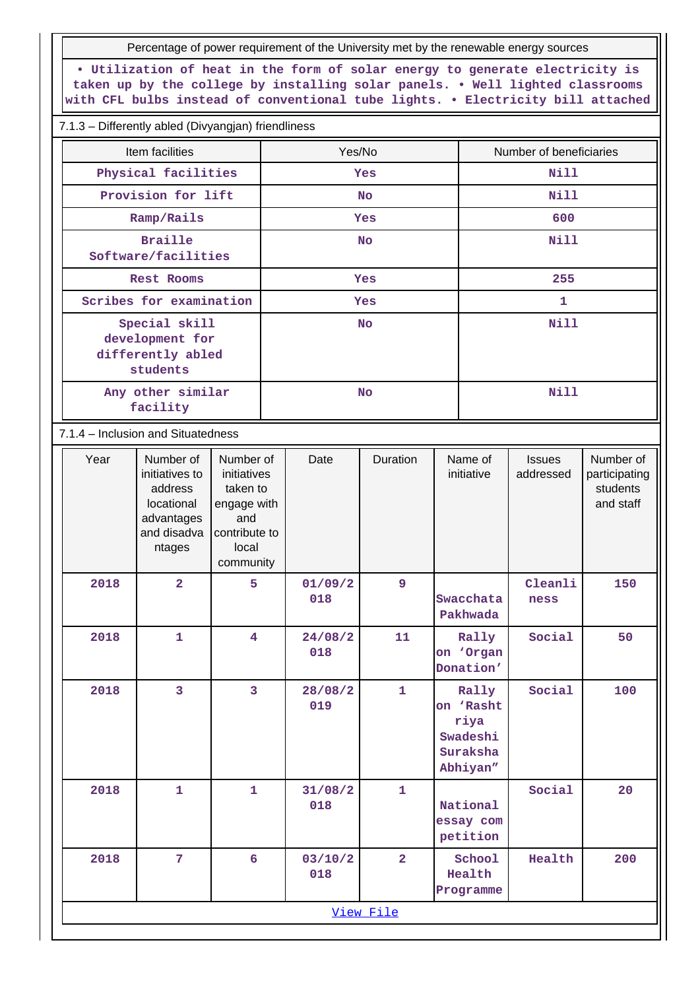Percentage of power requirement of the University met by the renewable energy sources

**• Utilization of heat in the form of solar energy to generate electricity is taken up by the college by installing solar panels. • Well lighted classrooms with CFL bulbs instead of conventional tube lights. • Electricity bill attached**

#### 7.1.3 – Differently abled (Divyangjan) friendliness

| Item facilities                    |                                                                                             |                                                                                                   | Yes/No    |                |                |             | Number of beneficiaries                                        |                            |                                                     |  |
|------------------------------------|---------------------------------------------------------------------------------------------|---------------------------------------------------------------------------------------------------|-----------|----------------|----------------|-------------|----------------------------------------------------------------|----------------------------|-----------------------------------------------------|--|
|                                    | Physical facilities                                                                         |                                                                                                   |           |                | Yes            |             | <b>Nill</b>                                                    |                            |                                                     |  |
|                                    | Provision for lift                                                                          |                                                                                                   | <b>No</b> |                |                | <b>Nill</b> |                                                                |                            |                                                     |  |
|                                    | Ramp/Rails                                                                                  |                                                                                                   |           |                | Yes            |             |                                                                | 600                        |                                                     |  |
|                                    | <b>Braille</b><br>Software/facilities                                                       |                                                                                                   |           |                | <b>No</b>      |             |                                                                | <b>Nill</b>                |                                                     |  |
|                                    | Rest Rooms                                                                                  |                                                                                                   |           |                | Yes            |             |                                                                | 255                        |                                                     |  |
|                                    | Scribes for examination                                                                     |                                                                                                   |           |                | Yes            |             |                                                                | $\mathbf{1}$               |                                                     |  |
|                                    | Special skill<br>development for<br>differently abled<br>students                           |                                                                                                   | <b>No</b> |                |                |             | <b>Nill</b>                                                    |                            |                                                     |  |
|                                    | Any other similar<br>facility                                                               |                                                                                                   |           |                | <b>No</b>      |             |                                                                | <b>Nill</b>                |                                                     |  |
| 7.1.4 - Inclusion and Situatedness |                                                                                             |                                                                                                   |           |                |                |             |                                                                |                            |                                                     |  |
| Year                               | Number of<br>initiatives to<br>address<br>locational<br>advantages<br>and disadva<br>ntages | Number of<br>initiatives<br>taken to<br>engage with<br>and<br>contribute to<br>local<br>community |           | Date           | Duration       |             | Name of<br>initiative                                          | <b>Issues</b><br>addressed | Number of<br>participating<br>students<br>and staff |  |
| 2018                               | $\overline{2}$                                                                              | 5                                                                                                 |           | 01/09/2<br>018 | 9              |             | Swacchata<br>Pakhwada                                          | Cleanli<br>ness            | 150                                                 |  |
| 2018                               | 1                                                                                           | 4                                                                                                 |           | 24/08/2<br>018 | 11             |             | Rally<br>on 'Organ<br>Donation'                                | Social                     | 50                                                  |  |
| 2018                               | $\overline{\mathbf{3}}$                                                                     | $\overline{3}$                                                                                    |           | 28/08/2<br>019 | $\mathbf{1}$   |             | Rally<br>on 'Rasht<br>riya<br>Swadeshi<br>Suraksha<br>Abhiyan" | Social                     | 100                                                 |  |
| 2018                               | $\mathbf{1}$                                                                                | $\mathbf{1}$                                                                                      |           | 31/08/2<br>018 | $\mathbf{1}$   |             | National<br>essay com<br>petition                              | Social                     | 20                                                  |  |
| 2018                               | 7                                                                                           | 6                                                                                                 |           | 03/10/2<br>018 | $\overline{2}$ |             | School<br>Health<br>Programme                                  | Health                     | 200                                                 |  |
|                                    |                                                                                             |                                                                                                   |           |                | View File      |             |                                                                |                            |                                                     |  |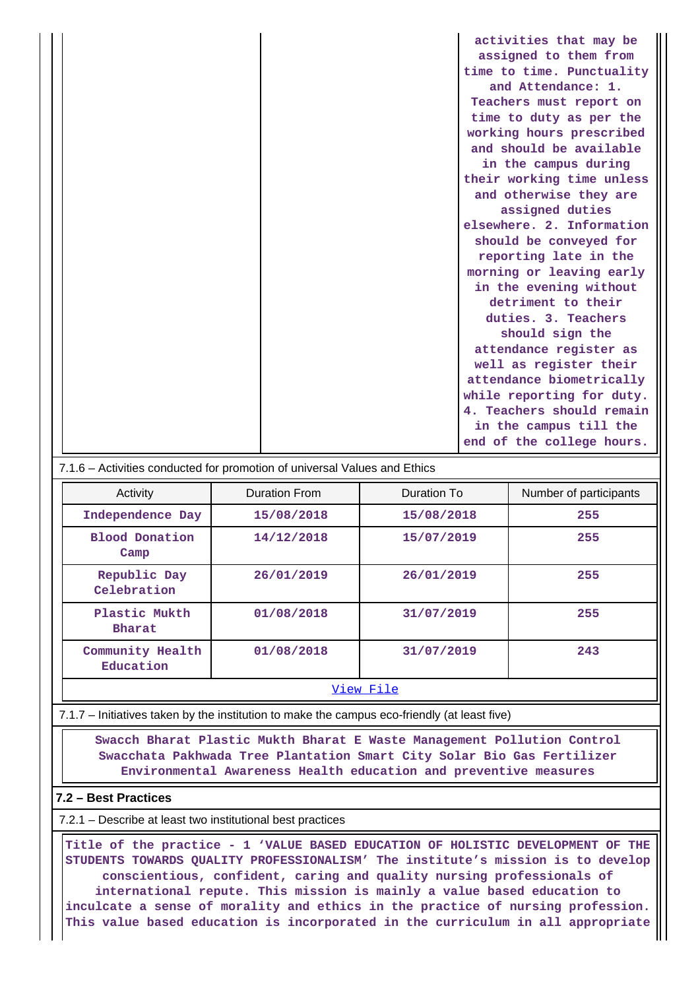| activities that may be    |
|---------------------------|
| assigned to them from     |
| time to time. Punctuality |
| and Attendance: 1.        |
| Teachers must report on   |
| time to duty as per the   |
| working hours prescribed  |
| and should be available   |
| in the campus during      |
| their working time unless |
| and otherwise they are    |
| assigned duties           |
| elsewhere. 2. Information |
| should be conveyed for    |
| reporting late in the     |
| morning or leaving early  |
| in the evening without    |
| detriment to their        |
| duties. 3. Teachers       |
| should sign the           |
| attendance register as    |
| well as register their    |
| attendance biometrically  |
| while reporting for duty. |
| 4. Teachers should remain |
| in the campus till the    |
| end of the college hours. |

#### 7.1.6 – Activities conducted for promotion of universal Values and Ethics

| Activity                      | Duration From | Duration To | Number of participants |
|-------------------------------|---------------|-------------|------------------------|
| Independence Day              | 15/08/2018    | 15/08/2018  | 255                    |
| <b>Blood Donation</b><br>Camp | 14/12/2018    | 15/07/2019  | 255                    |
| Republic Day<br>Celebration   | 26/01/2019    | 26/01/2019  | 255                    |
| Plastic Mukth<br>Bharat       | 01/08/2018    | 31/07/2019  | 255                    |
| Community Health<br>Education | 01/08/2018    | 31/07/2019  | 243                    |
| View File                     |               |             |                        |

7.1.7 – Initiatives taken by the institution to make the campus eco-friendly (at least five)

 **Swacch Bharat Plastic Mukth Bharat E Waste Management Pollution Control Swacchata Pakhwada Tree Plantation Smart City Solar Bio Gas Fertilizer Environmental Awareness Health education and preventive measures**

#### **7.2 – Best Practices**

7.2.1 – Describe at least two institutional best practices

 **Title of the practice - 1 'VALUE BASED EDUCATION OF HOLISTIC DEVELOPMENT OF THE STUDENTS TOWARDS QUALITY PROFESSIONALISM' The institute's mission is to develop conscientious, confident, caring and quality nursing professionals of international repute. This mission is mainly a value based education to inculcate a sense of morality and ethics in the practice of nursing profession. This value based education is incorporated in the curriculum in all appropriate**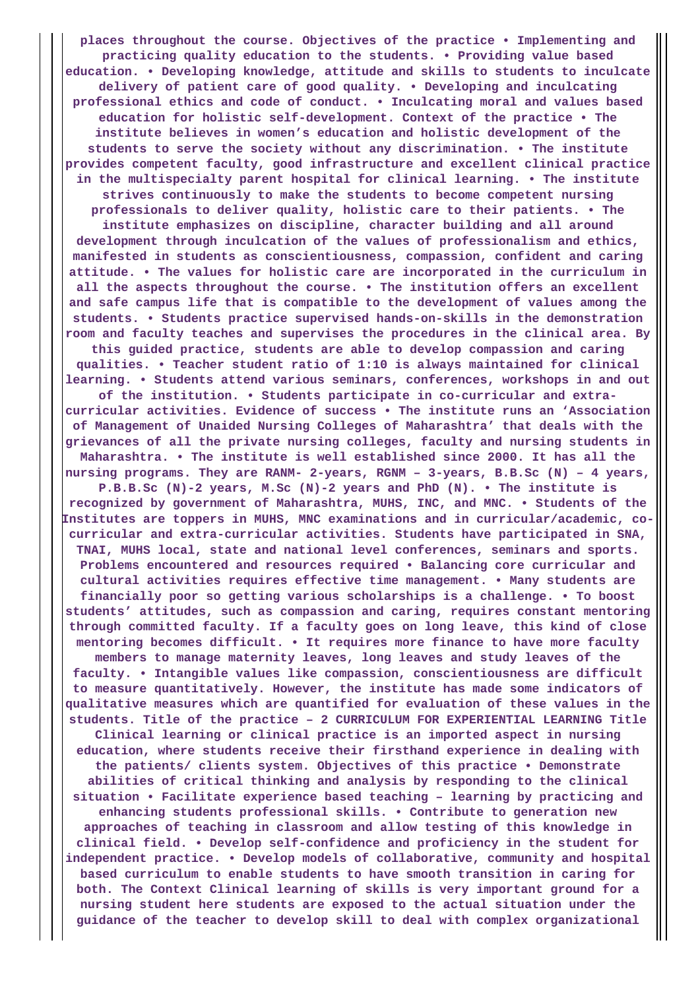**places throughout the course. Objectives of the practice • Implementing and practicing quality education to the students. • Providing value based education. • Developing knowledge, attitude and skills to students to inculcate delivery of patient care of good quality. • Developing and inculcating professional ethics and code of conduct. • Inculcating moral and values based education for holistic self-development. Context of the practice • The institute believes in women's education and holistic development of the students to serve the society without any discrimination. • The institute provides competent faculty, good infrastructure and excellent clinical practice in the multispecialty parent hospital for clinical learning. • The institute strives continuously to make the students to become competent nursing professionals to deliver quality, holistic care to their patients. • The institute emphasizes on discipline, character building and all around development through inculcation of the values of professionalism and ethics, manifested in students as conscientiousness, compassion, confident and caring attitude. • The values for holistic care are incorporated in the curriculum in all the aspects throughout the course. • The institution offers an excellent and safe campus life that is compatible to the development of values among the students. • Students practice supervised hands-on-skills in the demonstration room and faculty teaches and supervises the procedures in the clinical area. By this guided practice, students are able to develop compassion and caring qualities. • Teacher student ratio of 1:10 is always maintained for clinical learning. • Students attend various seminars, conferences, workshops in and out of the institution. • Students participate in co-curricular and extracurricular activities. Evidence of success • The institute runs an 'Association of Management of Unaided Nursing Colleges of Maharashtra' that deals with the grievances of all the private nursing colleges, faculty and nursing students in Maharashtra. • The institute is well established since 2000. It has all the nursing programs. They are RANM- 2-years, RGNM – 3-years, B.B.Sc (N) – 4 years, P.B.B.Sc (N)-2 years, M.Sc (N)-2 years and PhD (N). • The institute is recognized by government of Maharashtra, MUHS, INC, and MNC. • Students of the Institutes are toppers in MUHS, MNC examinations and in curricular/academic, cocurricular and extra-curricular activities. Students have participated in SNA, TNAI, MUHS local, state and national level conferences, seminars and sports. Problems encountered and resources required • Balancing core curricular and cultural activities requires effective time management. • Many students are financially poor so getting various scholarships is a challenge. • To boost students' attitudes, such as compassion and caring, requires constant mentoring through committed faculty. If a faculty goes on long leave, this kind of close mentoring becomes difficult. • It requires more finance to have more faculty members to manage maternity leaves, long leaves and study leaves of the faculty. • Intangible values like compassion, conscientiousness are difficult to measure quantitatively. However, the institute has made some indicators of qualitative measures which are quantified for evaluation of these values in the students. Title of the practice – 2 CURRICULUM FOR EXPERIENTIAL LEARNING Title Clinical learning or clinical practice is an imported aspect in nursing education, where students receive their firsthand experience in dealing with the patients/ clients system. Objectives of this practice • Demonstrate abilities of critical thinking and analysis by responding to the clinical situation • Facilitate experience based teaching – learning by practicing and enhancing students professional skills. • Contribute to generation new approaches of teaching in classroom and allow testing of this knowledge in clinical field. • Develop self-confidence and proficiency in the student for independent practice. • Develop models of collaborative, community and hospital based curriculum to enable students to have smooth transition in caring for both. The Context Clinical learning of skills is very important ground for a nursing student here students are exposed to the actual situation under the guidance of the teacher to develop skill to deal with complex organizational**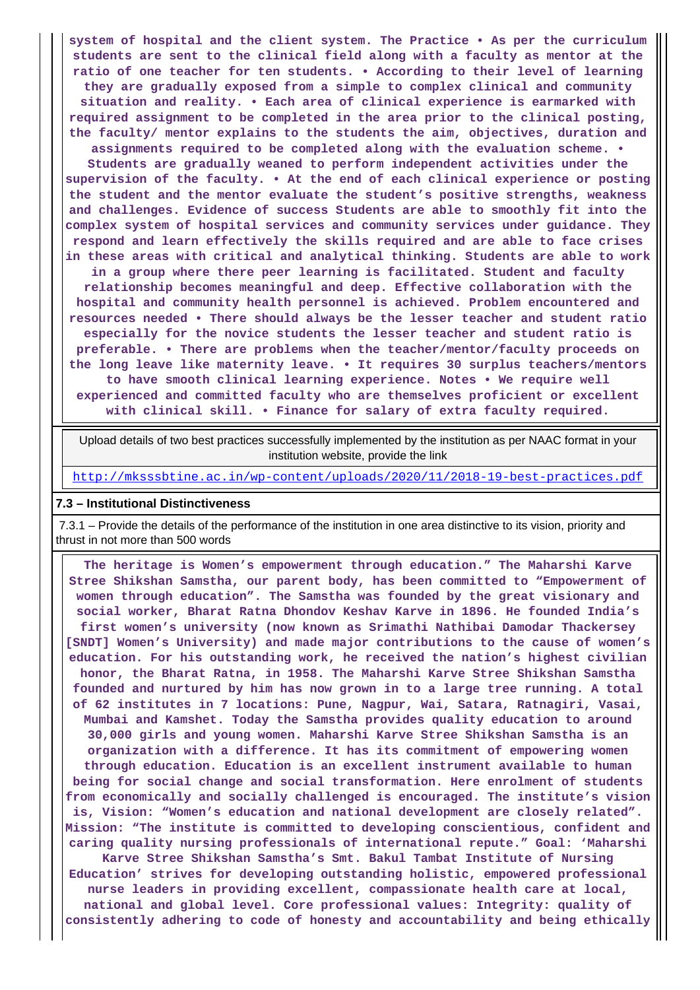**system of hospital and the client system. The Practice • As per the curriculum students are sent to the clinical field along with a faculty as mentor at the ratio of one teacher for ten students. • According to their level of learning they are gradually exposed from a simple to complex clinical and community situation and reality. • Each area of clinical experience is earmarked with required assignment to be completed in the area prior to the clinical posting, the faculty/ mentor explains to the students the aim, objectives, duration and assignments required to be completed along with the evaluation scheme. • Students are gradually weaned to perform independent activities under the supervision of the faculty. • At the end of each clinical experience or posting the student and the mentor evaluate the student's positive strengths, weakness and challenges. Evidence of success Students are able to smoothly fit into the complex system of hospital services and community services under guidance. They respond and learn effectively the skills required and are able to face crises in these areas with critical and analytical thinking. Students are able to work in a group where there peer learning is facilitated. Student and faculty relationship becomes meaningful and deep. Effective collaboration with the hospital and community health personnel is achieved. Problem encountered and resources needed • There should always be the lesser teacher and student ratio especially for the novice students the lesser teacher and student ratio is preferable. • There are problems when the teacher/mentor/faculty proceeds on the long leave like maternity leave. • It requires 30 surplus teachers/mentors to have smooth clinical learning experience. Notes • We require well experienced and committed faculty who are themselves proficient or excellent with clinical skill. • Finance for salary of extra faculty required.**

 Upload details of two best practices successfully implemented by the institution as per NAAC format in your institution website, provide the link

<http://mksssbtine.ac.in/wp-content/uploads/2020/11/2018-19-best-practices.pdf>

#### **7.3 – Institutional Distinctiveness**

 7.3.1 – Provide the details of the performance of the institution in one area distinctive to its vision, priority and thrust in not more than 500 words

 **The heritage is Women's empowerment through education." The Maharshi Karve Stree Shikshan Samstha, our parent body, has been committed to "Empowerment of women through education". The Samstha was founded by the great visionary and social worker, Bharat Ratna Dhondov Keshav Karve in 1896. He founded India's first women's university (now known as Srimathi Nathibai Damodar Thackersey [SNDT] Women's University) and made major contributions to the cause of women's education. For his outstanding work, he received the nation's highest civilian honor, the Bharat Ratna, in 1958. The Maharshi Karve Stree Shikshan Samstha founded and nurtured by him has now grown in to a large tree running. A total of 62 institutes in 7 locations: Pune, Nagpur, Wai, Satara, Ratnagiri, Vasai, Mumbai and Kamshet. Today the Samstha provides quality education to around 30,000 girls and young women. Maharshi Karve Stree Shikshan Samstha is an organization with a difference. It has its commitment of empowering women through education. Education is an excellent instrument available to human being for social change and social transformation. Here enrolment of students from economically and socially challenged is encouraged. The institute's vision is, Vision: "Women's education and national development are closely related". Mission: "The institute is committed to developing conscientious, confident and caring quality nursing professionals of international repute." Goal: 'Maharshi Karve Stree Shikshan Samstha's Smt. Bakul Tambat Institute of Nursing Education' strives for developing outstanding holistic, empowered professional nurse leaders in providing excellent, compassionate health care at local, national and global level. Core professional values: Integrity: quality of consistently adhering to code of honesty and accountability and being ethically**